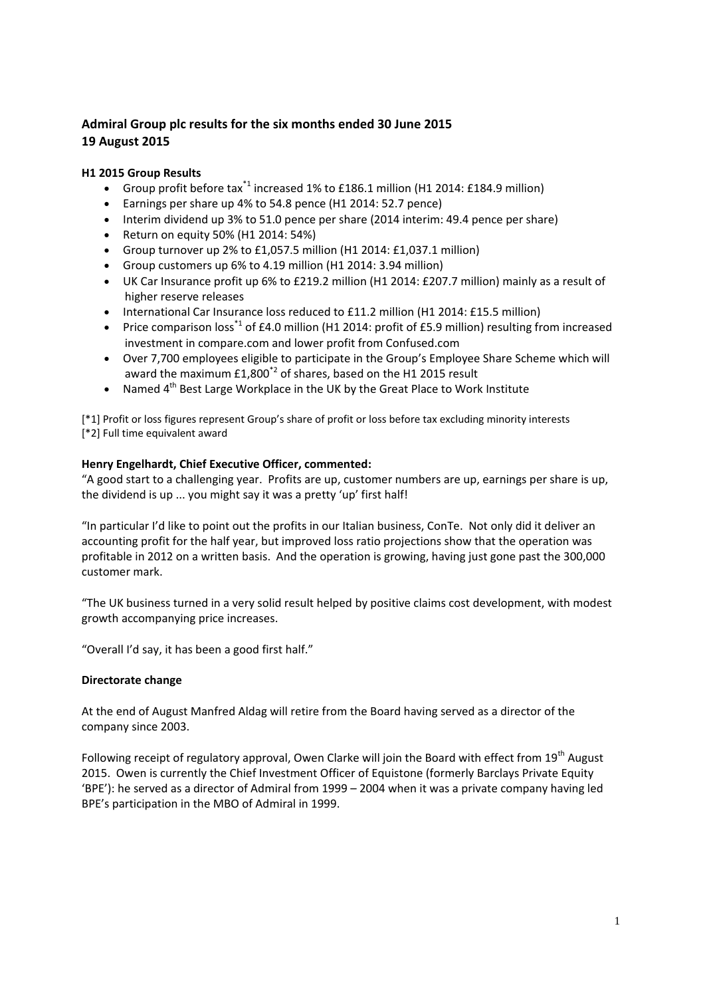# **Admiral Group plc results for the six months ended 30 June 2015 19 August 2015**

## **H1 2015 Group Results**

- Group profit before tax\*1 increased 1% to £186.1 million (H1 2014: £184.9 million)
- Earnings per share up 4% to 54.8 pence (H1 2014: 52.7 pence)
- Interim dividend up 3% to 51.0 pence per share (2014 interim: 49.4 pence per share)
- Return on equity 50% (H1 2014: 54%)
- Group turnover up 2% to £1,057.5 million (H1 2014: £1,037.1 million)
- Group customers up 6% to 4.19 million (H1 2014: 3.94 million)
- UK Car Insurance profit up 6% to £219.2 million (H1 2014: £207.7 million) mainly as a result of higher reserve releases
- International Car Insurance loss reduced to £11.2 million (H1 2014: £15.5 million)
- Price comparison loss<sup>\*1</sup> of £4.0 million (H1 2014: profit of £5.9 million) resulting from increased investment in compare.com and lower profit from Confused.com
- Over 7,700 employees eligible to participate in the Group's Employee Share Scheme which will award the maximum £1,800<sup>\*2</sup> of shares, based on the H1 2015 result
- Named 4<sup>th</sup> Best Large Workplace in the UK by the Great Place to Work Institute

[\*1] Profit or loss figures represent Group's share of profit or loss before tax excluding minority interests [\*2] Full time equivalent award

# **Henry Engelhardt, Chief Executive Officer, commented:**

"A good start to a challenging year. Profits are up, customer numbers are up, earnings per share is up, the dividend is up ... you might say it was a pretty 'up' first half!

"In particular I'd like to point out the profits in our Italian business, ConTe. Not only did it deliver an accounting profit for the half year, but improved loss ratio projections show that the operation was profitable in 2012 on a written basis. And the operation is growing, having just gone past the 300,000 customer mark.

"The UK business turned in a very solid result helped by positive claims cost development, with modest growth accompanying price increases.

"Overall I'd say, it has been a good first half."

#### **Directorate change**

At the end of August Manfred Aldag will retire from the Board having served as a director of the company since 2003.

Following receipt of regulatory approval, Owen Clarke will join the Board with effect from 19<sup>th</sup> August 2015. Owen is currently the Chief Investment Officer of Equistone (formerly Barclays Private Equity 'BPE'): he served as a director of Admiral from 1999 – 2004 when it was a private company having led BPE's participation in the MBO of Admiral in 1999.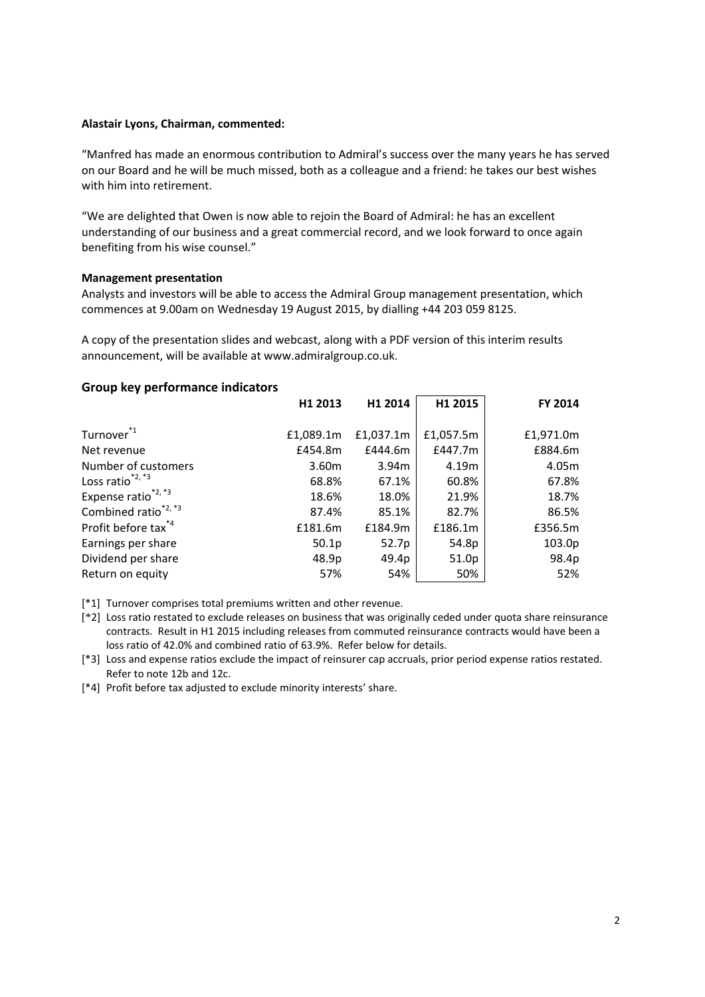#### **Alastair Lyons, Chairman, commented:**

"Manfred has made an enormous contribution to Admiral's success over the many years he has served on our Board and he will be much missed, both as a colleague and a friend: he takes our best wishes with him into retirement.

"We are delighted that Owen is now able to rejoin the Board of Admiral: he has an excellent understanding of our business and a great commercial record, and we look forward to once again benefiting from his wise counsel."

#### **Management presentation**

Analysts and investors will be able to access the Admiral Group management presentation, which commences at 9.00am on Wednesday 19 August 2015, by dialling +44 203 059 8125.

A copy of the presentation slides and webcast, along with a PDF version of this interim results announcement, will be available at www.admiralgroup.co.uk.

#### **Group key performance indicators**

|                                 | H1 2013   | H1 2014           | H1 2015   | FY 2014   |
|---------------------------------|-----------|-------------------|-----------|-----------|
| Turnover <sup>*1</sup>          | £1,089.1m | £1,037.1m         | £1,057.5m | £1,971.0m |
| Net revenue                     | £454.8m   | £444.6m           | £447.7m   | £884.6m   |
| Number of customers             | 3.60m     | 3.94 <sub>m</sub> | 4.19m     | 4.05m     |
| Loss ratio $^{*2,*3}$           | 68.8%     | 67.1%             | 60.8%     | 67.8%     |
| Expense ratio <sup>*2,*3</sup>  | 18.6%     | 18.0%             | 21.9%     | 18.7%     |
| Combined ratio <sup>*2,*3</sup> | 87.4%     | 85.1%             | 82.7%     | 86.5%     |
| Profit before tax <sup>*4</sup> | £181.6m   | £184.9m           | £186.1m   | £356.5m   |
| Earnings per share              | 50.1p     | 52.7p             | 54.8p     | 103.0p    |
| Dividend per share              | 48.9p     | 49.4p             | 51.0p     | 98.4p     |
| Return on equity                | 57%       | 54%               | 50%       | 52%       |

[\*1] Turnover comprises total premiums written and other revenue.

[\*2] Loss ratio restated to exclude releases on business that was originally ceded under quota share reinsurance contracts. Result in H1 2015 including releases from commuted reinsurance contracts would have been a loss ratio of 42.0% and combined ratio of 63.9%. Refer below for details.

[\*3] Loss and expense ratios exclude the impact of reinsurer cap accruals, prior period expense ratios restated. Refer to note 12b and 12c.

[\*4] Profit before tax adjusted to exclude minority interests' share.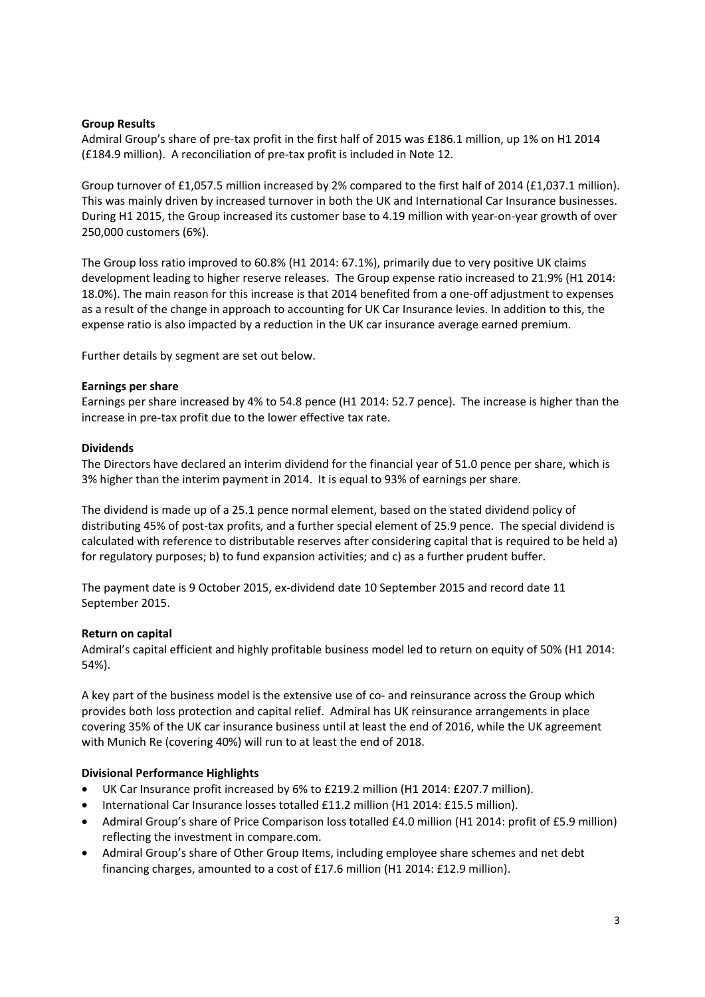#### **Group Results**

Admiral Group's share of pre-tax profit in the first half of 2015 was £186.1 million, up 1% on H1 2014 (£184.9 million). A reconciliation of pre-tax profit is included in Note 12.

Group turnover of £1,057.5 million increased by 2% compared to the first half of 2014 (£1,037.1 million). This was mainly driven by increased turnover in both the UK and International Car Insurance businesses. During H1 2015, the Group increased its customer base to 4.19 million with year-on-year growth of over 250,000 customers (6%).

The Group loss ratio improved to 60.8% (H1 2014: 67.1%), primarily due to very positive UK claims development leading to higher reserve releases. The Group expense ratio increased to 21.9% (H1 2014: 18.0%). The main reason for this increase is that 2014 benefited from a one-off adjustment to expenses as a result of the change in approach to accounting for UK Car Insurance levies. In addition to this, the expense ratio is also impacted by a reduction in the UK car insurance average earned premium.

Further details by segment are set out below.

#### **Earnings per share**

Earnings per share increased by 4% to 54.8 pence (H1 2014: 52.7 pence). The increase is higher than the increase in pre-tax profit due to the lower effective tax rate.

#### **Dividends**

The Directors have declared an interim dividend for the financial year of 51.0 pence per share, which is 3% higher than the interim payment in 2014. It is equal to 93% of earnings per share.

The dividend is made up of a 25.1 pence normal element, based on the stated dividend policy of distributing 45% of post-tax profits, and a further special element of 25.9 pence. The special dividend is calculated with reference to distributable reserves after considering capital that is required to be held a) for regulatory purposes; b) to fund expansion activities; and c) as a further prudent buffer.

The payment date is 9 October 2015, ex-dividend date 10 September 2015 and record date 11 September 2015.

#### **Return on capital**

Admiral's capital efficient and highly profitable business model led to return on equity of 50% (H1 2014: 54%).

A key part of the business model is the extensive use of co- and reinsurance across the Group which provides both loss protection and capital relief. Admiral has UK reinsurance arrangements in place covering 35% of the UK car insurance business until at least the end of 2016, while the UK agreement with Munich Re (covering 40%) will run to at least the end of 2018.

#### **Divisional Performance Highlights**

- UK Car Insurance profit increased by 6% to £219.2 million (H1 2014: £207.7 million).
- International Car Insurance losses totalled £11.2 million (H1 2014: £15.5 million).
- Admiral Group's share of Price Comparison loss totalled £4.0 million (H1 2014: profit of £5.9 million) reflecting the investment in compare.com.
- Admiral Group's share of Other Group Items, including employee share schemes and net debt financing charges, amounted to a cost of £17.6 million (H1 2014: £12.9 million).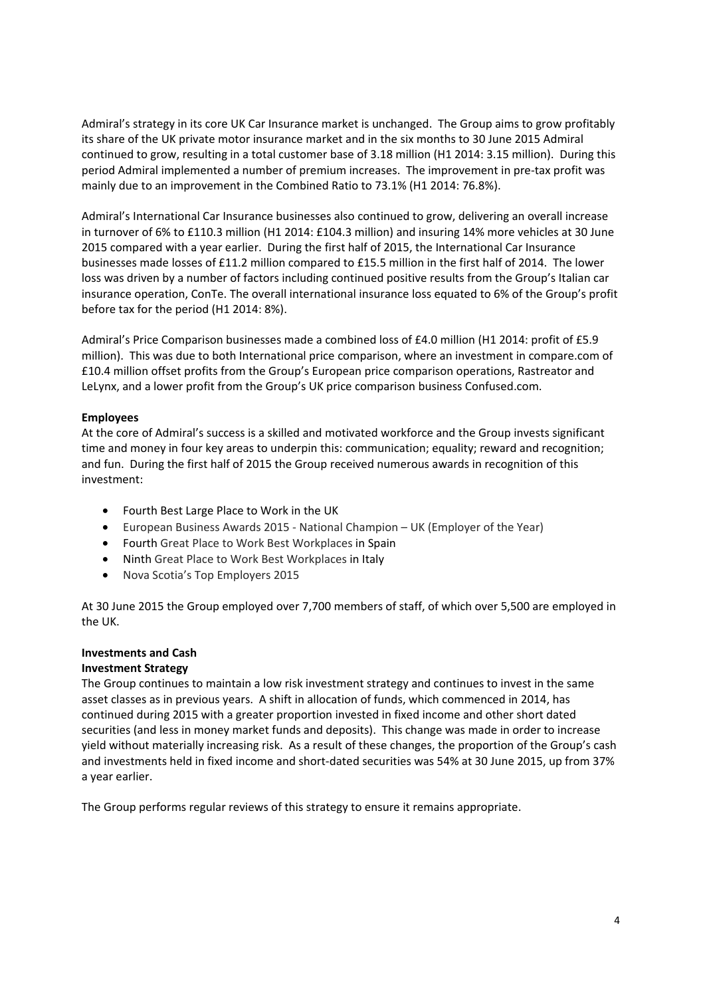Admiral's strategy in its core UK Car Insurance market is unchanged. The Group aims to grow profitably its share of the UK private motor insurance market and in the six months to 30 June 2015 Admiral continued to grow, resulting in a total customer base of 3.18 million (H1 2014: 3.15 million). During this period Admiral implemented a number of premium increases. The improvement in pre-tax profit was mainly due to an improvement in the Combined Ratio to 73.1% (H1 2014: 76.8%).

Admiral's International Car Insurance businesses also continued to grow, delivering an overall increase in turnover of 6% to £110.3 million (H1 2014: £104.3 million) and insuring 14% more vehicles at 30 June 2015 compared with a year earlier. During the first half of 2015, the International Car Insurance businesses made losses of £11.2 million compared to £15.5 million in the first half of 2014. The lower loss was driven by a number of factors including continued positive results from the Group's Italian car insurance operation, ConTe. The overall international insurance loss equated to 6% of the Group's profit before tax for the period (H1 2014: 8%).

Admiral's Price Comparison businesses made a combined loss of £4.0 million (H1 2014: profit of £5.9 million). This was due to both International price comparison, where an investment in compare.com of £10.4 million offset profits from the Group's European price comparison operations, Rastreator and LeLynx, and a lower profit from the Group's UK price comparison business Confused.com.

#### **Employees**

At the core of Admiral's success is a skilled and motivated workforce and the Group invests significant time and money in four key areas to underpin this: communication; equality; reward and recognition; and fun. During the first half of 2015 the Group received numerous awards in recognition of this investment:

- Fourth Best Large Place to Work in the UK
- European Business Awards 2015 National Champion UK (Employer of the Year)
- Fourth Great Place to Work Best Workplaces in Spain
- Ninth Great Place to Work Best Workplaces in Italy
- Nova Scotia's Top Employers 2015

At 30 June 2015 the Group employed over 7,700 members of staff, of which over 5,500 are employed in the UK.

# **Investments and Cash**

#### **Investment Strategy**

The Group continues to maintain a low risk investment strategy and continues to invest in the same asset classes as in previous years. A shift in allocation of funds, which commenced in 2014, has continued during 2015 with a greater proportion invested in fixed income and other short dated securities (and less in money market funds and deposits). This change was made in order to increase yield without materially increasing risk. As a result of these changes, the proportion of the Group's cash and investments held in fixed income and short-dated securities was 54% at 30 June 2015, up from 37% a year earlier.

The Group performs regular reviews of this strategy to ensure it remains appropriate.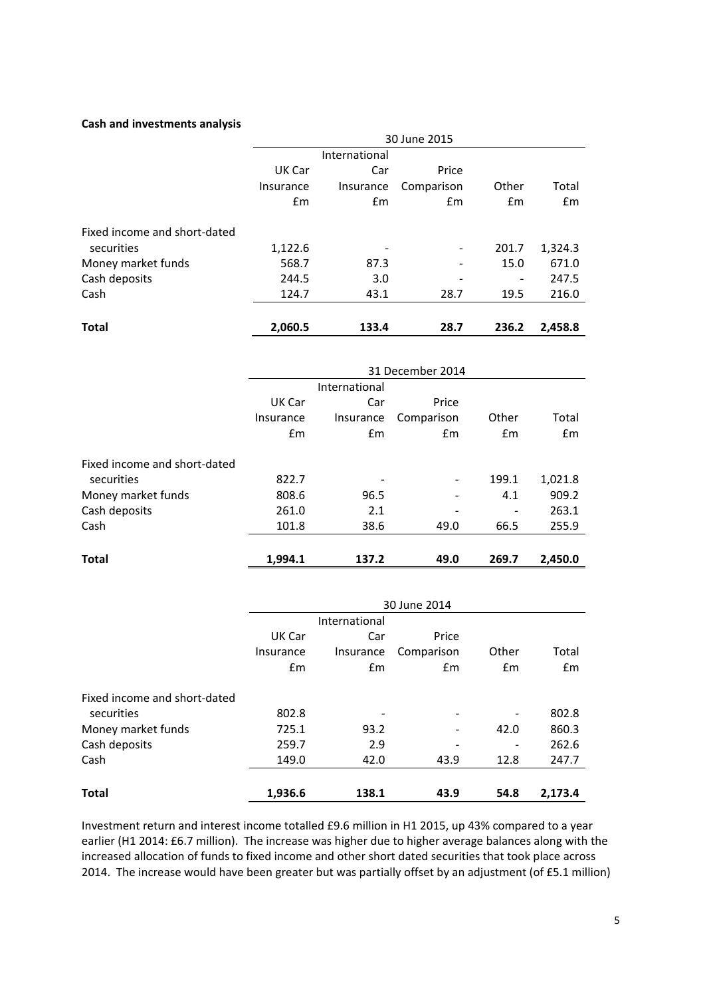#### **Cash and investments analysis**

|                              | 30 June 2015 |               |            |       |         |
|------------------------------|--------------|---------------|------------|-------|---------|
|                              |              | International |            |       |         |
|                              | UK Car       | Car           | Price      |       |         |
|                              | Insurance    | Insurance     | Comparison | Other | Total   |
|                              | Em           | Em            | Em         | Em    | Em      |
| Fixed income and short-dated |              |               |            |       |         |
| securities                   | 1,122.6      |               | -          | 201.7 | 1,324.3 |
| Money market funds           | 568.7        | 87.3          | -          | 15.0  | 671.0   |
| Cash deposits                | 244.5        | 3.0           |            |       | 247.5   |
| Cash                         | 124.7        | 43.1          | 28.7       | 19.5  | 216.0   |
| <b>Total</b>                 | 2.060.5      | 133.4         | 28.7       | 236.2 | 2,458.8 |

|                              | 31 December 2014 |               |               |                          |         |
|------------------------------|------------------|---------------|---------------|--------------------------|---------|
|                              |                  | International |               |                          |         |
|                              | UK Car           | Car           | Price         |                          |         |
|                              | Insurance        | Insurance     | Comparison    | Other                    | Total   |
|                              | Em               | $\mathsf{fm}$ | $\mathsf{fm}$ | Em                       | Em      |
| Fixed income and short-dated |                  |               |               |                          |         |
| securities                   | 822.7            |               |               | 199.1                    | 1,021.8 |
| Money market funds           | 808.6            | 96.5          |               | 4.1                      | 909.2   |
| Cash deposits                | 261.0            | 2.1           |               | $\overline{\phantom{a}}$ | 263.1   |
| Cash                         | 101.8            | 38.6          | 49.0          | 66.5                     | 255.9   |
|                              |                  |               |               |                          |         |
| Total                        | 1.994.1          | 137.2         | 49.0          | 269.7                    | 2,450.0 |

|                              | 30 June 2014 |               |            |       |         |
|------------------------------|--------------|---------------|------------|-------|---------|
|                              |              | International |            |       |         |
|                              | UK Car       | Car           | Price      |       |         |
|                              | Insurance    | Insurance     | Comparison | Other | Total   |
|                              | Em           | Em            | Em         | Em    | Em      |
| Fixed income and short-dated |              |               |            |       |         |
| securities                   | 802.8        |               |            | -     | 802.8   |
| Money market funds           | 725.1        | 93.2          |            | 42.0  | 860.3   |
| Cash deposits                | 259.7        | 2.9           |            | -     | 262.6   |
| Cash                         | 149.0        | 42.0          | 43.9       | 12.8  | 247.7   |
| <b>Total</b>                 | 1.936.6      | 138.1         | 43.9       | 54.8  | 2.173.4 |

Investment return and interest income totalled £9.6 million in H1 2015, up 43% compared to a year earlier (H1 2014: £6.7 million). The increase was higher due to higher average balances along with the increased allocation of funds to fixed income and other short dated securities that took place across 2014. The increase would have been greater but was partially offset by an adjustment (of £5.1 million)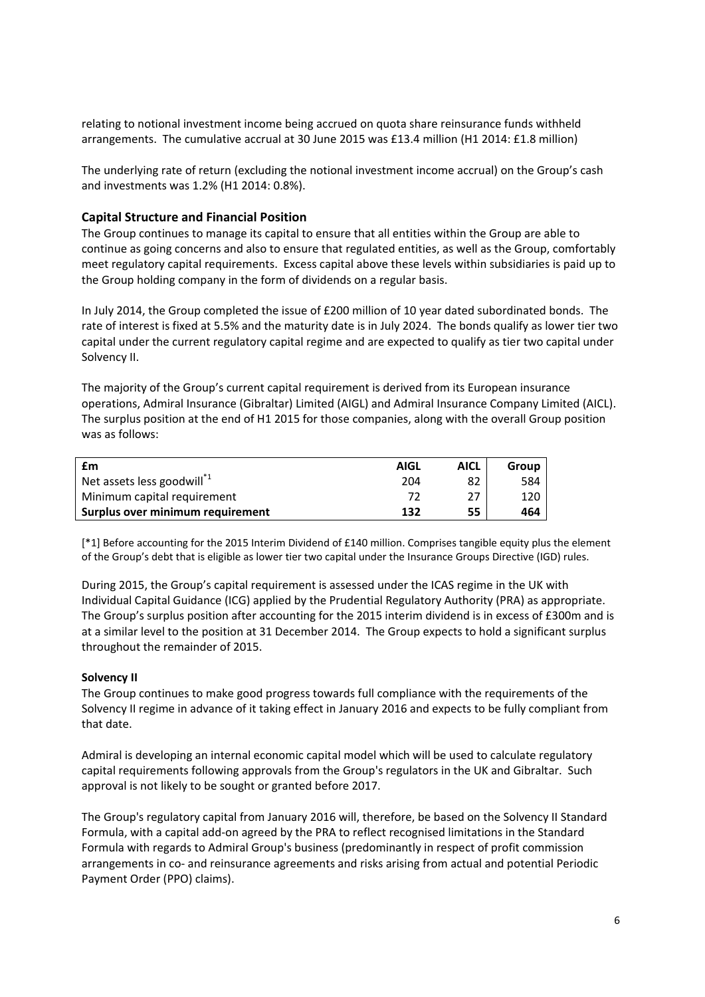relating to notional investment income being accrued on quota share reinsurance funds withheld arrangements. The cumulative accrual at 30 June 2015 was £13.4 million (H1 2014: £1.8 million)

The underlying rate of return (excluding the notional investment income accrual) on the Group's cash and investments was 1.2% (H1 2014: 0.8%).

## **Capital Structure and Financial Position**

The Group continues to manage its capital to ensure that all entities within the Group are able to continue as going concerns and also to ensure that regulated entities, as well as the Group, comfortably meet regulatory capital requirements. Excess capital above these levels within subsidiaries is paid up to the Group holding company in the form of dividends on a regular basis.

In July 2014, the Group completed the issue of £200 million of 10 year dated subordinated bonds. The rate of interest is fixed at 5.5% and the maturity date is in July 2024. The bonds qualify as lower tier two capital under the current regulatory capital regime and are expected to qualify as tier two capital under Solvency II.

The majority of the Group's current capital requirement is derived from its European insurance operations, Admiral Insurance (Gibraltar) Limited (AIGL) and Admiral Insurance Company Limited (AICL). The surplus position at the end of H1 2015 for those companies, along with the overall Group position was as follows:

| £m                                     | <b>AIGL</b> | AICL | Group |
|----------------------------------------|-------------|------|-------|
| Net assets less goodwill <sup>*1</sup> | 204         | 82   | 584   |
| Minimum capital requirement            | 77          | 27   | 120   |
| Surplus over minimum requirement       | 132         | 55   | 464   |

[\*1] Before accounting for the 2015 Interim Dividend of £140 million. Comprises tangible equity plus the element of the Group's debt that is eligible as lower tier two capital under the Insurance Groups Directive (IGD) rules.

During 2015, the Group's capital requirement is assessed under the ICAS regime in the UK with Individual Capital Guidance (ICG) applied by the Prudential Regulatory Authority (PRA) as appropriate. The Group's surplus position after accounting for the 2015 interim dividend is in excess of £300m and is at a similar level to the position at 31 December 2014. The Group expects to hold a significant surplus throughout the remainder of 2015.

#### **Solvency II**

The Group continues to make good progress towards full compliance with the requirements of the Solvency II regime in advance of it taking effect in January 2016 and expects to be fully compliant from that date.

Admiral is developing an internal economic capital model which will be used to calculate regulatory capital requirements following approvals from the Group's regulators in the UK and Gibraltar. Such approval is not likely to be sought or granted before 2017.

The Group's regulatory capital from January 2016 will, therefore, be based on the Solvency II Standard Formula, with a capital add-on agreed by the PRA to reflect recognised limitations in the Standard Formula with regards to Admiral Group's business (predominantly in respect of profit commission arrangements in co- and reinsurance agreements and risks arising from actual and potential Periodic Payment Order (PPO) claims).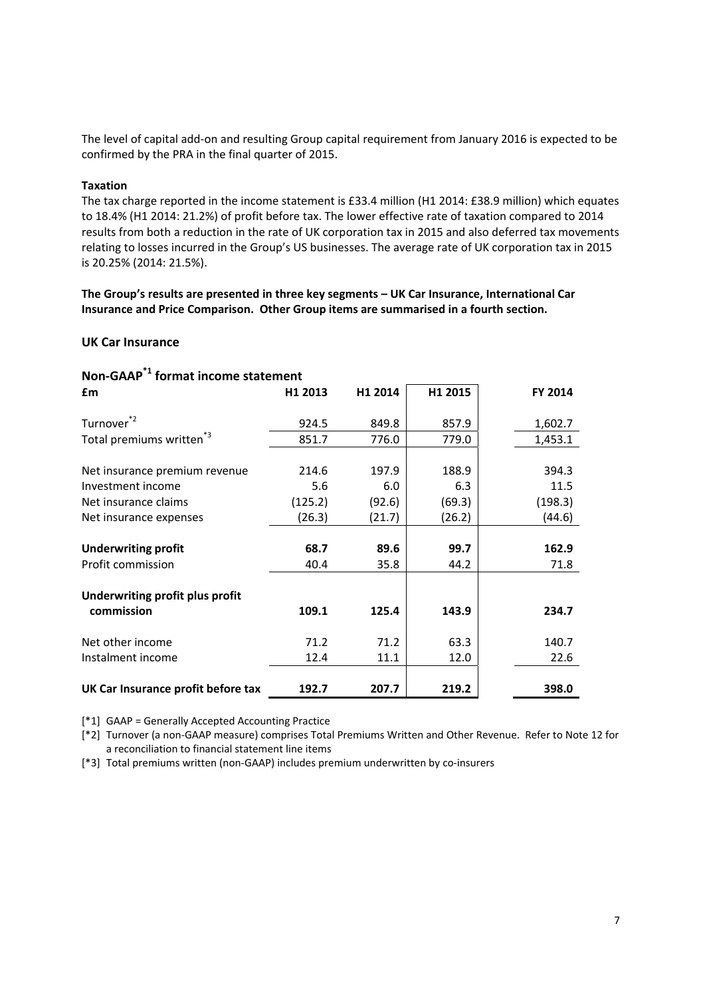The level of capital add-on and resulting Group capital requirement from January 2016 is expected to be confirmed by the PRA in the final quarter of 2015.

#### **Taxation**

The tax charge reported in the income statement is £33.4 million (H1 2014: £38.9 million) which equates to 18.4% (H1 2014: 21.2%) of profit before tax. The lower effective rate of taxation compared to 2014 results from both a reduction in the rate of UK corporation tax in 2015 and also deferred tax movements relating to losses incurred in the Group's US businesses. The average rate of UK corporation tax in 2015 is 20.25% (2014: 21.5%).

**The Group's results are presented in three key segments – UK Car Insurance, International Car Insurance and Price Comparison. Other Group items are summarised in a fourth section.** 

#### **UK Car Insurance**

| Non-GAAP + format income statement   |         |         |         |         |  |  |
|--------------------------------------|---------|---------|---------|---------|--|--|
| £m                                   | H1 2013 | H1 2014 | H1 2015 | FY 2014 |  |  |
| Turnover <sup>*2</sup>               | 924.5   | 849.8   | 857.9   | 1,602.7 |  |  |
| Total premiums written <sup>*3</sup> | 851.7   | 776.0   | 779.0   | 1,453.1 |  |  |
|                                      |         |         |         |         |  |  |
| Net insurance premium revenue        | 214.6   | 197.9   | 188.9   | 394.3   |  |  |
| Investment income                    | 5.6     | 6.0     | 6.3     | 11.5    |  |  |
| Net insurance claims                 | (125.2) | (92.6)  | (69.3)  | (198.3) |  |  |
| Net insurance expenses               | (26.3)  | (21.7)  | (26.2)  | (44.6)  |  |  |
|                                      |         |         |         |         |  |  |
| <b>Underwriting profit</b>           | 68.7    | 89.6    | 99.7    | 162.9   |  |  |
| Profit commission                    | 40.4    | 35.8    | 44.2    | 71.8    |  |  |
| Underwriting profit plus profit      |         |         |         |         |  |  |
| commission                           | 109.1   | 125.4   | 143.9   | 234.7   |  |  |
| Net other income                     | 71.2    | 71.2    | 63.3    | 140.7   |  |  |
| Instalment income                    | 12.4    | 11.1    | 12.0    | 22.6    |  |  |
| UK Car Insurance profit before tax   | 192.7   | 207.7   | 219.2   | 398.0   |  |  |

**Non-GAAP\*1 format income statement** 

[\*1] GAAP = Generally Accepted Accounting Practice

[\*2] Turnover (a non-GAAP measure) comprises Total Premiums Written and Other Revenue. Refer to Note 12 for a reconciliation to financial statement line items

[\*3] Total premiums written (non-GAAP) includes premium underwritten by co-insurers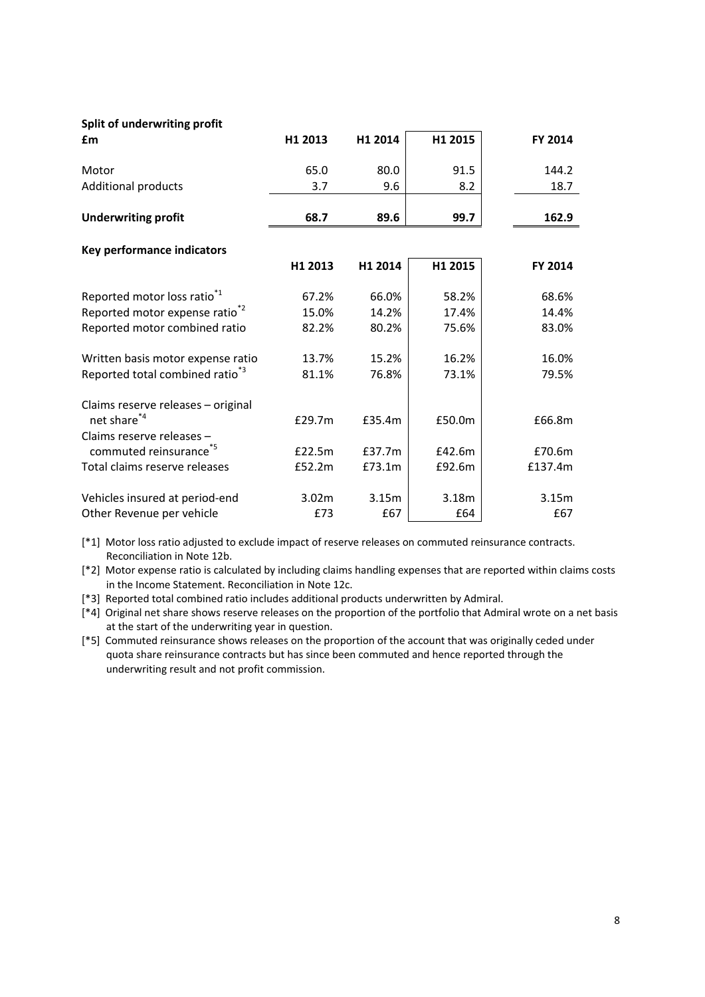#### **Split of underwriting profit**

| £m                                          | H1 2013           | H1 2014 | H1 2015 | <b>FY 2014</b> |
|---------------------------------------------|-------------------|---------|---------|----------------|
| Motor                                       | 65.0              | 80.0    | 91.5    | 144.2          |
| <b>Additional products</b>                  | 3.7               | 9.6     | 8.2     | 18.7           |
| <b>Underwriting profit</b>                  | 68.7              | 89.6    | 99.7    | 162.9          |
| Key performance indicators                  |                   |         |         |                |
|                                             | H1 2013           | H1 2014 | H1 2015 | <b>FY 2014</b> |
| Reported motor loss ratio <sup>*1</sup>     | 67.2%             | 66.0%   | 58.2%   | 68.6%          |
| Reported motor expense ratio <sup>*2</sup>  | 15.0%             | 14.2%   | 17.4%   | 14.4%          |
| Reported motor combined ratio               | 82.2%             | 80.2%   | 75.6%   | 83.0%          |
| Written basis motor expense ratio           | 13.7%             | 15.2%   | 16.2%   | 16.0%          |
| Reported total combined ratio <sup>*3</sup> | 81.1%             | 76.8%   | 73.1%   | 79.5%          |
| Claims reserve releases - original          |                   |         |         |                |
| net share <sup>*4</sup>                     | £29.7m            | £35.4m  | £50.0m  | £66.8m         |
| Claims reserve releases -                   |                   |         |         |                |
| commuted reinsurance <sup>*5</sup>          | £22.5m            | £37.7m  | £42.6m  | £70.6m         |
| Total claims reserve releases               | £52.2m            | £73.1m  | £92.6m  | £137.4m        |
| Vehicles insured at period-end              | 3.02 <sub>m</sub> | 3.15m   | 3.18m   | 3.15m          |
| Other Revenue per vehicle                   | £73               | £67     | £64     | £67            |

[\*1] Motor loss ratio adjusted to exclude impact of reserve releases on commuted reinsurance contracts. Reconciliation in Note 12b.

[\*2] Motor expense ratio is calculated by including claims handling expenses that are reported within claims costs in the Income Statement. Reconciliation in Note 12c.

[\*3] Reported total combined ratio includes additional products underwritten by Admiral.

[\*4] Original net share shows reserve releases on the proportion of the portfolio that Admiral wrote on a net basis at the start of the underwriting year in question.

[\*5] Commuted reinsurance shows releases on the proportion of the account that was originally ceded under quota share reinsurance contracts but has since been commuted and hence reported through the underwriting result and not profit commission.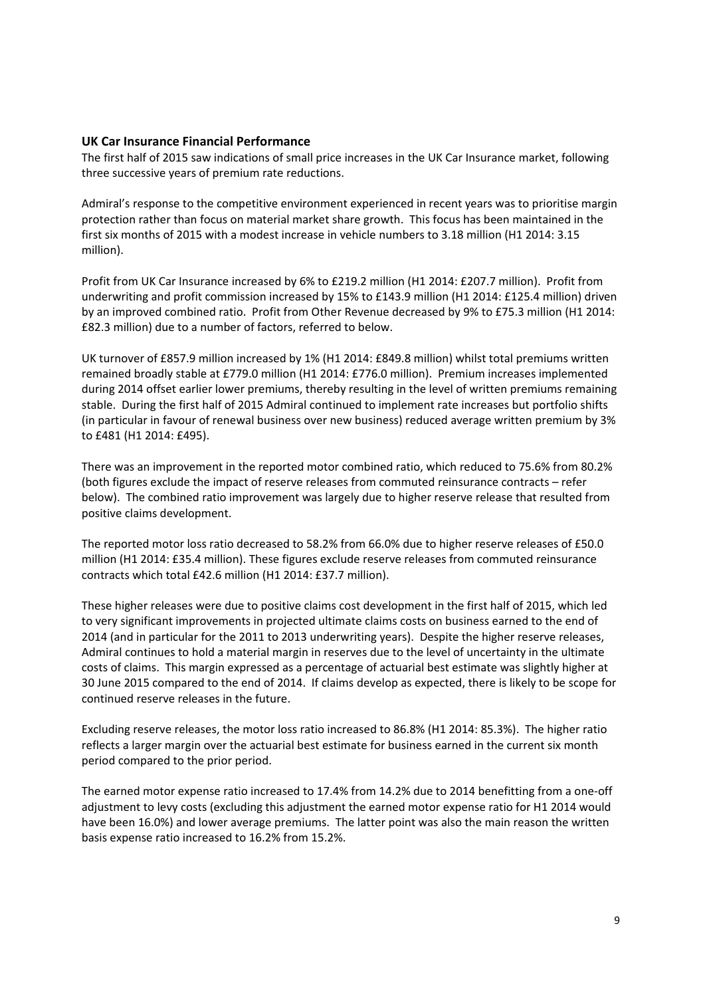# **UK Car Insurance Financial Performance**

The first half of 2015 saw indications of small price increases in the UK Car Insurance market, following three successive years of premium rate reductions.

Admiral's response to the competitive environment experienced in recent years was to prioritise margin protection rather than focus on material market share growth. This focus has been maintained in the first six months of 2015 with a modest increase in vehicle numbers to 3.18 million (H1 2014: 3.15 million).

Profit from UK Car Insurance increased by 6% to £219.2 million (H1 2014: £207.7 million). Profit from underwriting and profit commission increased by 15% to £143.9 million (H1 2014: £125.4 million) driven by an improved combined ratio. Profit from Other Revenue decreased by 9% to £75.3 million (H1 2014: £82.3 million) due to a number of factors, referred to below.

UK turnover of £857.9 million increased by 1% (H1 2014: £849.8 million) whilst total premiums written remained broadly stable at £779.0 million (H1 2014: £776.0 million). Premium increases implemented during 2014 offset earlier lower premiums, thereby resulting in the level of written premiums remaining stable. During the first half of 2015 Admiral continued to implement rate increases but portfolio shifts (in particular in favour of renewal business over new business) reduced average written premium by 3% to £481 (H1 2014: £495).

There was an improvement in the reported motor combined ratio, which reduced to 75.6% from 80.2% (both figures exclude the impact of reserve releases from commuted reinsurance contracts – refer below). The combined ratio improvement was largely due to higher reserve release that resulted from positive claims development.

The reported motor loss ratio decreased to 58.2% from 66.0% due to higher reserve releases of £50.0 million (H1 2014: £35.4 million). These figures exclude reserve releases from commuted reinsurance contracts which total £42.6 million (H1 2014: £37.7 million).

These higher releases were due to positive claims cost development in the first half of 2015, which led to very significant improvements in projected ultimate claims costs on business earned to the end of 2014 (and in particular for the 2011 to 2013 underwriting years). Despite the higher reserve releases, Admiral continues to hold a material margin in reserves due to the level of uncertainty in the ultimate costs of claims. This margin expressed as a percentage of actuarial best estimate was slightly higher at 30 June 2015 compared to the end of 2014. If claims develop as expected, there is likely to be scope for continued reserve releases in the future.

Excluding reserve releases, the motor loss ratio increased to 86.8% (H1 2014: 85.3%). The higher ratio reflects a larger margin over the actuarial best estimate for business earned in the current six month period compared to the prior period.

The earned motor expense ratio increased to 17.4% from 14.2% due to 2014 benefitting from a one-off adjustment to levy costs (excluding this adjustment the earned motor expense ratio for H1 2014 would have been 16.0%) and lower average premiums. The latter point was also the main reason the written basis expense ratio increased to 16.2% from 15.2%.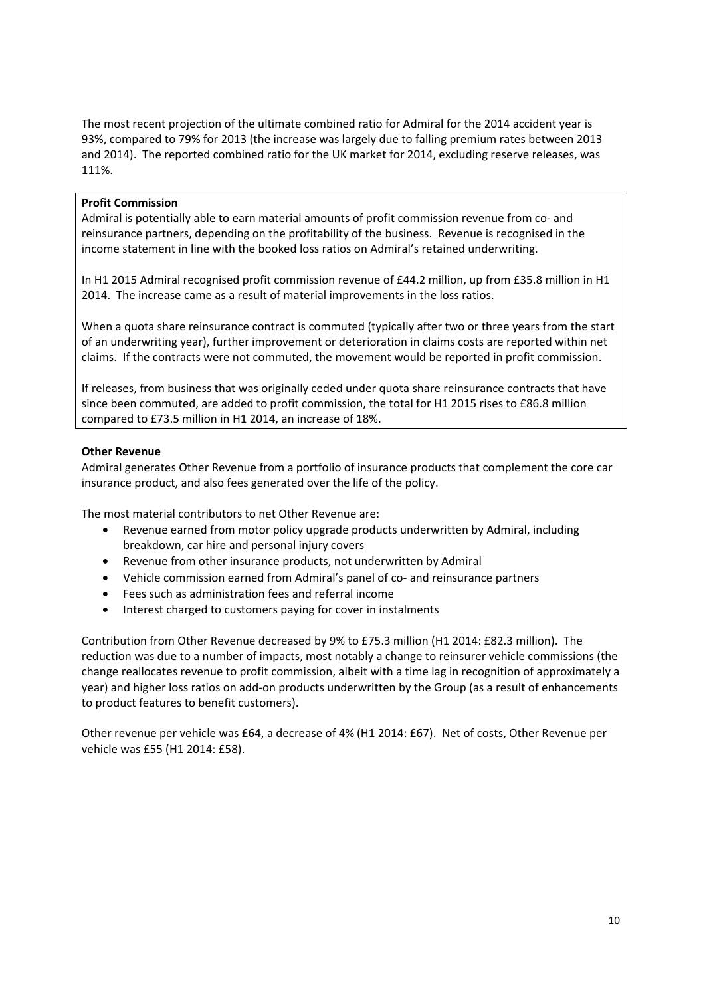The most recent projection of the ultimate combined ratio for Admiral for the 2014 accident year is 93%, compared to 79% for 2013 (the increase was largely due to falling premium rates between 2013 and 2014). The reported combined ratio for the UK market for 2014, excluding reserve releases, was 111%.

#### **Profit Commission**

Admiral is potentially able to earn material amounts of profit commission revenue from co- and reinsurance partners, depending on the profitability of the business. Revenue is recognised in the income statement in line with the booked loss ratios on Admiral's retained underwriting.

In H1 2015 Admiral recognised profit commission revenue of £44.2 million, up from £35.8 million in H1 2014. The increase came as a result of material improvements in the loss ratios.

When a quota share reinsurance contract is commuted (typically after two or three years from the start of an underwriting year), further improvement or deterioration in claims costs are reported within net claims. If the contracts were not commuted, the movement would be reported in profit commission.

If releases, from business that was originally ceded under quota share reinsurance contracts that have since been commuted, are added to profit commission, the total for H1 2015 rises to £86.8 million compared to £73.5 million in H1 2014, an increase of 18%.

#### **Other Revenue**

Admiral generates Other Revenue from a portfolio of insurance products that complement the core car insurance product, and also fees generated over the life of the policy.

The most material contributors to net Other Revenue are:

- Revenue earned from motor policy upgrade products underwritten by Admiral, including breakdown, car hire and personal injury covers
- Revenue from other insurance products, not underwritten by Admiral
- Vehicle commission earned from Admiral's panel of co- and reinsurance partners
- Fees such as administration fees and referral income
- Interest charged to customers paying for cover in instalments

Contribution from Other Revenue decreased by 9% to £75.3 million (H1 2014: £82.3 million). The reduction was due to a number of impacts, most notably a change to reinsurer vehicle commissions (the change reallocates revenue to profit commission, albeit with a time lag in recognition of approximately a year) and higher loss ratios on add-on products underwritten by the Group (as a result of enhancements to product features to benefit customers).

Other revenue per vehicle was £64, a decrease of 4% (H1 2014: £67). Net of costs, Other Revenue per vehicle was £55 (H1 2014: £58).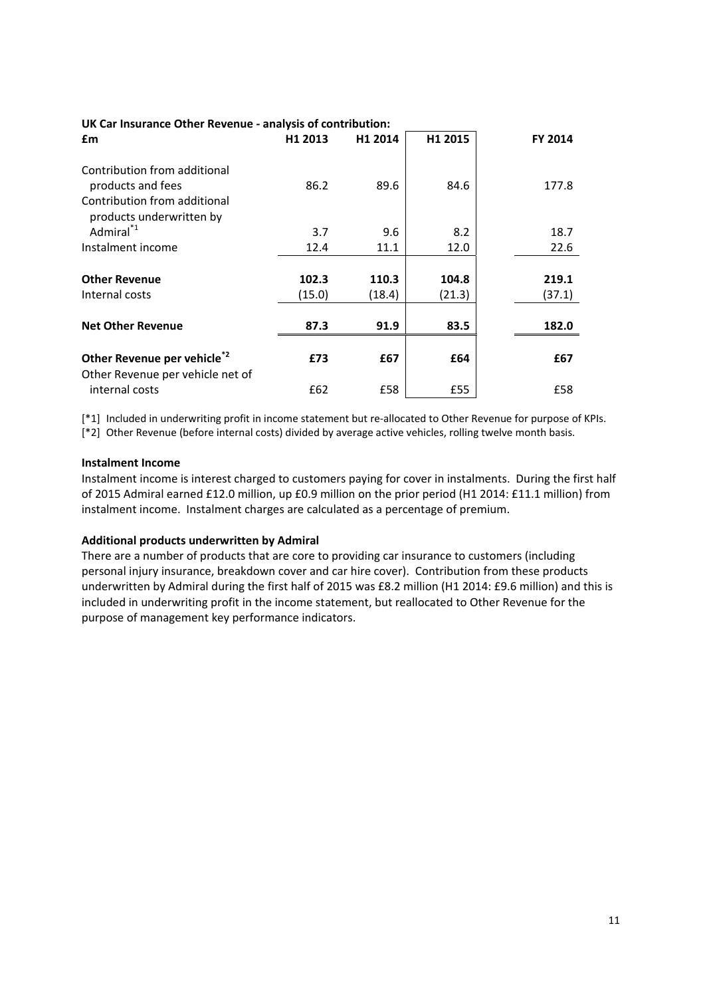| ON Car insurance Other Revenue - analysis of contribution: |         |         |         |         |  |  |
|------------------------------------------------------------|---------|---------|---------|---------|--|--|
| £m                                                         | H1 2013 | H1 2014 | H1 2015 | FY 2014 |  |  |
| Contribution from additional                               |         |         |         |         |  |  |
| products and fees                                          | 86.2    | 89.6    | 84.6    | 177.8   |  |  |
| Contribution from additional<br>products underwritten by   |         |         |         |         |  |  |
| Admiral <sup>*1</sup>                                      | 3.7     | 9.6     | 8.2     | 18.7    |  |  |
| Instalment income                                          | 12.4    | 11.1    | 12.0    | 22.6    |  |  |
|                                                            |         |         |         |         |  |  |
| <b>Other Revenue</b>                                       | 102.3   | 110.3   | 104.8   | 219.1   |  |  |
| Internal costs                                             | (15.0)  | (18.4)  | (21.3)  | (37.1)  |  |  |
|                                                            |         |         |         |         |  |  |
| <b>Net Other Revenue</b>                                   | 87.3    | 91.9    | 83.5    | 182.0   |  |  |
|                                                            |         |         |         |         |  |  |
| Other Revenue per vehicle <sup>*2</sup>                    | £73     | £67     | £64     | £67     |  |  |
| Other Revenue per vehicle net of                           |         |         |         |         |  |  |
| internal costs                                             | £62     | £58     | £55     | £58     |  |  |

#### **UK Car Insurance Other Revenue - analysis of contribution:**

[\*1] Included in underwriting profit in income statement but re-allocated to Other Revenue for purpose of KPIs. [\*2] Other Revenue (before internal costs) divided by average active vehicles, rolling twelve month basis.

#### **Instalment Income**

Instalment income is interest charged to customers paying for cover in instalments. During the first half of 2015 Admiral earned £12.0 million, up £0.9 million on the prior period (H1 2014: £11.1 million) from instalment income. Instalment charges are calculated as a percentage of premium.

#### **Additional products underwritten by Admiral**

There are a number of products that are core to providing car insurance to customers (including personal injury insurance, breakdown cover and car hire cover). Contribution from these products underwritten by Admiral during the first half of 2015 was £8.2 million (H1 2014: £9.6 million) and this is included in underwriting profit in the income statement, but reallocated to Other Revenue for the purpose of management key performance indicators.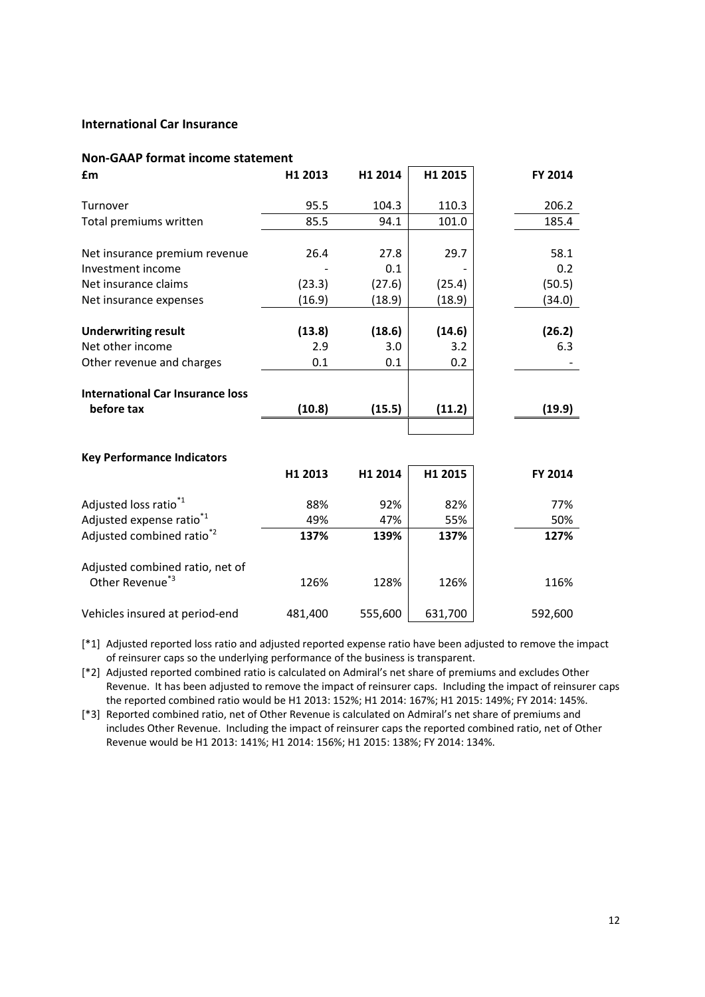# **International Car Insurance**

#### **Non-GAAP format income statement**

| £m                                      | H1 2013 | H1 2014 | H1 2015 | FY 2014 |
|-----------------------------------------|---------|---------|---------|---------|
| Turnover                                | 95.5    | 104.3   | 110.3   | 206.2   |
| Total premiums written                  | 85.5    | 94.1    | 101.0   | 185.4   |
| Net insurance premium revenue           | 26.4    | 27.8    | 29.7    | 58.1    |
| Investment income                       |         | 0.1     |         | 0.2     |
| Net insurance claims                    | (23.3)  | (27.6)  | (25.4)  | (50.5)  |
| Net insurance expenses                  | (16.9)  | (18.9)  | (18.9)  | (34.0)  |
| <b>Underwriting result</b>              | (13.8)  | (18.6)  | (14.6)  | (26.2)  |
| Net other income                        | 2.9     | 3.0     | 3.2     | 6.3     |
| Other revenue and charges               | 0.1     | 0.1     | 0.2     |         |
|                                         |         |         |         |         |
| <b>International Car Insurance loss</b> |         |         |         |         |
| before tax                              | (10.8)  | (15.5)  | (11.2)  | (19.9)  |
|                                         |         |         |         |         |
|                                         |         |         |         |         |
| <b>Key Performance Indicators</b>       |         |         |         |         |
|                                         | H1 2013 | H1 2014 | H1 2015 | FY 2014 |
| Adjusted loss ratio <sup>*1</sup>       | 88%     | 92%     | 82%     | 77%     |
| Adjusted expense ratio <sup>*1</sup>    | 49%     | 47%     | 55%     | 50%     |
| Adjusted combined ratio <sup>*2</sup>   | 137%    | 139%    | 137%    | 127%    |
| Adjusted combined ratio, net of         |         |         |         |         |
| Other Revenue <sup>*3</sup>             | 126%    | 128%    | 126%    | 116%    |
| Vehicles insured at period-end          | 481,400 | 555,600 | 631,700 | 592,600 |

[\*1] Adjusted reported loss ratio and adjusted reported expense ratio have been adjusted to remove the impact of reinsurer caps so the underlying performance of the business is transparent.

[\*2] Adjusted reported combined ratio is calculated on Admiral's net share of premiums and excludes Other Revenue. It has been adjusted to remove the impact of reinsurer caps. Including the impact of reinsurer caps the reported combined ratio would be H1 2013: 152%; H1 2014: 167%; H1 2015: 149%; FY 2014: 145%.

[\*3] Reported combined ratio, net of Other Revenue is calculated on Admiral's net share of premiums and includes Other Revenue. Including the impact of reinsurer caps the reported combined ratio, net of Other Revenue would be H1 2013: 141%; H1 2014: 156%; H1 2015: 138%; FY 2014: 134%.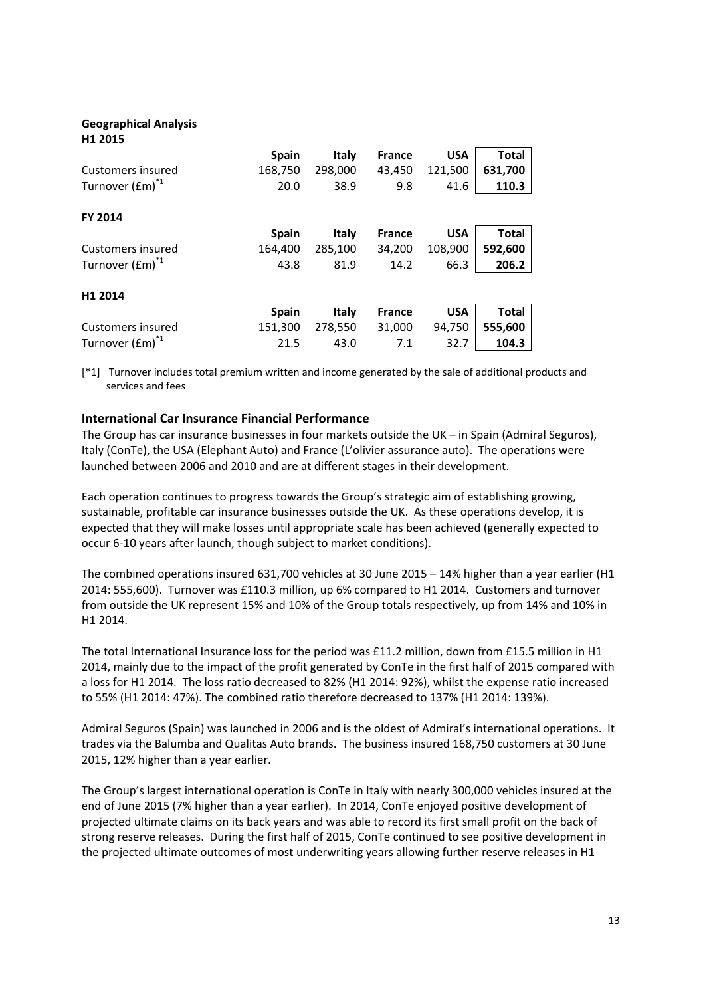# **Geographical Analysis H1 2015 Spain Italy France USA Total**  Customers insured 168,750 298,000 43,450 121,500 **631,700**  Turnover (£m)\*1 20.0 38.9 9.8 41.6 **110.3 FY 2014 Spain Italy France USA Total**  Customers insured 164,400 285,100 34,200 108,900 **592,600**  Turnover (£m)\*1 43.8 81.9 14.2 66.3 **206.2 H1 2014 Spain Italy France USA Total**  Customers insured 151,300 278,550 31,000 94,750 **555,600**  Turnover (£m)\*1 21.5 43.0 7.1 32.7 **104.3**

[\*1] Turnover includes total premium written and income generated by the sale of additional products and services and fees

# **International Car Insurance Financial Performance**

The Group has car insurance businesses in four markets outside the UK – in Spain (Admiral Seguros), Italy (ConTe), the USA (Elephant Auto) and France (L'olivier assurance auto). The operations were launched between 2006 and 2010 and are at different stages in their development.

Each operation continues to progress towards the Group's strategic aim of establishing growing, sustainable, profitable car insurance businesses outside the UK. As these operations develop, it is expected that they will make losses until appropriate scale has been achieved (generally expected to occur 6-10 years after launch, though subject to market conditions).

The combined operations insured 631,700 vehicles at 30 June 2015 – 14% higher than a year earlier (H1 2014: 555,600). Turnover was £110.3 million, up 6% compared to H1 2014. Customers and turnover from outside the UK represent 15% and 10% of the Group totals respectively, up from 14% and 10% in H1 2014.

The total International Insurance loss for the period was £11.2 million, down from £15.5 million in H1 2014, mainly due to the impact of the profit generated by ConTe in the first half of 2015 compared with a loss for H1 2014. The loss ratio decreased to 82% (H1 2014: 92%), whilst the expense ratio increased to 55% (H1 2014: 47%). The combined ratio therefore decreased to 137% (H1 2014: 139%).

Admiral Seguros (Spain) was launched in 2006 and is the oldest of Admiral's international operations. It trades via the Balumba and Qualitas Auto brands. The business insured 168,750 customers at 30 June 2015, 12% higher than a year earlier.

The Group's largest international operation is ConTe in Italy with nearly 300,000 vehicles insured at the end of June 2015 (7% higher than a year earlier). In 2014, ConTe enjoyed positive development of projected ultimate claims on its back years and was able to record its first small profit on the back of strong reserve releases. During the first half of 2015, ConTe continued to see positive development in the projected ultimate outcomes of most underwriting years allowing further reserve releases in H1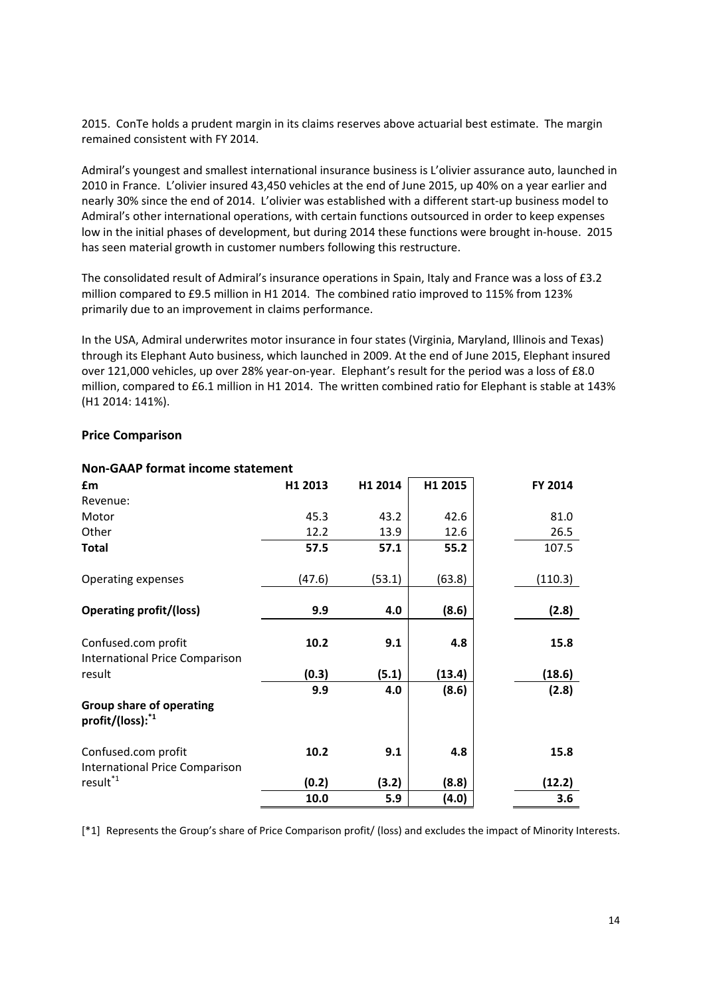2015. ConTe holds a prudent margin in its claims reserves above actuarial best estimate. The margin remained consistent with FY 2014.

Admiral's youngest and smallest international insurance business is L'olivier assurance auto, launched in 2010 in France. L'olivier insured 43,450 vehicles at the end of June 2015, up 40% on a year earlier and nearly 30% since the end of 2014. L'olivier was established with a different start-up business model to Admiral's other international operations, with certain functions outsourced in order to keep expenses low in the initial phases of development, but during 2014 these functions were brought in-house. 2015 has seen material growth in customer numbers following this restructure.

The consolidated result of Admiral's insurance operations in Spain, Italy and France was a loss of £3.2 million compared to £9.5 million in H1 2014. The combined ratio improved to 115% from 123% primarily due to an improvement in claims performance.

In the USA, Admiral underwrites motor insurance in four states (Virginia, Maryland, Illinois and Texas) through its Elephant Auto business, which launched in 2009. At the end of June 2015, Elephant insured over 121,000 vehicles, up over 28% year-on-year. Elephant's result for the period was a loss of £8.0 million, compared to £6.1 million in H1 2014. The written combined ratio for Elephant is stable at 143% (H1 2014: 141%).

#### **Price Comparison**

| £m                                                              | H1 2013 | H1 2014 | H1 2015 | FY 2014 |
|-----------------------------------------------------------------|---------|---------|---------|---------|
| Revenue:                                                        |         |         |         |         |
| Motor                                                           | 45.3    | 43.2    | 42.6    | 81.0    |
| Other                                                           | 12.2    | 13.9    | 12.6    | 26.5    |
| Total                                                           | 57.5    | 57.1    | 55.2    | 107.5   |
| Operating expenses                                              | (47.6)  | (53.1)  | (63.8)  | (110.3) |
| <b>Operating profit/(loss)</b>                                  | 9.9     | 4.0     | (8.6)   | (2.8)   |
|                                                                 |         |         |         |         |
| Confused.com profit<br>International Price Comparison           | 10.2    | 9.1     | 4.8     | 15.8    |
| result                                                          | (0.3)   | (5.1)   | (13.4)  | (18.6)  |
|                                                                 | 9.9     | 4.0     | (8.6)   | (2.8)   |
| <b>Group share of operating</b><br>profit/(loss): <sup>*1</sup> |         |         |         |         |
| Confused.com profit                                             | 10.2    | 9.1     | 4.8     | 15.8    |
| International Price Comparison<br>result <sup>*1</sup>          | (0.2)   | (3.2)   | (8.8)   | (12.2)  |
|                                                                 | 10.0    | 5.9     | (4.0)   | 3.6     |

#### **Non-GAAP format income statement**

[\*1] Represents the Group's share of Price Comparison profit/ (loss) and excludes the impact of Minority Interests.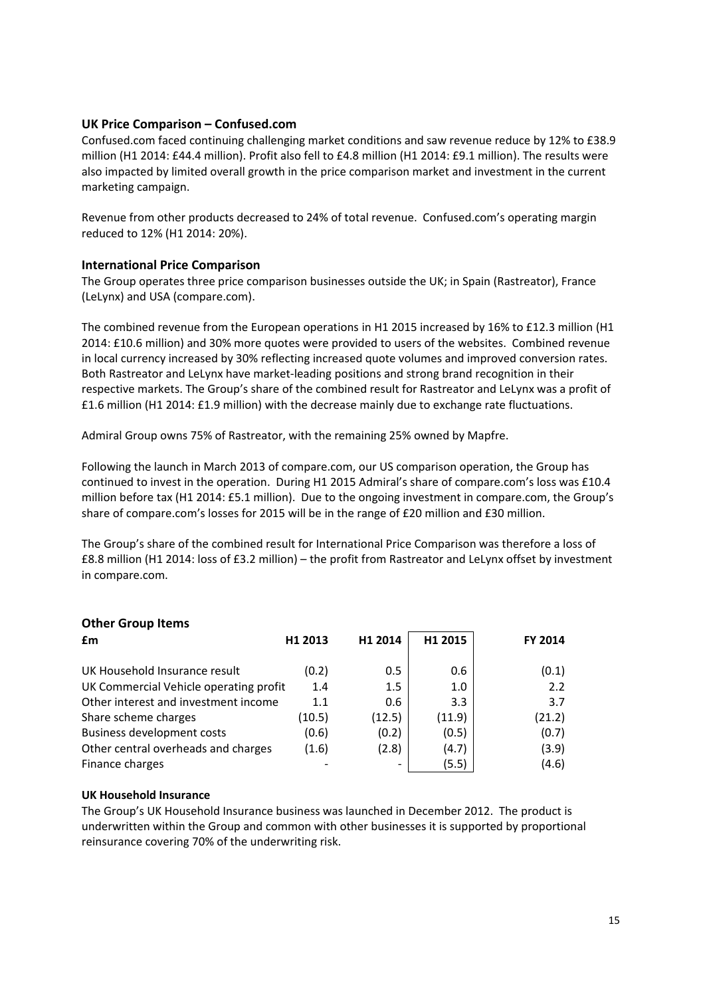### **UK Price Comparison – Confused.com**

Confused.com faced continuing challenging market conditions and saw revenue reduce by 12% to £38.9 million (H1 2014: £44.4 million). Profit also fell to £4.8 million (H1 2014: £9.1 million). The results were also impacted by limited overall growth in the price comparison market and investment in the current marketing campaign.

Revenue from other products decreased to 24% of total revenue. Confused.com's operating margin reduced to 12% (H1 2014: 20%).

#### **International Price Comparison**

The Group operates three price comparison businesses outside the UK; in Spain (Rastreator), France (LeLynx) and USA (compare.com).

The combined revenue from the European operations in H1 2015 increased by 16% to £12.3 million (H1 2014: £10.6 million) and 30% more quotes were provided to users of the websites. Combined revenue in local currency increased by 30% reflecting increased quote volumes and improved conversion rates. Both Rastreator and LeLynx have market-leading positions and strong brand recognition in their respective markets. The Group's share of the combined result for Rastreator and LeLynx was a profit of £1.6 million (H1 2014: £1.9 million) with the decrease mainly due to exchange rate fluctuations.

Admiral Group owns 75% of Rastreator, with the remaining 25% owned by Mapfre.

Following the launch in March 2013 of compare.com, our US comparison operation, the Group has continued to invest in the operation. During H1 2015 Admiral's share of compare.com's loss was £10.4 million before tax (H1 2014: £5.1 million). Due to the ongoing investment in compare.com, the Group's share of compare.com's losses for 2015 will be in the range of £20 million and £30 million.

The Group's share of the combined result for International Price Comparison was therefore a loss of £8.8 million (H1 2014: loss of £3.2 million) – the profit from Rastreator and LeLynx offset by investment in compare.com.

|                                                                | FY 2014 |
|----------------------------------------------------------------|---------|
| H1 2015<br>H1 2014<br>£m<br>H1 2013                            |         |
| UK Household Insurance result<br>0.6<br>(0.2)<br>0.5           | (0.1)   |
| UK Commercial Vehicle operating profit<br>1.4<br>1.0<br>1.5    | 2.2     |
| Other interest and investment income<br>3.3<br>0.6<br>1.1      | 3.7     |
| (12.5)<br>(11.9)<br>(10.5)<br>Share scheme charges             | (21.2)  |
| <b>Business development costs</b><br>(0.2)<br>(0.6)<br>(0.5)   | (0.7)   |
| Other central overheads and charges<br>(2.8)<br>(1.6)<br>(4.7) | (3.9)   |
| Finance charges<br>(5.5)                                       | (4.6)   |

# **UK Household Insurance**

**Other Group Items** 

The Group's UK Household Insurance business was launched in December 2012. The product is underwritten within the Group and common with other businesses it is supported by proportional reinsurance covering 70% of the underwriting risk.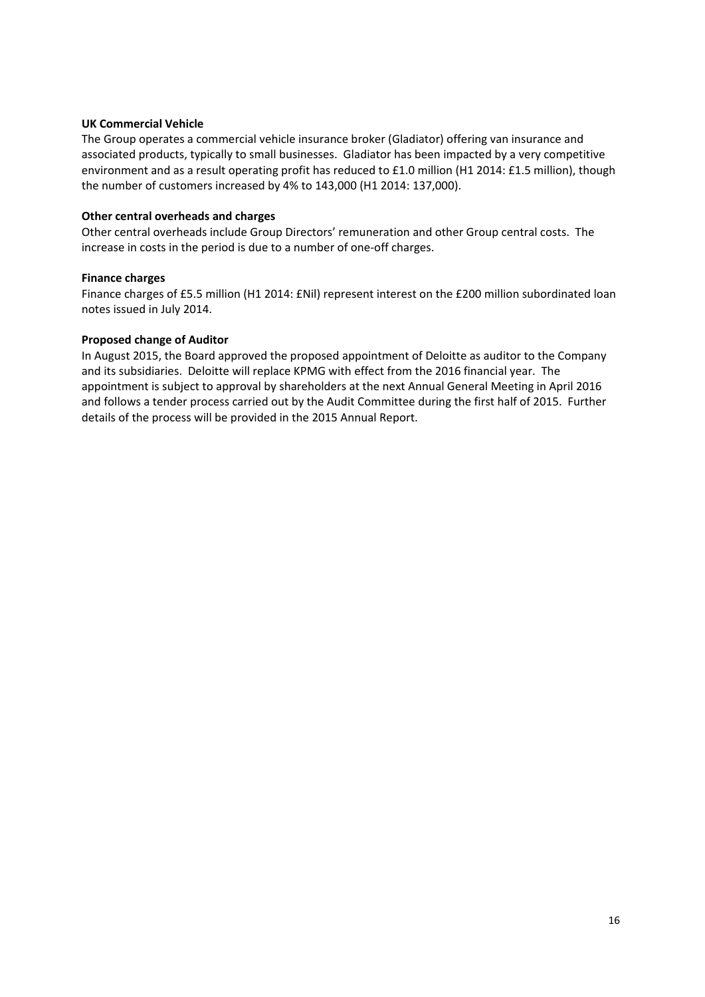#### **UK Commercial Vehicle**

The Group operates a commercial vehicle insurance broker (Gladiator) offering van insurance and associated products, typically to small businesses. Gladiator has been impacted by a very competitive environment and as a result operating profit has reduced to £1.0 million (H1 2014: £1.5 million), though the number of customers increased by 4% to 143,000 (H1 2014: 137,000).

#### **Other central overheads and charges**

Other central overheads include Group Directors' remuneration and other Group central costs. The increase in costs in the period is due to a number of one-off charges.

#### **Finance charges**

Finance charges of £5.5 million (H1 2014: £Nil) represent interest on the £200 million subordinated loan notes issued in July 2014.

#### **Proposed change of Auditor**

In August 2015, the Board approved the proposed appointment of Deloitte as auditor to the Company and its subsidiaries. Deloitte will replace KPMG with effect from the 2016 financial year. The appointment is subject to approval by shareholders at the next Annual General Meeting in April 2016 and follows a tender process carried out by the Audit Committee during the first half of 2015. Further details of the process will be provided in the 2015 Annual Report.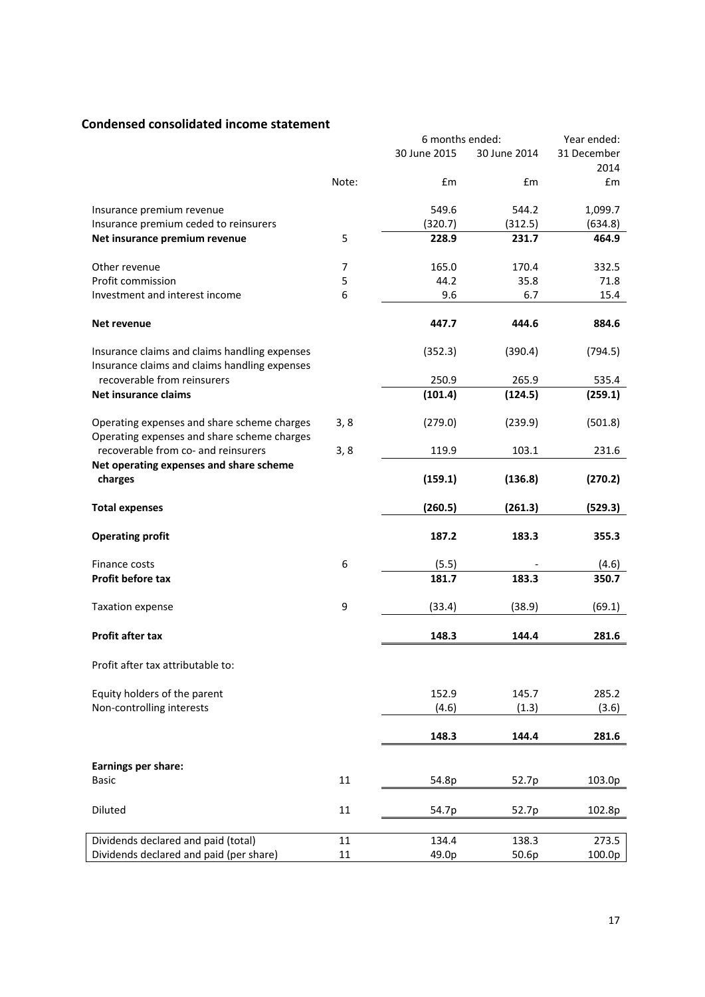# **Condensed consolidated income statement**

|                                               |        | 6 months ended: |              | Year ended:   |
|-----------------------------------------------|--------|-----------------|--------------|---------------|
|                                               |        | 30 June 2015    | 30 June 2014 | 31 December   |
|                                               |        |                 |              | 2014          |
|                                               | Note:  | £m              | £m           | $\mathsf{fm}$ |
|                                               |        |                 |              |               |
| Insurance premium revenue                     |        | 549.6           | 544.2        | 1,099.7       |
| Insurance premium ceded to reinsurers         |        | (320.7)         | (312.5)      | (634.8)       |
| Net insurance premium revenue                 | 5      | 228.9           | 231.7        | 464.9         |
|                                               |        |                 |              |               |
| Other revenue                                 | 7      | 165.0           | 170.4        | 332.5         |
| Profit commission                             | 5      | 44.2            | 35.8         | 71.8          |
| Investment and interest income                | 6      | 9.6             | 6.7          | 15.4          |
|                                               |        |                 |              |               |
| Net revenue                                   |        | 447.7           | 444.6        | 884.6         |
|                                               |        |                 |              |               |
| Insurance claims and claims handling expenses |        | (352.3)         | (390.4)      | (794.5)       |
| Insurance claims and claims handling expenses |        |                 |              |               |
| recoverable from reinsurers                   |        | 250.9           | 265.9        | 535.4         |
| <b>Net insurance claims</b>                   |        | (101.4)         | (124.5)      | (259.1)       |
|                                               |        |                 |              |               |
| Operating expenses and share scheme charges   | 3, 8   | (279.0)         | (239.9)      | (501.8)       |
| Operating expenses and share scheme charges   |        |                 |              |               |
| recoverable from co- and reinsurers           | 3, 8   | 119.9           | 103.1        | 231.6         |
| Net operating expenses and share scheme       |        |                 |              |               |
| charges                                       |        | (159.1)         | (136.8)      | (270.2)       |
|                                               |        |                 |              |               |
| <b>Total expenses</b>                         |        | (260.5)         | (261.3)      | (529.3)       |
| <b>Operating profit</b>                       |        | 187.2           | 183.3        | 355.3         |
|                                               |        |                 |              |               |
| Finance costs                                 | 6      | (5.5)           |              | (4.6)         |
| Profit before tax                             |        | 181.7           | 183.3        | 350.7         |
|                                               |        |                 |              |               |
| Taxation expense                              | 9      | (33.4)          | (38.9)       | (69.1)        |
|                                               |        |                 |              |               |
| <b>Profit after tax</b>                       |        | 148.3           | 144.4        | 281.6         |
|                                               |        |                 |              |               |
| Profit after tax attributable to:             |        |                 |              |               |
|                                               |        |                 |              |               |
| Equity holders of the parent                  |        | 152.9           | 145.7        | 285.2         |
| Non-controlling interests                     |        | (4.6)           | (1.3)        | (3.6)         |
|                                               |        |                 |              |               |
|                                               |        | 148.3           | 144.4        | 281.6         |
|                                               |        |                 |              |               |
| Earnings per share:                           |        |                 |              |               |
| <b>Basic</b>                                  | 11     | 54.8p           | 52.7p        | 103.0p        |
|                                               |        |                 |              |               |
| Diluted                                       | 11     | 54.7p           | 52.7p        | 102.8p        |
|                                               |        |                 |              |               |
| Dividends declared and paid (total)           | 11     | 134.4           | 138.3        | 273.5         |
| Dividends declared and paid (per share)       | $11\,$ | 49.0p           | 50.6p        | 100.0p        |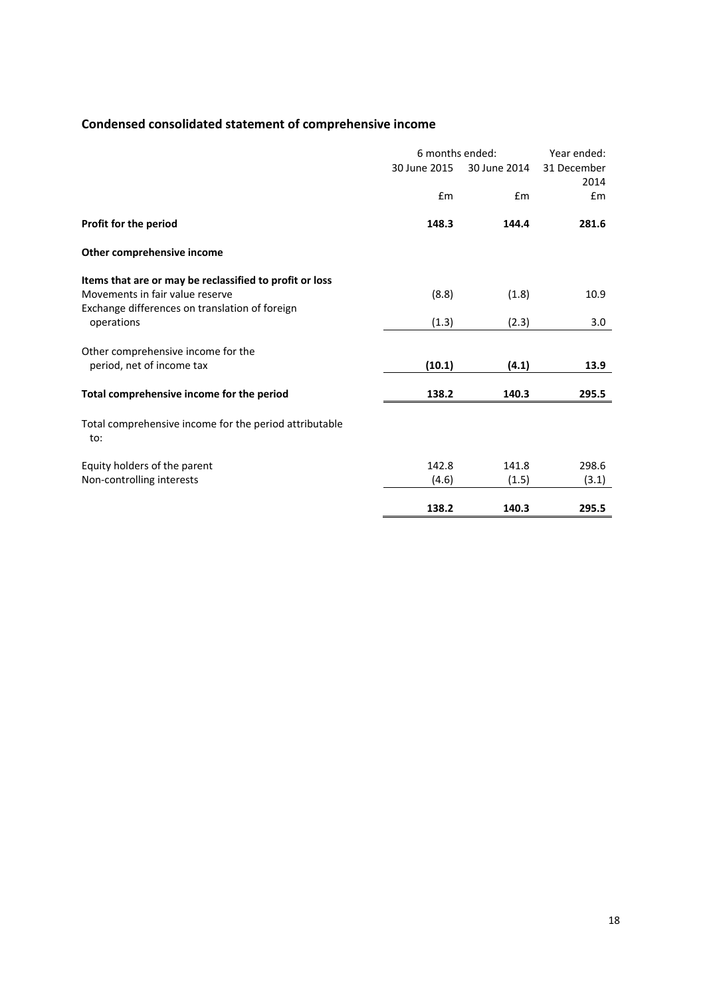# **Condensed consolidated statement of comprehensive income**

|                                                               | 6 months ended: |              | Year ended:         |  |
|---------------------------------------------------------------|-----------------|--------------|---------------------|--|
|                                                               | 30 June 2015    | 30 June 2014 | 31 December<br>2014 |  |
|                                                               | Em              | Em           | £m                  |  |
| Profit for the period                                         | 148.3           | 144.4        | 281.6               |  |
| Other comprehensive income                                    |                 |              |                     |  |
| Items that are or may be reclassified to profit or loss       |                 |              |                     |  |
| Movements in fair value reserve                               | (8.8)           | (1.8)        | 10.9                |  |
| Exchange differences on translation of foreign<br>operations  | (1.3)           | (2.3)        | 3.0                 |  |
| Other comprehensive income for the                            |                 |              |                     |  |
| period, net of income tax                                     | (10.1)          | (4.1)        | 13.9                |  |
| Total comprehensive income for the period                     | 138.2           | 140.3        | 295.5               |  |
| Total comprehensive income for the period attributable<br>to: |                 |              |                     |  |
| Equity holders of the parent                                  | 142.8           | 141.8        | 298.6               |  |
| Non-controlling interests                                     | (4.6)           | (1.5)        | (3.1)               |  |
|                                                               | 138.2           | 140.3        | 295.5               |  |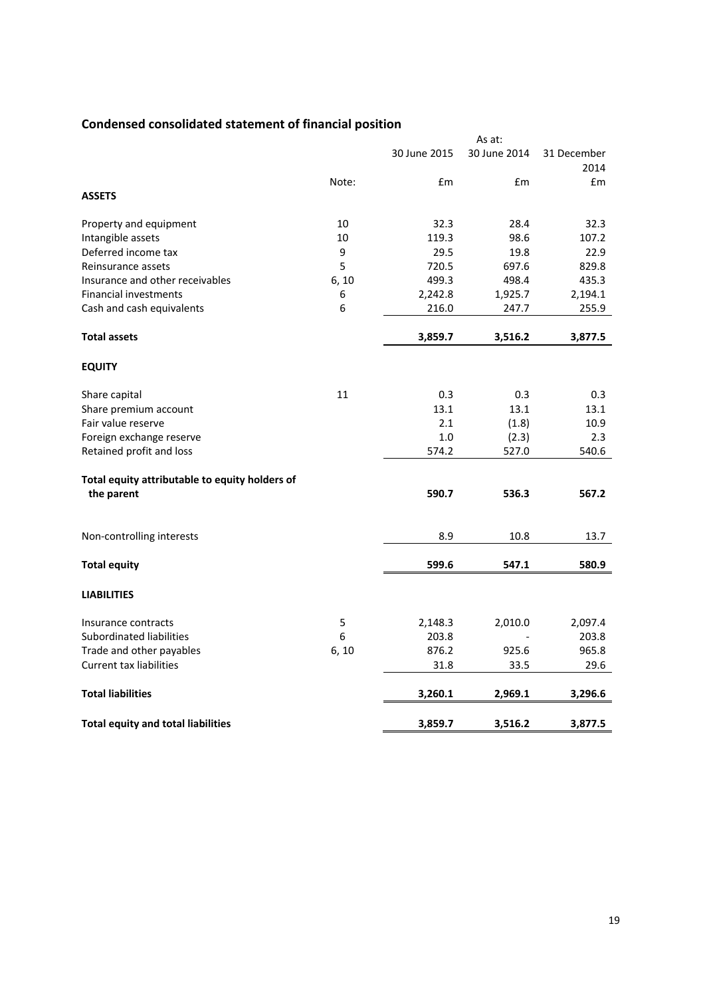# **Condensed consolidated statement of financial position**

|                                                |       |              | As at:       |                     |
|------------------------------------------------|-------|--------------|--------------|---------------------|
|                                                |       | 30 June 2015 | 30 June 2014 | 31 December<br>2014 |
|                                                | Note: | £m           | £m           | Em                  |
| <b>ASSETS</b>                                  |       |              |              |                     |
| Property and equipment                         | 10    | 32.3         | 28.4         | 32.3                |
| Intangible assets                              | 10    | 119.3        | 98.6         | 107.2               |
| Deferred income tax                            | 9     | 29.5         | 19.8         | 22.9                |
| Reinsurance assets                             | 5     | 720.5        | 697.6        | 829.8               |
| Insurance and other receivables                | 6, 10 | 499.3        | 498.4        | 435.3               |
| <b>Financial investments</b>                   | 6     | 2,242.8      | 1,925.7      | 2,194.1             |
| Cash and cash equivalents                      | 6     | 216.0        | 247.7        | 255.9               |
| <b>Total assets</b>                            |       | 3,859.7      | 3,516.2      | 3,877.5             |
| <b>EQUITY</b>                                  |       |              |              |                     |
| Share capital                                  | 11    | 0.3          | 0.3          | 0.3                 |
| Share premium account                          |       | 13.1         | 13.1         | 13.1                |
| Fair value reserve                             |       | 2.1          | (1.8)        | 10.9                |
| Foreign exchange reserve                       |       | 1.0          | (2.3)        | 2.3                 |
| Retained profit and loss                       |       | 574.2        | 527.0        | 540.6               |
| Total equity attributable to equity holders of |       |              |              |                     |
| the parent                                     |       | 590.7        | 536.3        | 567.2               |
| Non-controlling interests                      |       | 8.9          | 10.8         | 13.7                |
| <b>Total equity</b>                            |       | 599.6        | 547.1        | 580.9               |
|                                                |       |              |              |                     |
| <b>LIABILITIES</b>                             |       |              |              |                     |
| Insurance contracts                            | 5     | 2,148.3      | 2,010.0      | 2,097.4             |
| <b>Subordinated liabilities</b>                | 6     | 203.8        |              | 203.8               |
| Trade and other payables                       | 6, 10 | 876.2        | 925.6        | 965.8               |
| <b>Current tax liabilities</b>                 |       | 31.8         | 33.5         | 29.6                |
| <b>Total liabilities</b>                       |       | 3,260.1      | 2,969.1      | 3,296.6             |
| <b>Total equity and total liabilities</b>      |       | 3,859.7      | 3,516.2      | 3,877.5             |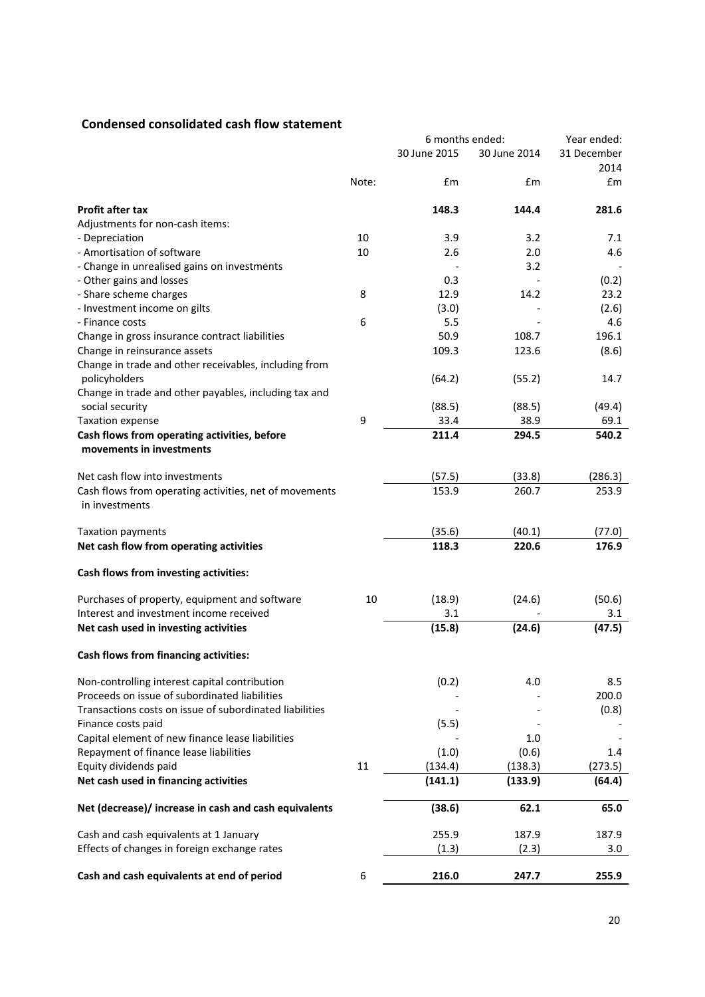# **Condensed consolidated cash flow statement**

|                                                                          |       | 6 months ended: |              | Year ended: |
|--------------------------------------------------------------------------|-------|-----------------|--------------|-------------|
|                                                                          |       | 30 June 2015    | 30 June 2014 | 31 December |
|                                                                          |       |                 |              | 2014        |
|                                                                          | Note: | £m              | £m           | £m          |
| <b>Profit after tax</b>                                                  |       | 148.3           | 144.4        | 281.6       |
| Adjustments for non-cash items:                                          |       |                 |              |             |
| - Depreciation                                                           | 10    | 3.9             | 3.2          | 7.1         |
| - Amortisation of software                                               | 10    | 2.6             | 2.0          | 4.6         |
| - Change in unrealised gains on investments                              |       |                 | 3.2          |             |
| - Other gains and losses                                                 |       | 0.3             |              | (0.2)       |
| - Share scheme charges                                                   | 8     | 12.9            | 14.2         | 23.2        |
| - Investment income on gilts                                             |       | (3.0)           |              | (2.6)       |
| - Finance costs                                                          | 6     | 5.5             |              | 4.6         |
| Change in gross insurance contract liabilities                           |       | 50.9            | 108.7        | 196.1       |
| Change in reinsurance assets                                             |       | 109.3           | 123.6        | (8.6)       |
| Change in trade and other receivables, including from                    |       |                 |              |             |
| policyholders                                                            |       | (64.2)          | (55.2)       | 14.7        |
| Change in trade and other payables, including tax and                    |       |                 |              |             |
| social security                                                          |       | (88.5)          | (88.5)       | (49.4)      |
| Taxation expense                                                         | 9     | 33.4            | 38.9         | 69.1        |
| Cash flows from operating activities, before<br>movements in investments |       | 211.4           | 294.5        | 540.2       |
|                                                                          |       |                 |              |             |
| Net cash flow into investments                                           |       | (57.5)          | (33.8)       | (286.3)     |
| Cash flows from operating activities, net of movements                   |       | 153.9           | 260.7        | 253.9       |
| in investments                                                           |       |                 |              |             |
| <b>Taxation payments</b>                                                 |       | (35.6)          | (40.1)       | (77.0)      |
| Net cash flow from operating activities                                  |       | 118.3           | 220.6        | 176.9       |
| Cash flows from investing activities:                                    |       |                 |              |             |
| Purchases of property, equipment and software                            | 10    | (18.9)          | (24.6)       | (50.6)      |
| Interest and investment income received                                  |       | 3.1             |              | 3.1         |
| Net cash used in investing activities                                    |       | (15.8)          | (24.6)       | (47.5)      |
| Cash flows from financing activities:                                    |       |                 |              |             |
| Non-controlling interest capital contribution                            |       | (0.2)           | 4.0          | 8.5         |
| Proceeds on issue of subordinated liabilities                            |       |                 |              | 200.0       |
| Transactions costs on issue of subordinated liabilities                  |       |                 |              | (0.8)       |
| Finance costs paid                                                       |       | (5.5)           |              |             |
| Capital element of new finance lease liabilities                         |       |                 | 1.0          |             |
| Repayment of finance lease liabilities                                   |       | (1.0)           | (0.6)        | 1.4         |
| Equity dividends paid                                                    | 11    | (134.4)         | (138.3)      | (273.5)     |
| Net cash used in financing activities                                    |       | (141.1)         | (133.9)      | (64.4)      |
| Net (decrease)/ increase in cash and cash equivalents                    |       | (38.6)          | 62.1         | 65.0        |
| Cash and cash equivalents at 1 January                                   |       | 255.9           | 187.9        | 187.9       |
| Effects of changes in foreign exchange rates                             |       | (1.3)           | (2.3)        | 3.0         |
| Cash and cash equivalents at end of period                               | 6     | 216.0           | 247.7        | 255.9       |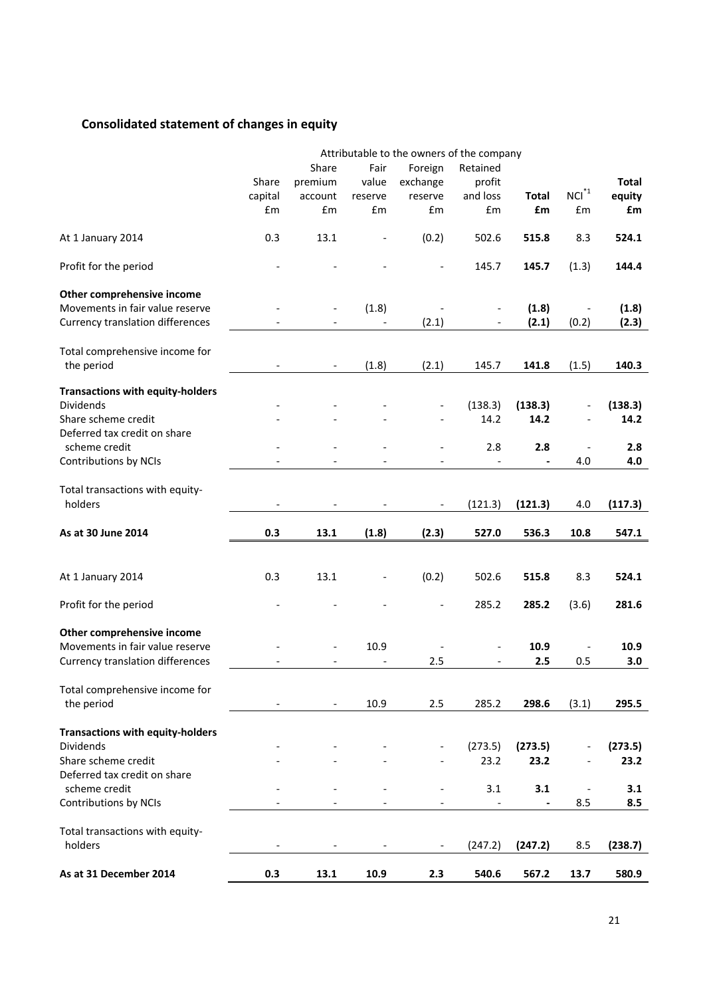# **Consolidated statement of changes in equity**

|                                         |         |         |         |                              | Attributable to the owners of the company |                          |                          |              |
|-----------------------------------------|---------|---------|---------|------------------------------|-------------------------------------------|--------------------------|--------------------------|--------------|
|                                         |         | Share   | Fair    | Foreign                      | Retained                                  |                          |                          |              |
|                                         | Share   | premium | value   | exchange                     | profit                                    |                          |                          | <b>Total</b> |
|                                         | capital | account | reserve | reserve                      | and loss                                  | <b>Total</b>             | $NCI^*$ <sup>1</sup>     | equity       |
|                                         | £m      | £m      | £m      | £m                           | £m                                        | £m                       | £m                       | £m           |
| At 1 January 2014                       | 0.3     | 13.1    |         | (0.2)                        | 502.6                                     | 515.8                    | 8.3                      | 524.1        |
| Profit for the period                   |         |         |         |                              | 145.7                                     | 145.7                    | (1.3)                    | 144.4        |
| Other comprehensive income              |         |         |         |                              |                                           |                          |                          |              |
| Movements in fair value reserve         |         |         | (1.8)   |                              |                                           | (1.8)                    |                          | (1.8)        |
| <b>Currency translation differences</b> |         |         |         | (2.1)                        |                                           | (2.1)                    | (0.2)                    | (2.3)        |
| Total comprehensive income for          |         |         |         |                              |                                           |                          |                          |              |
| the period                              |         |         | (1.8)   | (2.1)                        | 145.7                                     | 141.8                    | (1.5)                    | 140.3        |
| <b>Transactions with equity-holders</b> |         |         |         |                              |                                           |                          |                          |              |
| <b>Dividends</b>                        |         |         |         |                              | (138.3)                                   | (138.3)                  |                          | (138.3)      |
| Share scheme credit                     |         |         |         |                              | 14.2                                      | 14.2                     |                          | 14.2         |
| Deferred tax credit on share            |         |         |         |                              |                                           |                          |                          |              |
| scheme credit                           |         |         |         |                              | 2.8                                       | 2.8                      | $\overline{\phantom{a}}$ | 2.8          |
| <b>Contributions by NCIs</b>            |         |         |         |                              |                                           |                          | 4.0                      | 4.0          |
| Total transactions with equity-         |         |         |         |                              |                                           |                          |                          |              |
| holders                                 |         |         |         |                              | (121.3)                                   | (121.3)                  | 4.0                      | (117.3)      |
| As at 30 June 2014                      | 0.3     | 13.1    | (1.8)   | (2.3)                        | 527.0                                     | 536.3                    | 10.8                     | 547.1        |
|                                         |         |         |         |                              |                                           |                          |                          |              |
| At 1 January 2014                       | 0.3     | 13.1    |         | (0.2)                        | 502.6                                     | 515.8                    | 8.3                      | 524.1        |
| Profit for the period                   |         |         |         |                              | 285.2                                     | 285.2                    | (3.6)                    | 281.6        |
| Other comprehensive income              |         |         |         |                              |                                           |                          |                          |              |
| Movements in fair value reserve         |         |         | 10.9    |                              |                                           | 10.9                     |                          | 10.9         |
| <b>Currency translation differences</b> |         |         |         | 2.5                          |                                           | 2.5                      | 0.5                      | 3.0          |
| Total comprehensive income for          |         |         |         |                              |                                           |                          |                          |              |
| the period                              |         |         | 10.9    | 2.5                          | 285.2                                     | 298.6                    | (3.1)                    | 295.5        |
| <b>Transactions with equity-holders</b> |         |         |         |                              |                                           |                          |                          |              |
| Dividends                               |         |         |         | $\qquad \qquad \blacksquare$ | (273.5)                                   | (273.5)                  | $\overline{\phantom{a}}$ | (273.5)      |
| Share scheme credit                     |         |         |         |                              | 23.2                                      | 23.2                     | $\overline{\phantom{a}}$ | 23.2         |
| Deferred tax credit on share            |         |         |         |                              |                                           |                          |                          |              |
| scheme credit                           |         |         |         | $\qquad \qquad \blacksquare$ | 3.1                                       | 3.1                      | $\overline{\phantom{a}}$ | 3.1          |
| Contributions by NCIs                   |         |         |         |                              |                                           | $\overline{\phantom{0}}$ | 8.5                      | 8.5          |
| Total transactions with equity-         |         |         |         |                              |                                           |                          |                          |              |
| holders                                 |         |         |         | $\qquad \qquad \blacksquare$ | (247.2)                                   | (247.2)                  | 8.5                      | (238.7)      |
|                                         |         |         |         |                              |                                           |                          |                          |              |
| As at 31 December 2014                  | 0.3     | 13.1    | 10.9    | 2.3                          | 540.6                                     | 567.2                    | 13.7                     | 580.9        |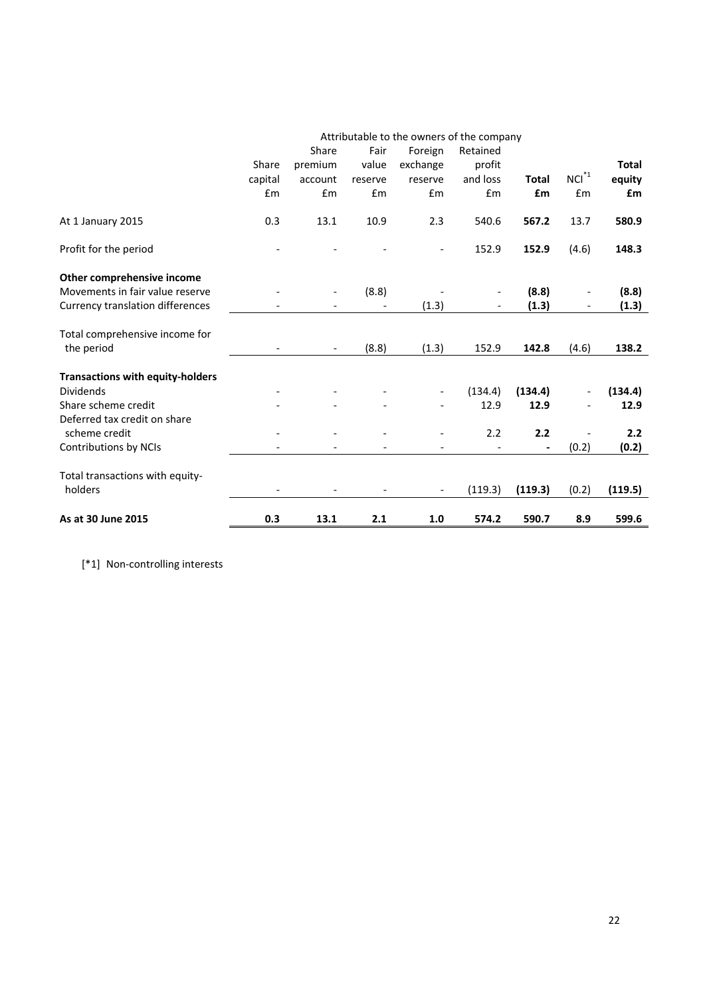|                                         |         |                          |         |                          | Attributable to the owners of the company |              |                          |              |
|-----------------------------------------|---------|--------------------------|---------|--------------------------|-------------------------------------------|--------------|--------------------------|--------------|
|                                         |         | Share                    | Fair    | Foreign                  | Retained                                  |              |                          |              |
|                                         | Share   | premium                  | value   | exchange                 | profit                                    |              |                          | <b>Total</b> |
|                                         | capital | account                  | reserve | reserve                  | and loss                                  | <b>Total</b> | $\mathsf{NCI}^{*1}$      | equity       |
|                                         | £m      | £m                       | £m      | £m                       | £m                                        | £m           | £m                       | £m           |
| At 1 January 2015                       | 0.3     | 13.1                     | 10.9    | 2.3                      | 540.6                                     | 567.2        | 13.7                     | 580.9        |
| Profit for the period                   |         |                          |         |                          | 152.9                                     | 152.9        | (4.6)                    | 148.3        |
| Other comprehensive income              |         |                          |         |                          |                                           |              |                          |              |
| Movements in fair value reserve         |         | $\overline{\phantom{a}}$ | (8.8)   |                          |                                           | (8.8)        | $\overline{\phantom{0}}$ | (8.8)        |
| <b>Currency translation differences</b> |         |                          |         | (1.3)                    |                                           | (1.3)        |                          | (1.3)        |
| Total comprehensive income for          |         |                          |         |                          |                                           |              |                          |              |
| the period                              |         |                          | (8.8)   | (1.3)                    | 152.9                                     | 142.8        | (4.6)                    | 138.2        |
| <b>Transactions with equity-holders</b> |         |                          |         |                          |                                           |              |                          |              |
| <b>Dividends</b>                        |         |                          |         | $\overline{\phantom{a}}$ | (134.4)                                   | (134.4)      |                          | (134.4)      |
| Share scheme credit                     |         |                          |         |                          | 12.9                                      | 12.9         |                          | 12.9         |
| Deferred tax credit on share            |         |                          |         |                          |                                           |              |                          |              |
| scheme credit                           |         |                          |         |                          | 2.2                                       | 2.2          |                          | 2.2          |
| Contributions by NCIs                   |         |                          |         |                          |                                           |              | (0.2)                    | (0.2)        |
| Total transactions with equity-         |         |                          |         |                          |                                           |              |                          |              |
| holders                                 |         |                          |         |                          | (119.3)                                   | (119.3)      | (0.2)                    | (119.5)      |
| As at 30 June 2015                      | 0.3     | 13.1                     | 2.1     | 1.0                      | 574.2                                     | 590.7        | 8.9                      | 599.6        |

[\*1] Non-controlling interests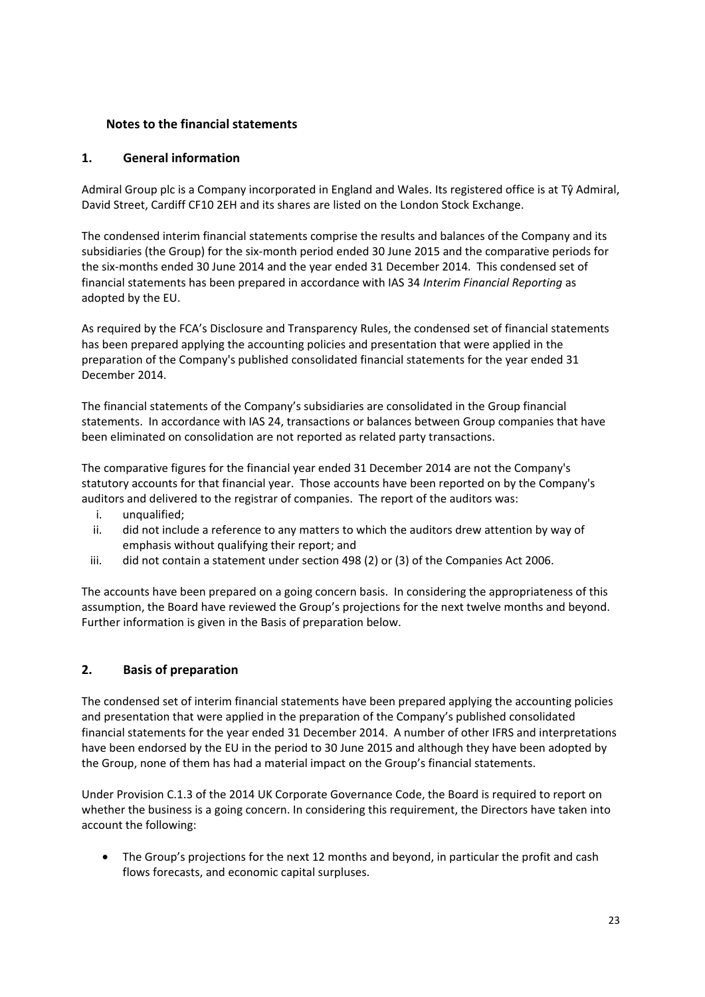# **Notes to the financial statements**

# **1. General information**

Admiral Group plc is a Company incorporated in England and Wales. Its registered office is at Tŷ Admiral, David Street, Cardiff CF10 2EH and its shares are listed on the London Stock Exchange.

The condensed interim financial statements comprise the results and balances of the Company and its subsidiaries (the Group) for the six-month period ended 30 June 2015 and the comparative periods for the six-months ended 30 June 2014 and the year ended 31 December 2014. This condensed set of financial statements has been prepared in accordance with IAS 34 *Interim Financial Reporting* as adopted by the EU.

As required by the FCA's Disclosure and Transparency Rules, the condensed set of financial statements has been prepared applying the accounting policies and presentation that were applied in the preparation of the Company's published consolidated financial statements for the year ended 31 December 2014.

The financial statements of the Company's subsidiaries are consolidated in the Group financial statements. In accordance with IAS 24, transactions or balances between Group companies that have been eliminated on consolidation are not reported as related party transactions.

The comparative figures for the financial year ended 31 December 2014 are not the Company's statutory accounts for that financial year. Those accounts have been reported on by the Company's auditors and delivered to the registrar of companies. The report of the auditors was:

- i. unqualified;
- ii. did not include a reference to any matters to which the auditors drew attention by way of emphasis without qualifying their report; and
- iii. did not contain a statement under section 498 (2) or (3) of the Companies Act 2006.

The accounts have been prepared on a going concern basis. In considering the appropriateness of this assumption, the Board have reviewed the Group's projections for the next twelve months and beyond. Further information is given in the Basis of preparation below.

# **2. Basis of preparation**

The condensed set of interim financial statements have been prepared applying the accounting policies and presentation that were applied in the preparation of the Company's published consolidated financial statements for the year ended 31 December 2014. A number of other IFRS and interpretations have been endorsed by the EU in the period to 30 June 2015 and although they have been adopted by the Group, none of them has had a material impact on the Group's financial statements.

Under Provision C.1.3 of the 2014 UK Corporate Governance Code, the Board is required to report on whether the business is a going concern. In considering this requirement, the Directors have taken into account the following:

• The Group's projections for the next 12 months and beyond, in particular the profit and cash flows forecasts, and economic capital surpluses.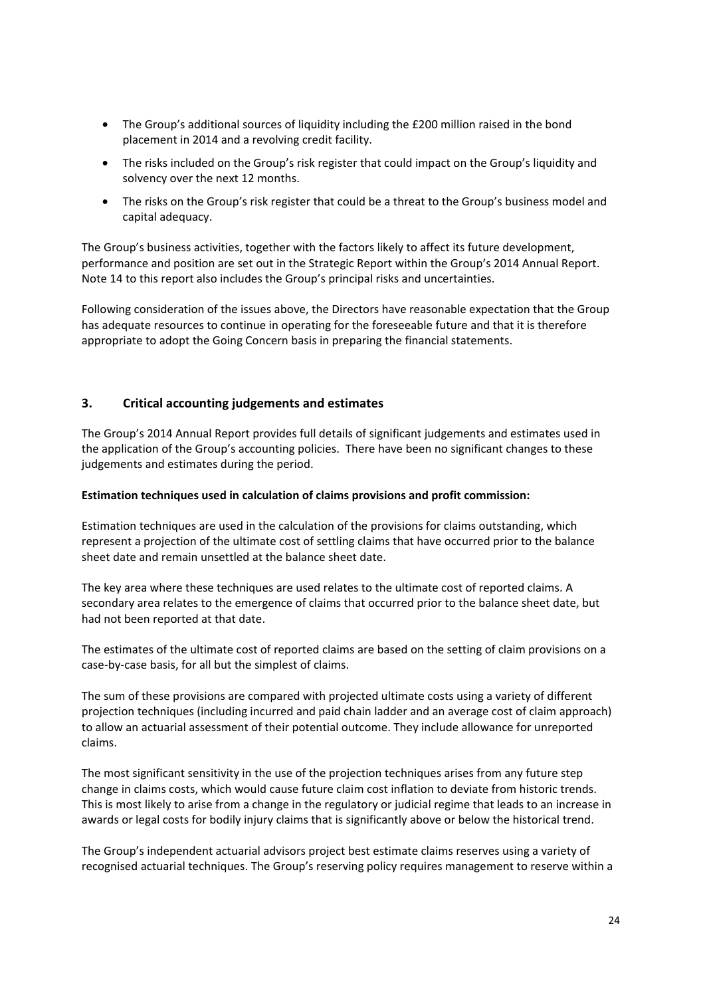- The Group's additional sources of liquidity including the £200 million raised in the bond placement in 2014 and a revolving credit facility.
- The risks included on the Group's risk register that could impact on the Group's liquidity and solvency over the next 12 months.
- The risks on the Group's risk register that could be a threat to the Group's business model and capital adequacy.

The Group's business activities, together with the factors likely to affect its future development, performance and position are set out in the Strategic Report within the Group's 2014 Annual Report. Note 14 to this report also includes the Group's principal risks and uncertainties.

Following consideration of the issues above, the Directors have reasonable expectation that the Group has adequate resources to continue in operating for the foreseeable future and that it is therefore appropriate to adopt the Going Concern basis in preparing the financial statements.

# **3. Critical accounting judgements and estimates**

The Group's 2014 Annual Report provides full details of significant judgements and estimates used in the application of the Group's accounting policies. There have been no significant changes to these judgements and estimates during the period.

#### **Estimation techniques used in calculation of claims provisions and profit commission:**

Estimation techniques are used in the calculation of the provisions for claims outstanding, which represent a projection of the ultimate cost of settling claims that have occurred prior to the balance sheet date and remain unsettled at the balance sheet date.

The key area where these techniques are used relates to the ultimate cost of reported claims. A secondary area relates to the emergence of claims that occurred prior to the balance sheet date, but had not been reported at that date.

The estimates of the ultimate cost of reported claims are based on the setting of claim provisions on a case-by-case basis, for all but the simplest of claims.

The sum of these provisions are compared with projected ultimate costs using a variety of different projection techniques (including incurred and paid chain ladder and an average cost of claim approach) to allow an actuarial assessment of their potential outcome. They include allowance for unreported claims.

The most significant sensitivity in the use of the projection techniques arises from any future step change in claims costs, which would cause future claim cost inflation to deviate from historic trends. This is most likely to arise from a change in the regulatory or judicial regime that leads to an increase in awards or legal costs for bodily injury claims that is significantly above or below the historical trend.

The Group's independent actuarial advisors project best estimate claims reserves using a variety of recognised actuarial techniques. The Group's reserving policy requires management to reserve within a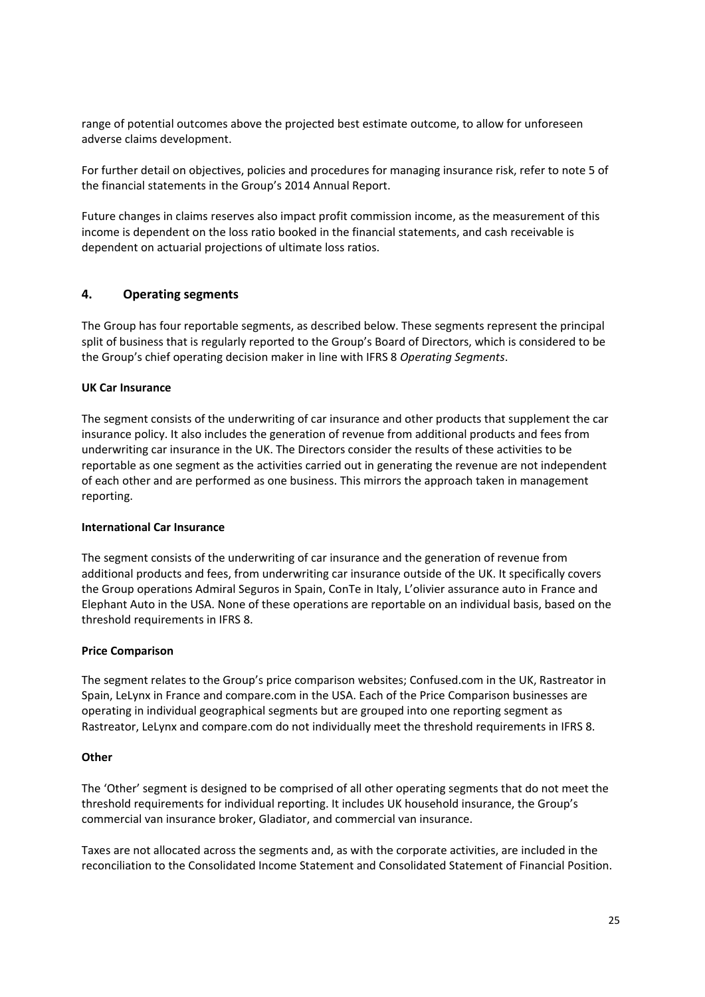range of potential outcomes above the projected best estimate outcome, to allow for unforeseen adverse claims development.

For further detail on objectives, policies and procedures for managing insurance risk, refer to note 5 of the financial statements in the Group's 2014 Annual Report.

Future changes in claims reserves also impact profit commission income, as the measurement of this income is dependent on the loss ratio booked in the financial statements, and cash receivable is dependent on actuarial projections of ultimate loss ratios.

#### **4. Operating segments**

The Group has four reportable segments, as described below. These segments represent the principal split of business that is regularly reported to the Group's Board of Directors, which is considered to be the Group's chief operating decision maker in line with IFRS 8 *Operating Segments*.

#### **UK Car Insurance**

The segment consists of the underwriting of car insurance and other products that supplement the car insurance policy. It also includes the generation of revenue from additional products and fees from underwriting car insurance in the UK. The Directors consider the results of these activities to be reportable as one segment as the activities carried out in generating the revenue are not independent of each other and are performed as one business. This mirrors the approach taken in management reporting.

#### **International Car Insurance**

The segment consists of the underwriting of car insurance and the generation of revenue from additional products and fees, from underwriting car insurance outside of the UK. It specifically covers the Group operations Admiral Seguros in Spain, ConTe in Italy, L'olivier assurance auto in France and Elephant Auto in the USA. None of these operations are reportable on an individual basis, based on the threshold requirements in IFRS 8.

#### **Price Comparison**

The segment relates to the Group's price comparison websites; Confused.com in the UK, Rastreator in Spain, LeLynx in France and compare.com in the USA. Each of the Price Comparison businesses are operating in individual geographical segments but are grouped into one reporting segment as Rastreator, LeLynx and compare.com do not individually meet the threshold requirements in IFRS 8.

#### **Other**

The 'Other' segment is designed to be comprised of all other operating segments that do not meet the threshold requirements for individual reporting. It includes UK household insurance, the Group's commercial van insurance broker, Gladiator, and commercial van insurance.

Taxes are not allocated across the segments and, as with the corporate activities, are included in the reconciliation to the Consolidated Income Statement and Consolidated Statement of Financial Position.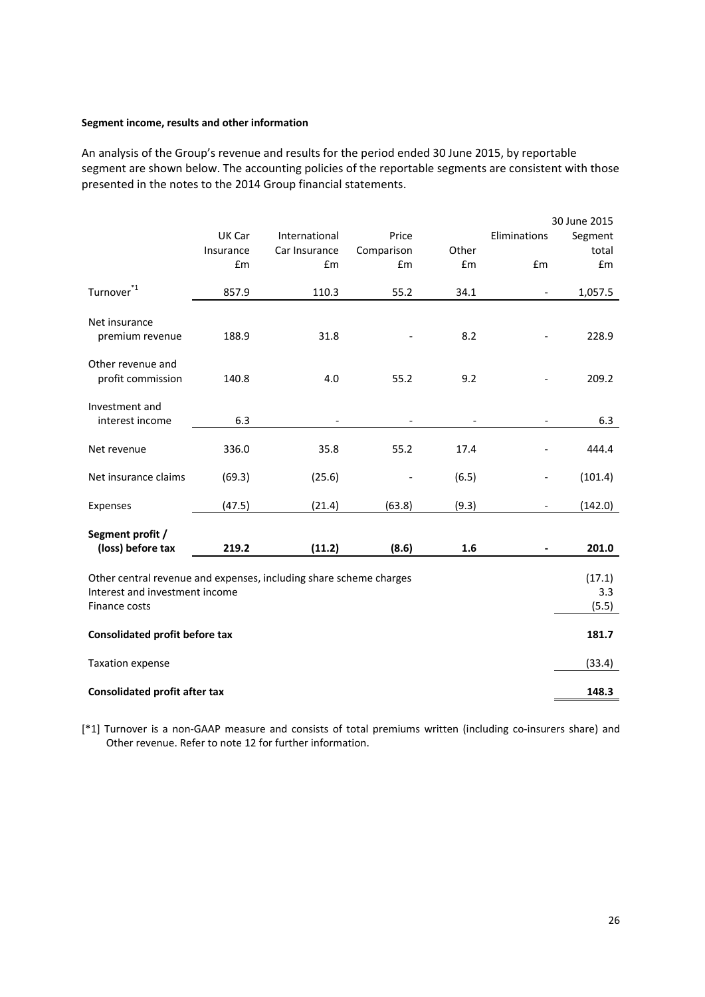#### **Segment income, results and other information**

An analysis of the Group's revenue and results for the period ended 30 June 2015, by reportable segment are shown below. The accounting policies of the reportable segments are consistent with those presented in the notes to the 2014 Group financial statements.

|                                                                    |           |               |            |       |                          | 30 June 2015 |
|--------------------------------------------------------------------|-----------|---------------|------------|-------|--------------------------|--------------|
|                                                                    | UK Car    | International | Price      |       | Eliminations             | Segment      |
|                                                                    | Insurance | Car Insurance | Comparison | Other |                          | total        |
|                                                                    | £m        | £m            | £m         | £m    | £m                       | £m           |
| Turnover <sup>*1</sup>                                             | 857.9     | 110.3         | 55.2       | 34.1  |                          | 1,057.5      |
| Net insurance                                                      |           |               |            |       |                          |              |
| premium revenue                                                    | 188.9     | 31.8          |            | 8.2   |                          | 228.9        |
| Other revenue and                                                  |           |               |            |       |                          |              |
| profit commission                                                  | 140.8     | 4.0           | 55.2       | 9.2   |                          | 209.2        |
| Investment and                                                     |           |               |            |       |                          |              |
| interest income                                                    | 6.3       |               |            |       |                          | 6.3          |
| Net revenue                                                        | 336.0     | 35.8          | 55.2       | 17.4  |                          | 444.4        |
| Net insurance claims                                               | (69.3)    | (25.6)        |            | (6.5) | $\overline{\phantom{0}}$ | (101.4)      |
| Expenses                                                           | (47.5)    | (21.4)        | (63.8)     | (9.3) |                          | (142.0)      |
| Segment profit /                                                   |           |               |            |       |                          |              |
| (loss) before tax                                                  | 219.2     | (11.2)        | (8.6)      | 1.6   |                          | 201.0        |
| Other central revenue and expenses, including share scheme charges |           |               |            |       |                          | (17.1)       |
| Interest and investment income                                     |           |               |            |       |                          | 3.3          |
| Finance costs                                                      |           |               |            |       |                          | (5.5)        |
| <b>Consolidated profit before tax</b>                              |           |               |            |       |                          | 181.7        |
| <b>Taxation expense</b>                                            |           |               |            |       |                          | (33.4)       |
| <b>Consolidated profit after tax</b>                               |           |               |            |       |                          | 148.3        |

[\*1] Turnover is a non-GAAP measure and consists of total premiums written (including co-insurers share) and Other revenue. Refer to note 12 for further information.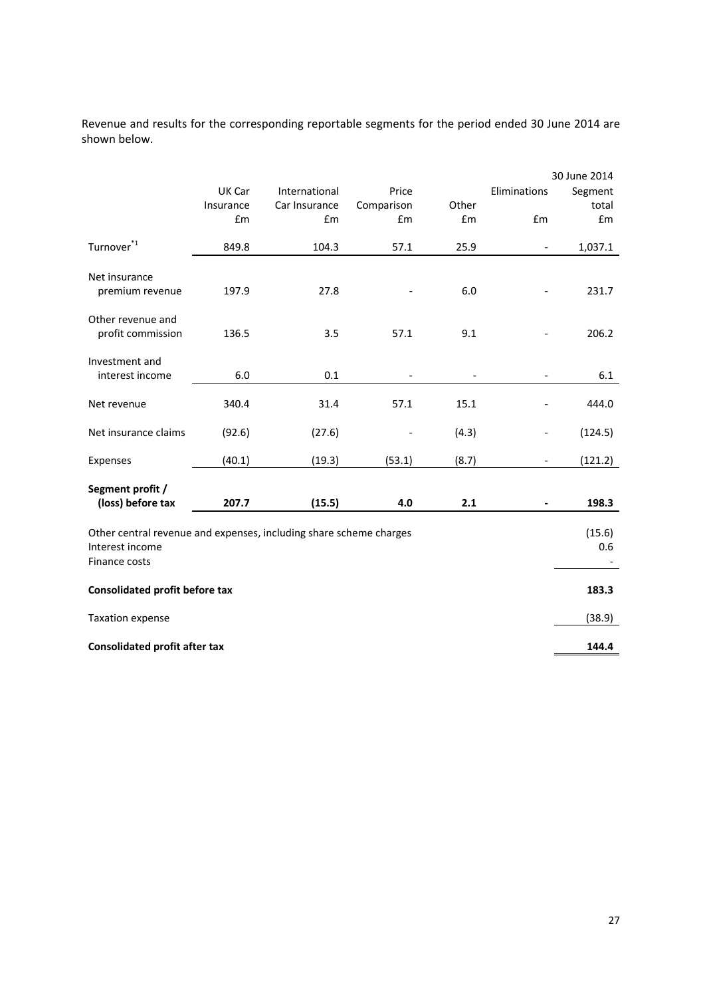Revenue and results for the corresponding reportable segments for the period ended 30 June 2014 are shown below.

|                                                                                                        |           |               |            |       |                              | 30 June 2014  |
|--------------------------------------------------------------------------------------------------------|-----------|---------------|------------|-------|------------------------------|---------------|
|                                                                                                        | UK Car    | International | Price      |       | Eliminations                 | Segment       |
|                                                                                                        | Insurance | Car Insurance | Comparison | Other |                              | total         |
|                                                                                                        | £m        | £m            | £m         | £m    | £m                           | £m            |
| Turnover <sup>*1</sup>                                                                                 | 849.8     | 104.3         | 57.1       | 25.9  | $\qquad \qquad \blacksquare$ | 1,037.1       |
| Net insurance<br>premium revenue                                                                       | 197.9     | 27.8          |            | 6.0   |                              | 231.7         |
| Other revenue and<br>profit commission                                                                 | 136.5     | 3.5           | 57.1       | 9.1   |                              | 206.2         |
| Investment and<br>interest income                                                                      | 6.0       | 0.1           |            |       |                              | 6.1           |
| Net revenue                                                                                            | 340.4     | 31.4          | 57.1       | 15.1  |                              | 444.0         |
| Net insurance claims                                                                                   | (92.6)    | (27.6)        |            | (4.3) |                              | (124.5)       |
| Expenses                                                                                               | (40.1)    | (19.3)        | (53.1)     | (8.7) | $\qquad \qquad \blacksquare$ | (121.2)       |
| Segment profit /                                                                                       |           |               |            |       |                              |               |
| (loss) before tax                                                                                      | 207.7     | (15.5)        | 4.0        | 2.1   |                              | 198.3         |
| Other central revenue and expenses, including share scheme charges<br>Interest income<br>Finance costs |           |               |            |       |                              | (15.6)<br>0.6 |
| <b>Consolidated profit before tax</b>                                                                  |           |               |            |       |                              | 183.3         |
| <b>Taxation expense</b>                                                                                |           |               |            |       |                              | (38.9)        |
| <b>Consolidated profit after tax</b>                                                                   |           |               |            |       |                              | 144.4         |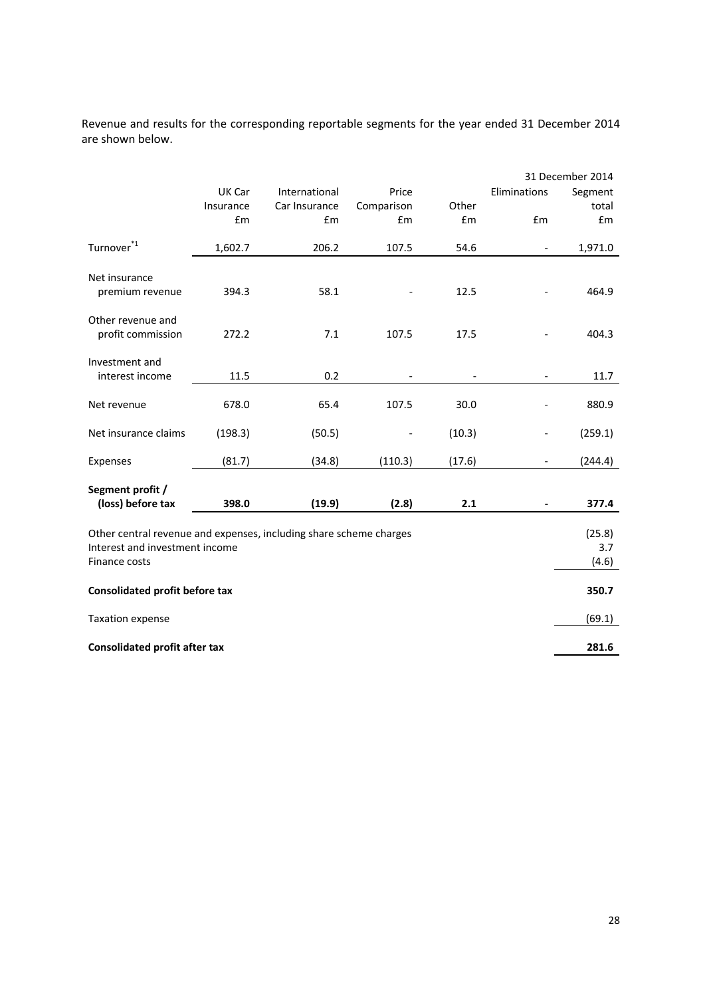Revenue and results for the corresponding reportable segments for the year ended 31 December 2014 are shown below.

|                                                                                                                       |           |               |            |        |                          | 31 December 2014       |
|-----------------------------------------------------------------------------------------------------------------------|-----------|---------------|------------|--------|--------------------------|------------------------|
|                                                                                                                       | UK Car    | International | Price      |        | Eliminations             | Segment                |
|                                                                                                                       | Insurance | Car Insurance | Comparison | Other  |                          | total                  |
|                                                                                                                       | £m        | £m            | £m         | £m     | £m                       | £m                     |
| Turnover <sup>*1</sup>                                                                                                | 1,602.7   | 206.2         | 107.5      | 54.6   | $\overline{\phantom{a}}$ | 1,971.0                |
| Net insurance<br>premium revenue                                                                                      | 394.3     | 58.1          |            | 12.5   |                          | 464.9                  |
| Other revenue and<br>profit commission                                                                                | 272.2     | 7.1           | 107.5      | 17.5   |                          | 404.3                  |
| Investment and<br>interest income                                                                                     | 11.5      | 0.2           |            |        |                          | 11.7                   |
| Net revenue                                                                                                           | 678.0     | 65.4          | 107.5      | 30.0   |                          | 880.9                  |
| Net insurance claims                                                                                                  | (198.3)   | (50.5)        |            | (10.3) |                          | (259.1)                |
| Expenses                                                                                                              | (81.7)    | (34.8)        | (110.3)    | (17.6) | $\overline{\phantom{a}}$ | (244.4)                |
| Segment profit /                                                                                                      |           |               |            |        |                          |                        |
| (loss) before tax                                                                                                     | 398.0     | (19.9)        | (2.8)      | 2.1    |                          | 377.4                  |
| Other central revenue and expenses, including share scheme charges<br>Interest and investment income<br>Finance costs |           |               |            |        |                          | (25.8)<br>3.7<br>(4.6) |
| <b>Consolidated profit before tax</b>                                                                                 |           |               |            |        |                          | 350.7                  |
| <b>Taxation expense</b>                                                                                               |           |               |            |        |                          | (69.1)                 |
| <b>Consolidated profit after tax</b>                                                                                  |           |               |            |        |                          | 281.6                  |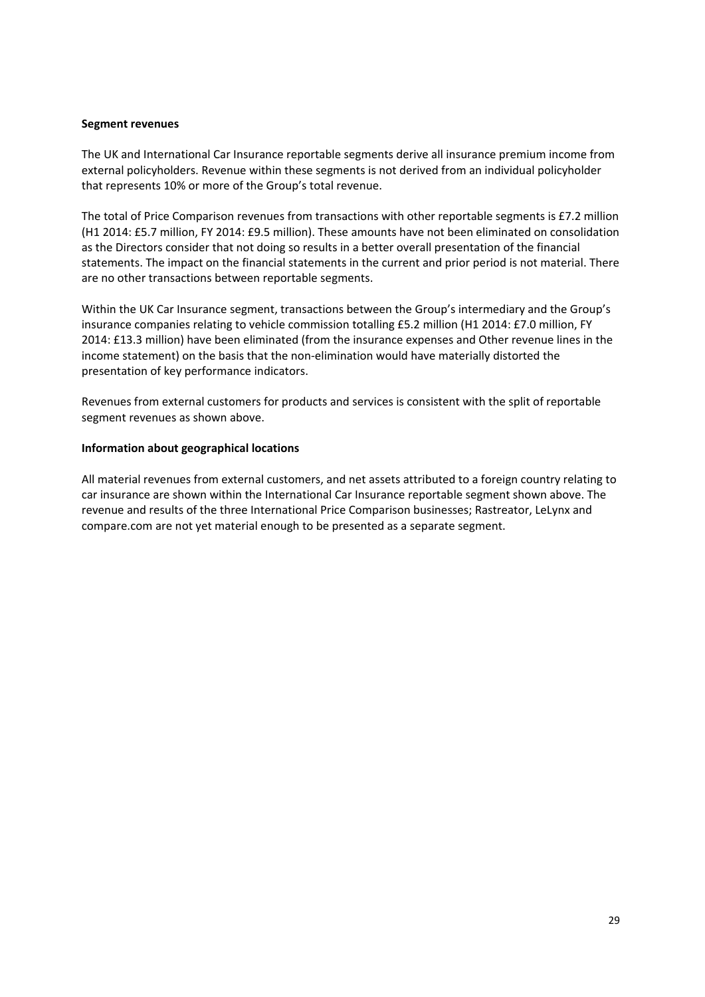#### **Segment revenues**

The UK and International Car Insurance reportable segments derive all insurance premium income from external policyholders. Revenue within these segments is not derived from an individual policyholder that represents 10% or more of the Group's total revenue.

The total of Price Comparison revenues from transactions with other reportable segments is £7.2 million (H1 2014: £5.7 million, FY 2014: £9.5 million). These amounts have not been eliminated on consolidation as the Directors consider that not doing so results in a better overall presentation of the financial statements. The impact on the financial statements in the current and prior period is not material. There are no other transactions between reportable segments.

Within the UK Car Insurance segment, transactions between the Group's intermediary and the Group's insurance companies relating to vehicle commission totalling £5.2 million (H1 2014: £7.0 million, FY 2014: £13.3 million) have been eliminated (from the insurance expenses and Other revenue lines in the income statement) on the basis that the non-elimination would have materially distorted the presentation of key performance indicators.

Revenues from external customers for products and services is consistent with the split of reportable segment revenues as shown above.

#### **Information about geographical locations**

All material revenues from external customers, and net assets attributed to a foreign country relating to car insurance are shown within the International Car Insurance reportable segment shown above. The revenue and results of the three International Price Comparison businesses; Rastreator, LeLynx and compare.com are not yet material enough to be presented as a separate segment.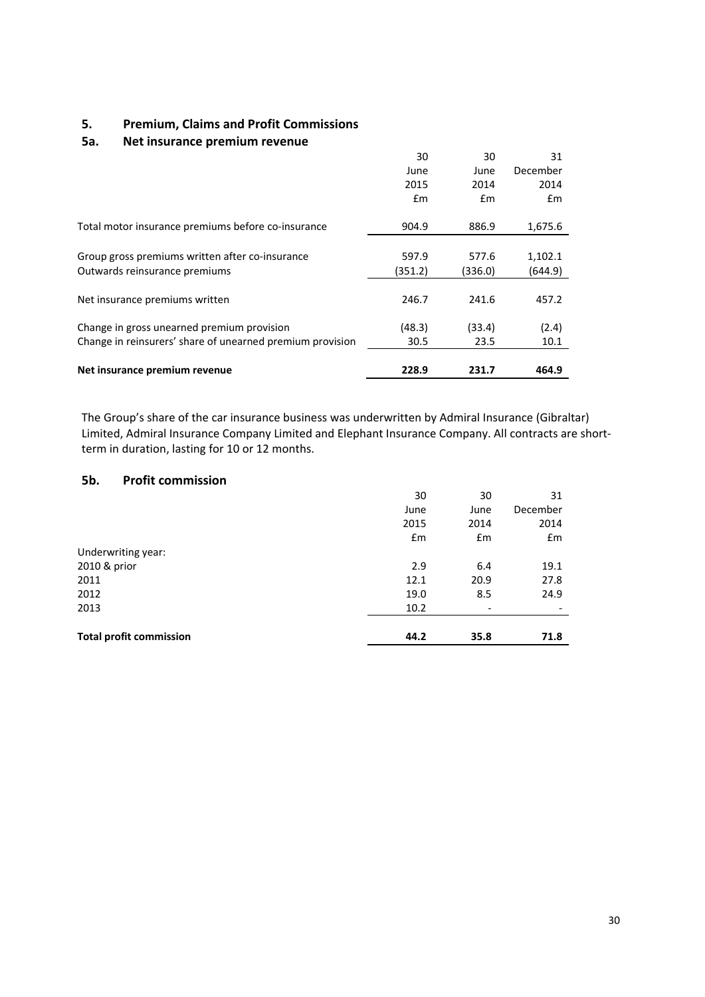# **5. Premium, Claims and Profit Commissions**

#### **5a. Net insurance premium revenue**

|                                                           | 30      | 30      | 31       |
|-----------------------------------------------------------|---------|---------|----------|
|                                                           | June    | June    | December |
|                                                           | 2015    | 2014    | 2014     |
|                                                           | £m      | Em      | Em       |
| Total motor insurance premiums before co-insurance        | 904.9   | 886.9   | 1,675.6  |
|                                                           |         |         |          |
| Group gross premiums written after co-insurance           | 597.9   | 577.6   | 1,102.1  |
| Outwards reinsurance premiums                             | (351.2) | (336.0) | (644.9)  |
|                                                           |         |         |          |
| Net insurance premiums written                            | 246.7   | 241.6   | 457.2    |
| Change in gross unearned premium provision                | (48.3)  | (33.4)  | (2.4)    |
| Change in reinsurers' share of unearned premium provision | 30.5    | 23.5    | 10.1     |
|                                                           |         |         |          |
| Net insurance premium revenue                             | 228.9   | 231.7   | 464.9    |

The Group's share of the car insurance business was underwritten by Admiral Insurance (Gibraltar) Limited, Admiral Insurance Company Limited and Elephant Insurance Company. All contracts are shortterm in duration, lasting for 10 or 12 months.

# **5b. Profit commission**

|                                | 30   | 30                       | 31       |
|--------------------------------|------|--------------------------|----------|
|                                | June | June                     | December |
|                                | 2015 | 2014                     | 2014     |
|                                | Em   | Em                       | Em       |
| Underwriting year:             |      |                          |          |
| 2010 & prior                   | 2.9  | 6.4                      | 19.1     |
| 2011                           | 12.1 | 20.9                     | 27.8     |
| 2012                           | 19.0 | 8.5                      | 24.9     |
| 2013                           | 10.2 | $\overline{\phantom{0}}$ |          |
|                                |      |                          |          |
| <b>Total profit commission</b> | 44.2 | 35.8                     | 71.8     |
|                                |      |                          |          |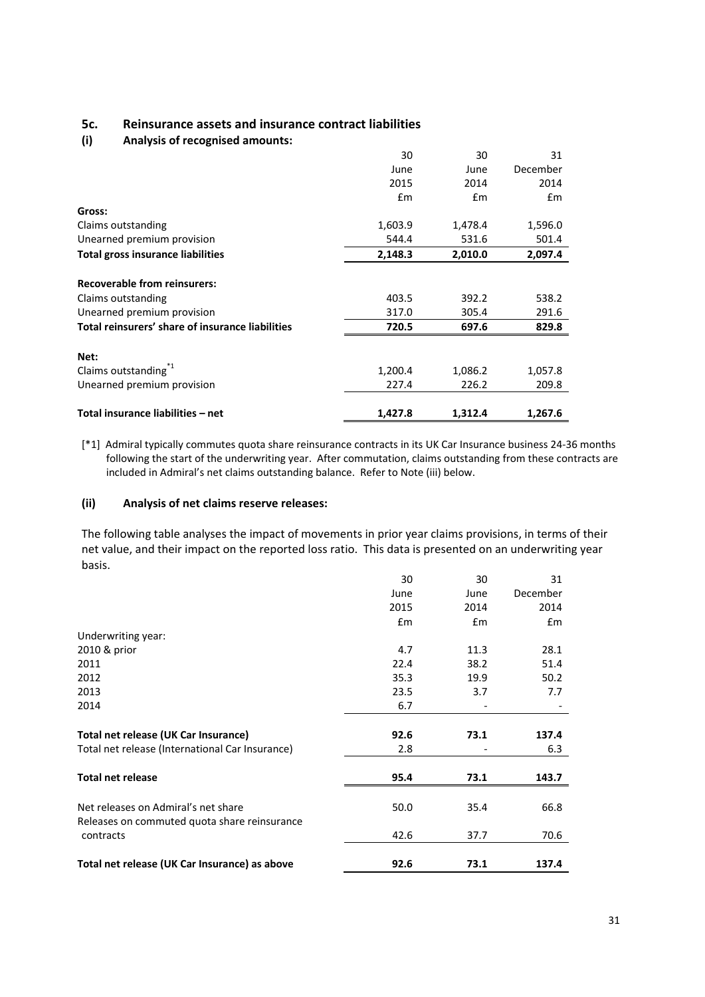# **5c. Reinsurance assets and insurance contract liabilities**

#### **(i) Analysis of recognised amounts:**

|                                                  | 30      | 30            | 31       |
|--------------------------------------------------|---------|---------------|----------|
|                                                  | June    | June          | December |
|                                                  | 2015    | 2014          | 2014     |
|                                                  | £m      | $\mathsf{fm}$ | Em       |
| Gross:                                           |         |               |          |
| Claims outstanding                               | 1,603.9 | 1,478.4       | 1,596.0  |
| Unearned premium provision                       | 544.4   | 531.6         | 501.4    |
| <b>Total gross insurance liabilities</b>         | 2,148.3 | 2,010.0       | 2,097.4  |
| <b>Recoverable from reinsurers:</b>              |         |               |          |
| Claims outstanding                               | 403.5   | 392.2         | 538.2    |
| Unearned premium provision                       | 317.0   | 305.4         | 291.6    |
| Total reinsurers' share of insurance liabilities | 720.5   | 697.6         | 829.8    |
| Net:                                             |         |               |          |
| Claims outstanding <sup>1</sup>                  | 1,200.4 | 1,086.2       | 1,057.8  |
| Unearned premium provision                       | 227.4   | 226.2         | 209.8    |
| Total insurance liabilities - net                | 1,427.8 | 1,312.4       | 1,267.6  |

[\*1] Admiral typically commutes quota share reinsurance contracts in its UK Car Insurance business 24-36 months following the start of the underwriting year. After commutation, claims outstanding from these contracts are included in Admiral's net claims outstanding balance. Refer to Note (iii) below.

#### **(ii) Analysis of net claims reserve releases:**

The following table analyses the impact of movements in prior year claims provisions, in terms of their net value, and their impact on the reported loss ratio. This data is presented on an underwriting year basis.

|                                                                                     | 30   | 30   | 31       |
|-------------------------------------------------------------------------------------|------|------|----------|
|                                                                                     | June | June | December |
|                                                                                     | 2015 | 2014 | 2014     |
|                                                                                     | £m   | £m   | £m       |
| Underwriting year:                                                                  |      |      |          |
| 2010 & prior                                                                        | 4.7  | 11.3 | 28.1     |
| 2011                                                                                | 22.4 | 38.2 | 51.4     |
| 2012                                                                                | 35.3 | 19.9 | 50.2     |
| 2013                                                                                | 23.5 | 3.7  | 7.7      |
| 2014                                                                                | 6.7  |      |          |
| Total net release (UK Car Insurance)                                                | 92.6 | 73.1 | 137.4    |
| Total net release (International Car Insurance)                                     | 2.8  |      | 6.3      |
| <b>Total net release</b>                                                            | 95.4 | 73.1 | 143.7    |
| Net releases on Admiral's net share<br>Releases on commuted quota share reinsurance | 50.0 | 35.4 | 66.8     |
| contracts                                                                           | 42.6 | 37.7 | 70.6     |
| Total net release (UK Car Insurance) as above                                       | 92.6 | 73.1 | 137.4    |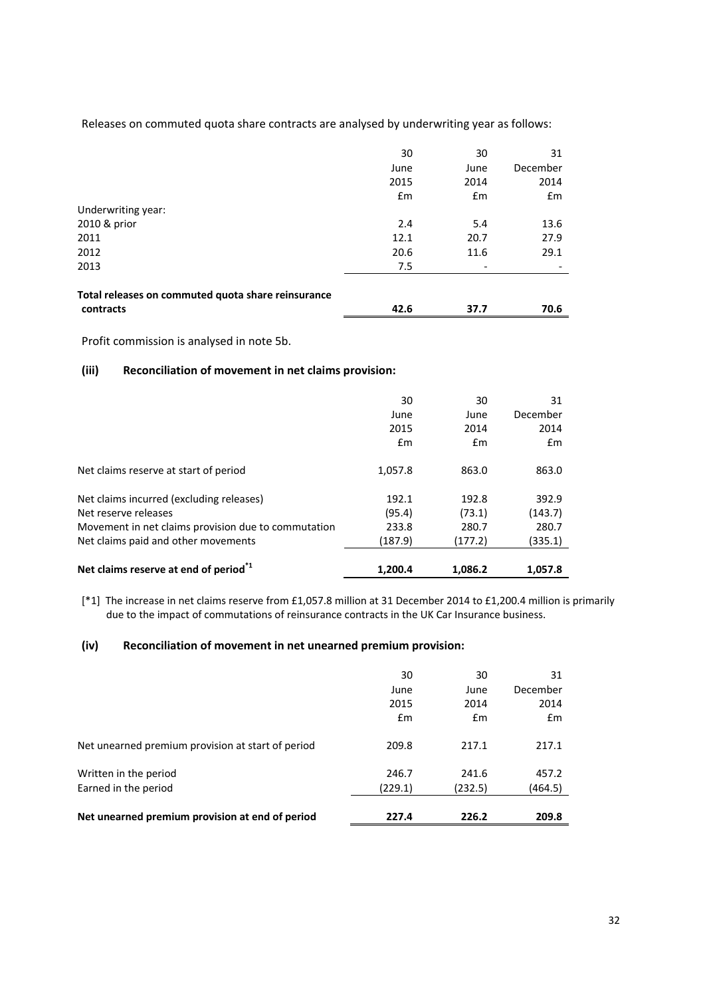Releases on commuted quota share contracts are analysed by underwriting year as follows:

|                                                    | 30   | 30                       | 31            |
|----------------------------------------------------|------|--------------------------|---------------|
|                                                    | June | June                     | December      |
|                                                    | 2015 | 2014                     | 2014          |
|                                                    | Em   | £m                       | $\mathsf{fm}$ |
| Underwriting year:                                 |      |                          |               |
| 2010 & prior                                       | 2.4  | 5.4                      | 13.6          |
| 2011                                               | 12.1 | 20.7                     | 27.9          |
| 2012                                               | 20.6 | 11.6                     | 29.1          |
| 2013                                               | 7.5  | $\overline{\phantom{a}}$ |               |
| Total releases on commuted quota share reinsurance |      |                          |               |
| contracts                                          | 42.6 | 37.7                     | 70.6          |

Profit commission is analysed in note 5b.

# **(iii) Reconciliation of movement in net claims provision:**

|                                                     | 30      | 30      | 31       |
|-----------------------------------------------------|---------|---------|----------|
|                                                     | June    | June    | December |
|                                                     | 2015    | 2014    | 2014     |
|                                                     | Em      | Em      | Em       |
| Net claims reserve at start of period               | 1,057.8 | 863.0   | 863.0    |
| Net claims incurred (excluding releases)            | 192.1   | 192.8   | 392.9    |
| Net reserve releases                                | (95.4)  | (73.1)  | (143.7)  |
| Movement in net claims provision due to commutation | 233.8   | 280.7   | 280.7    |
| Net claims paid and other movements                 | (187.9) | (177.2) | (335.1)  |
| Net claims reserve at end of period <sup>*1</sup>   | 1,200.4 | 1,086.2 | 1,057.8  |

[\*1] The increase in net claims reserve from £1,057.8 million at 31 December 2014 to £1,200.4 million is primarily due to the impact of commutations of reinsurance contracts in the UK Car Insurance business.

#### **(iv) Reconciliation of movement in net unearned premium provision:**

| Net unearned premium provision at end of period   | 227.4   | 226.2   | 209.8    |
|---------------------------------------------------|---------|---------|----------|
| Earned in the period                              |         | (232.5) | (464.5)  |
|                                                   | (229.1) |         |          |
| Written in the period                             | 246.7   | 241.6   | 457.2    |
| Net unearned premium provision at start of period | 209.8   | 217.1   | 217.1    |
|                                                   | £m      | Em      | Em       |
|                                                   | 2015    | 2014    | 2014     |
|                                                   | June    | June    | December |
|                                                   | 30      | 30      | 31       |
|                                                   |         |         |          |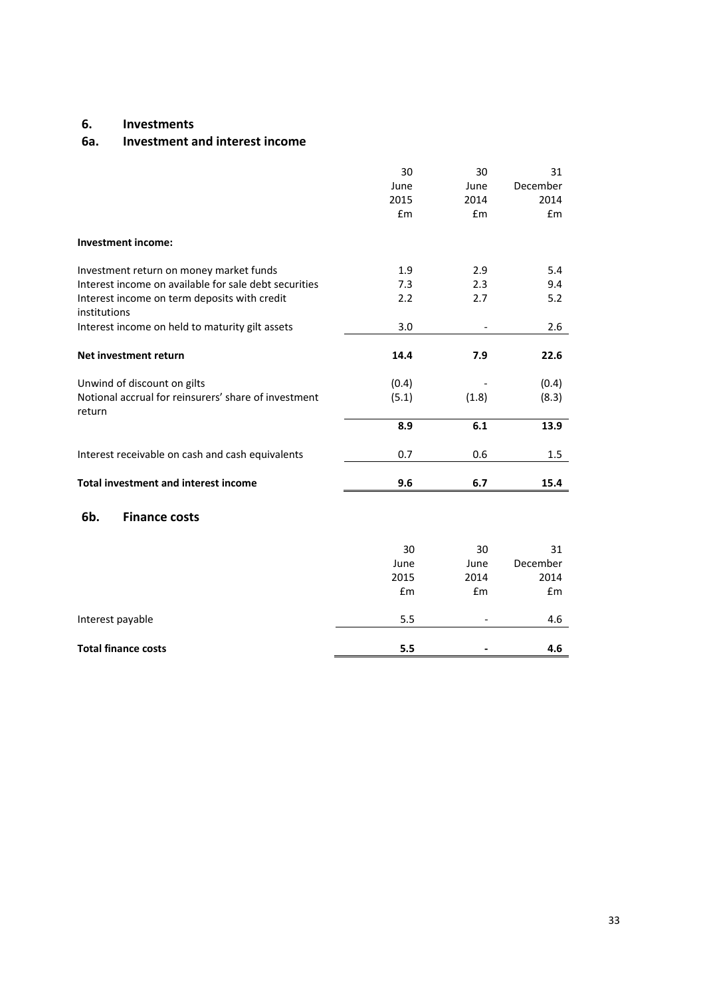# **6. Investments**

#### **6a. Investment and interest income**

|                                                              | 30    | 30    | 31       |
|--------------------------------------------------------------|-------|-------|----------|
|                                                              | June  | June  | December |
|                                                              | 2015  | 2014  | 2014     |
|                                                              | £m    | £m    | £m       |
| <b>Investment income:</b>                                    |       |       |          |
| Investment return on money market funds                      | 1.9   | 2.9   | 5.4      |
| Interest income on available for sale debt securities        | 7.3   | 2.3   | 9.4      |
| Interest income on term deposits with credit<br>institutions | 2.2   | 2.7   | 5.2      |
| Interest income on held to maturity gilt assets              | 3.0   |       | 2.6      |
| Net investment return                                        | 14.4  | 7.9   | 22.6     |
| Unwind of discount on gilts                                  | (0.4) |       | (0.4)    |
| Notional accrual for reinsurers' share of investment         | (5.1) | (1.8) | (8.3)    |
| return                                                       |       |       |          |
|                                                              | 8.9   | 6.1   | 13.9     |
| Interest receivable on cash and cash equivalents             | 0.7   | 0.6   | 1.5      |
| <b>Total investment and interest income</b>                  | 9.6   | 6.7   | 15.4     |
|                                                              |       |       |          |
| 6b.<br><b>Finance costs</b>                                  |       |       |          |
|                                                              | 30    | 30    | 31       |
|                                                              | June  | June  | December |
|                                                              | 2015  | 2014  | 2014     |
|                                                              | £m    | £m    | £m       |
| Interest payable                                             | 5.5   |       | 4.6      |
| <b>Total finance costs</b>                                   | 5.5   |       | 4.6      |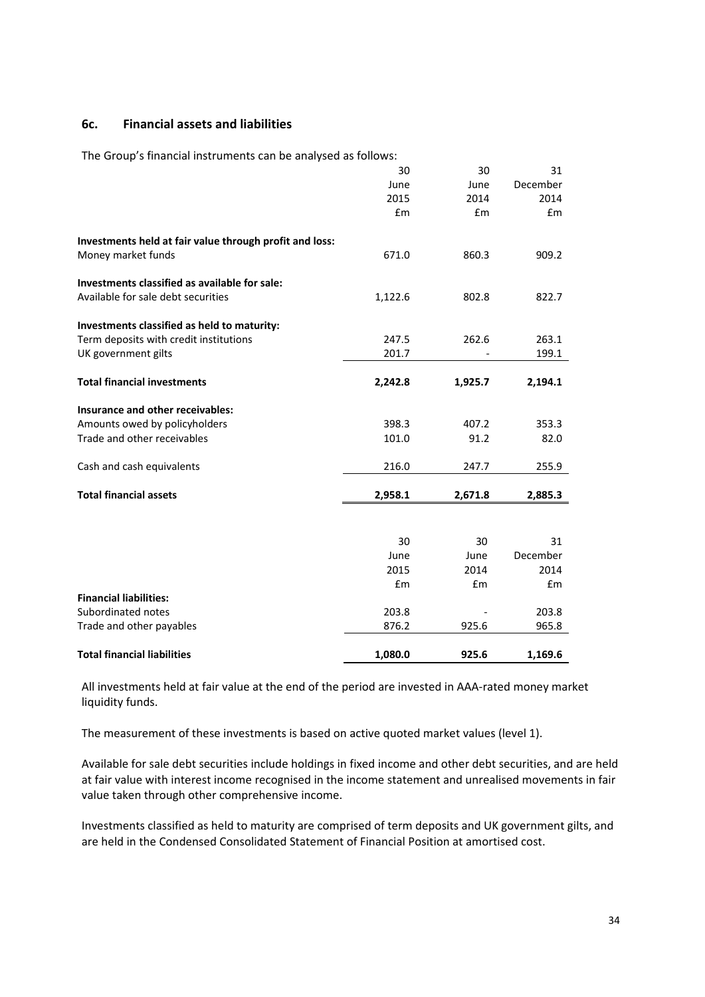## **6c. Financial assets and liabilities**

The Group's financial instruments can be analysed as follows:

|                                                         | 30      | 30      | 31       |
|---------------------------------------------------------|---------|---------|----------|
|                                                         | June    | June    | December |
|                                                         | 2015    | 2014    | 2014     |
|                                                         | £m      | £m      | £m       |
| Investments held at fair value through profit and loss: |         |         |          |
| Money market funds                                      | 671.0   | 860.3   | 909.2    |
| Investments classified as available for sale:           |         |         |          |
| Available for sale debt securities                      | 1,122.6 | 802.8   | 822.7    |
| Investments classified as held to maturity:             |         |         |          |
| Term deposits with credit institutions                  | 247.5   | 262.6   | 263.1    |
| UK government gilts                                     | 201.7   |         | 199.1    |
| <b>Total financial investments</b>                      | 2,242.8 | 1,925.7 | 2,194.1  |
| Insurance and other receivables:                        |         |         |          |
| Amounts owed by policyholders                           | 398.3   | 407.2   | 353.3    |
| Trade and other receivables                             | 101.0   | 91.2    | 82.0     |
| Cash and cash equivalents                               | 216.0   | 247.7   | 255.9    |
| <b>Total financial assets</b>                           | 2,958.1 | 2,671.8 | 2,885.3  |
|                                                         |         |         |          |
|                                                         | 30      | 30      | 31       |
|                                                         | June    | June    | December |
|                                                         | 2015    | 2014    | 2014     |
|                                                         | £m      | £m      | £m       |
| <b>Financial liabilities:</b>                           |         |         |          |
| Subordinated notes                                      | 203.8   |         | 203.8    |
| Trade and other payables                                | 876.2   | 925.6   | 965.8    |
| <b>Total financial liabilities</b>                      | 1,080.0 | 925.6   | 1,169.6  |

All investments held at fair value at the end of the period are invested in AAA-rated money market liquidity funds.

The measurement of these investments is based on active quoted market values (level 1).

Available for sale debt securities include holdings in fixed income and other debt securities, and are held at fair value with interest income recognised in the income statement and unrealised movements in fair value taken through other comprehensive income.

Investments classified as held to maturity are comprised of term deposits and UK government gilts, and are held in the Condensed Consolidated Statement of Financial Position at amortised cost.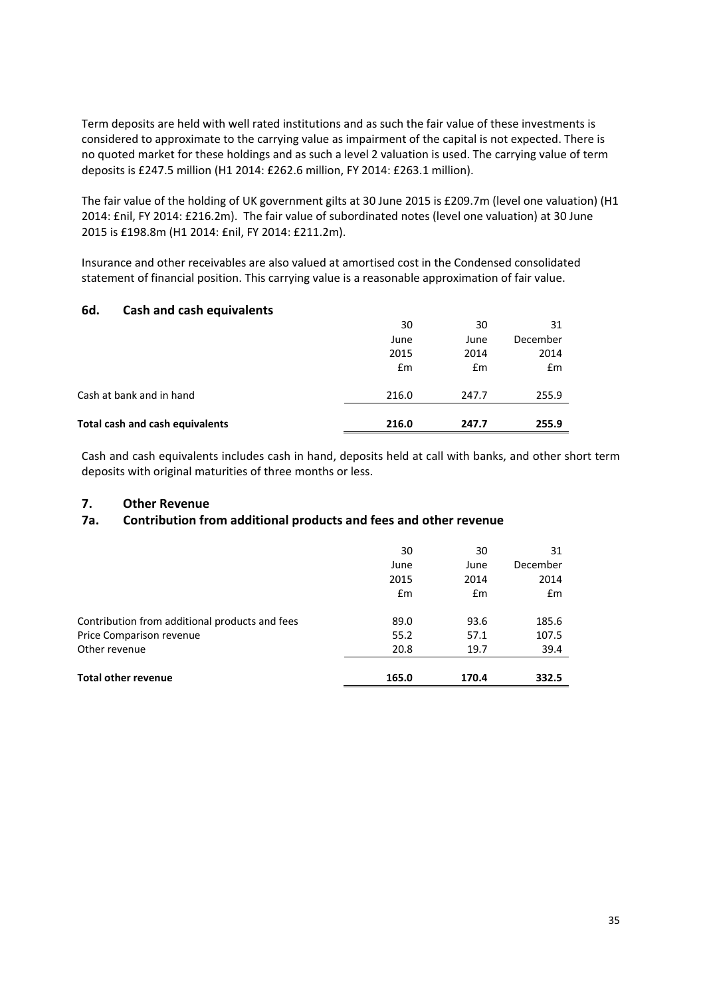Term deposits are held with well rated institutions and as such the fair value of these investments is considered to approximate to the carrying value as impairment of the capital is not expected. There is no quoted market for these holdings and as such a level 2 valuation is used. The carrying value of term deposits is £247.5 million (H1 2014: £262.6 million, FY 2014: £263.1 million).

The fair value of the holding of UK government gilts at 30 June 2015 is £209.7m (level one valuation) (H1 2014: £nil, FY 2014: £216.2m). The fair value of subordinated notes (level one valuation) at 30 June 2015 is £198.8m (H1 2014: £nil, FY 2014: £211.2m).

Insurance and other receivables are also valued at amortised cost in the Condensed consolidated statement of financial position. This carrying value is a reasonable approximation of fair value.

# **6d. Cash and cash equivalents**

| Total cash and cash equivalents | 216.0 | 247.7 | 255.9    |
|---------------------------------|-------|-------|----------|
| Cash at bank and in hand        | 216.0 | 247.7 | 255.9    |
|                                 | £m    | £m    | Em       |
|                                 | 2015  | 2014  | 2014     |
|                                 | June  | June  | December |
|                                 | 30    | 30    | 31       |

Cash and cash equivalents includes cash in hand, deposits held at call with banks, and other short term deposits with original maturities of three months or less.

## **7. Other Revenue**

# **7a. Contribution from additional products and fees and other revenue**

| <b>Total other revenue</b>                     | 165.0 | 170.4 | 332.5    |
|------------------------------------------------|-------|-------|----------|
| Other revenue                                  | 20.8  | 19.7  | 39.4     |
| Price Comparison revenue                       | 55.2  | 57.1  | 107.5    |
| Contribution from additional products and fees | 89.0  | 93.6  | 185.6    |
|                                                | Em    | Em    | Em       |
|                                                | 2015  | 2014  | 2014     |
|                                                | June  | June  | December |
|                                                | 30    | 30    | 31       |
|                                                |       |       |          |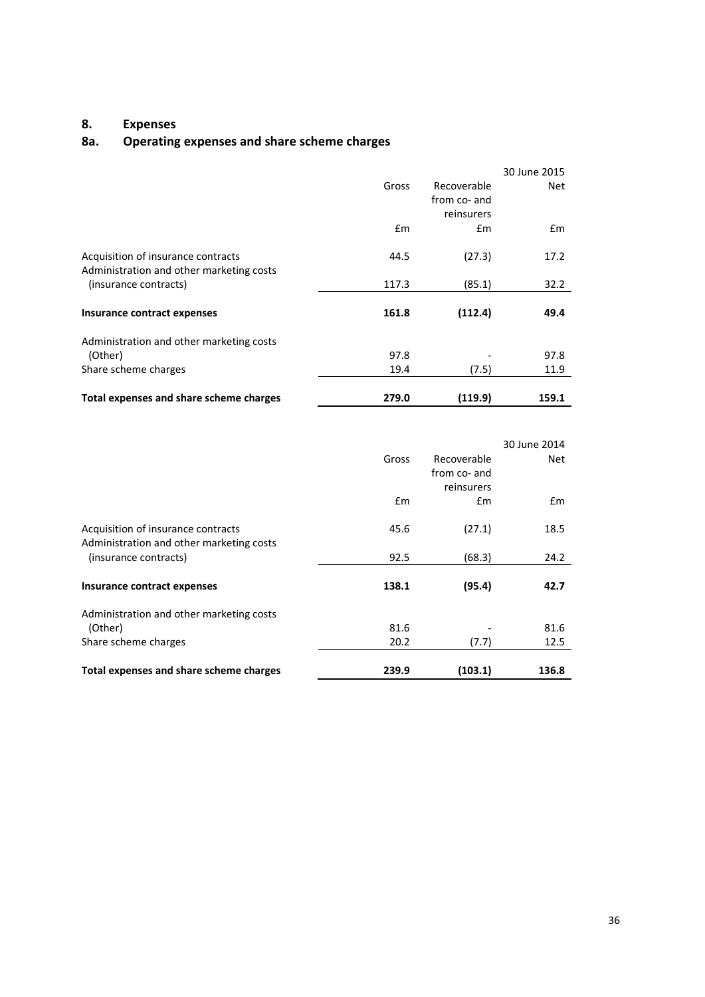# **8. Expenses**

# **8a. Operating expenses and share scheme charges**

|                                          |       |              | 30 June 2015 |
|------------------------------------------|-------|--------------|--------------|
|                                          | Gross | Recoverable  | Net          |
|                                          |       | from co- and |              |
|                                          |       | reinsurers   |              |
|                                          | £m    | Em           | Em           |
| Acquisition of insurance contracts       | 44.5  | (27.3)       | 17.2         |
| Administration and other marketing costs |       |              |              |
| (insurance contracts)                    | 117.3 | (85.1)       | 32.2         |
|                                          |       |              |              |
| Insurance contract expenses              | 161.8 | (112.4)      | 49.4         |
| Administration and other marketing costs |       |              |              |
| (Other)                                  | 97.8  |              | 97.8         |
| Share scheme charges                     | 19.4  | (7.5)        | 11.9         |
|                                          | 279.0 | (119.9)      | 159.1        |
| Total expenses and share scheme charges  |       |              |              |

|                                          |       |              | 30 June 2014 |
|------------------------------------------|-------|--------------|--------------|
|                                          | Gross | Recoverable  | Net          |
|                                          |       | from co- and |              |
|                                          |       | reinsurers   |              |
|                                          | Em    | Em           | £m           |
| Acquisition of insurance contracts       | 45.6  | (27.1)       | 18.5         |
| Administration and other marketing costs |       |              |              |
| (insurance contracts)                    | 92.5  | (68.3)       | 24.2         |
|                                          |       |              |              |
| Insurance contract expenses              | 138.1 | (95.4)       | 42.7         |
| Administration and other marketing costs |       |              |              |
| (Other)                                  | 81.6  |              | 81.6         |
| Share scheme charges                     | 20.2  | (7.7)        | 12.5         |
| Total expenses and share scheme charges  | 239.9 | (103.1)      | 136.8        |
|                                          |       |              |              |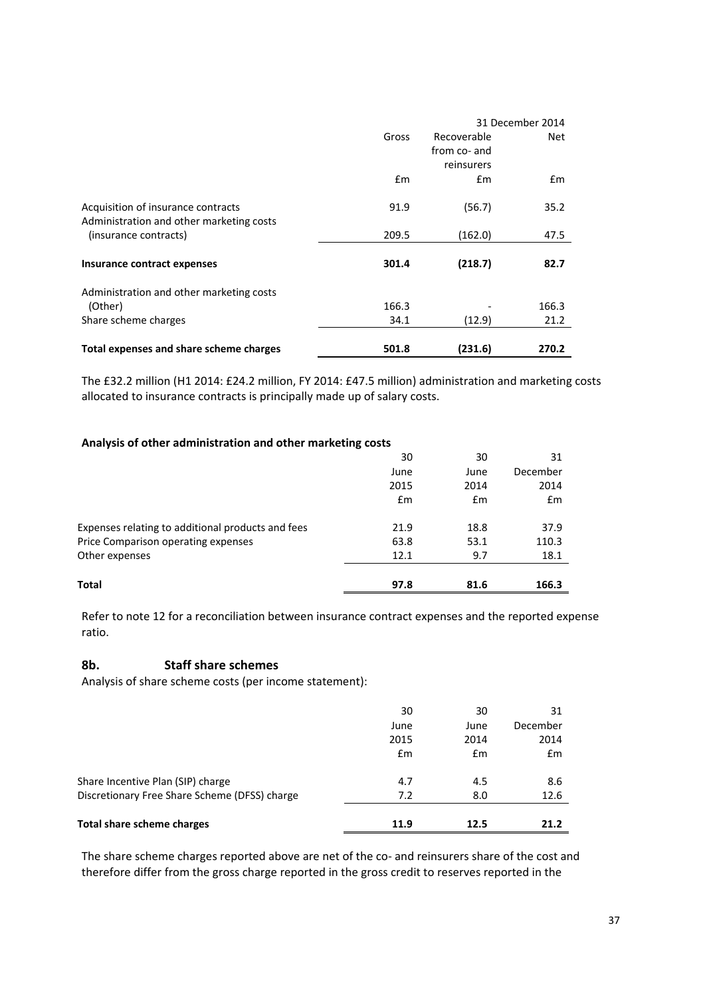|                                          |       | 31 December 2014 |       |
|------------------------------------------|-------|------------------|-------|
|                                          | Gross | Recoverable      | Net   |
|                                          |       | from co- and     |       |
|                                          |       | reinsurers       |       |
|                                          | £m    | Em               | Em    |
| Acquisition of insurance contracts       | 91.9  | (56.7)           | 35.2  |
| Administration and other marketing costs |       |                  |       |
| (insurance contracts)                    | 209.5 | (162.0)          | 47.5  |
|                                          |       |                  |       |
| Insurance contract expenses              | 301.4 | (218.7)          | 82.7  |
| Administration and other marketing costs |       |                  |       |
| (Other)                                  | 166.3 |                  | 166.3 |
| Share scheme charges                     | 34.1  | (12.9)           | 21.2  |
| Total expenses and share scheme charges  | 501.8 | (231.6)          | 270.2 |

The £32.2 million (H1 2014: £24.2 million, FY 2014: £47.5 million) administration and marketing costs allocated to insurance contracts is principally made up of salary costs.

#### **Analysis of other administration and other marketing costs**

| Total                                             | 97.8 | 81.6 | 166.3    |
|---------------------------------------------------|------|------|----------|
| Other expenses                                    | 12.1 | 9.7  | 18.1     |
| Price Comparison operating expenses               | 63.8 | 53.1 | 110.3    |
| Expenses relating to additional products and fees | 21.9 | 18.8 | 37.9     |
|                                                   | Em   | Em   | £m       |
|                                                   | 2015 | 2014 | 2014     |
|                                                   | June | June | December |
|                                                   | 30   | 30   | 31       |

Refer to note 12 for a reconciliation between insurance contract expenses and the reported expense ratio.

#### **8b. Staff share schemes**

Analysis of share scheme costs (per income statement):

| <b>Total share scheme charges</b>             | 11.9 | 12.5 | 21.2     |
|-----------------------------------------------|------|------|----------|
| Discretionary Free Share Scheme (DFSS) charge | 7.2  | 8.0  | 12.6     |
| Share Incentive Plan (SIP) charge             | 4.7  | 4.5  | 8.6      |
|                                               | £m   | Em   | Em       |
|                                               | 2015 | 2014 | 2014     |
|                                               | June | June | December |
|                                               | 30   | 30   | 31       |
|                                               |      |      |          |

The share scheme charges reported above are net of the co- and reinsurers share of the cost and therefore differ from the gross charge reported in the gross credit to reserves reported in the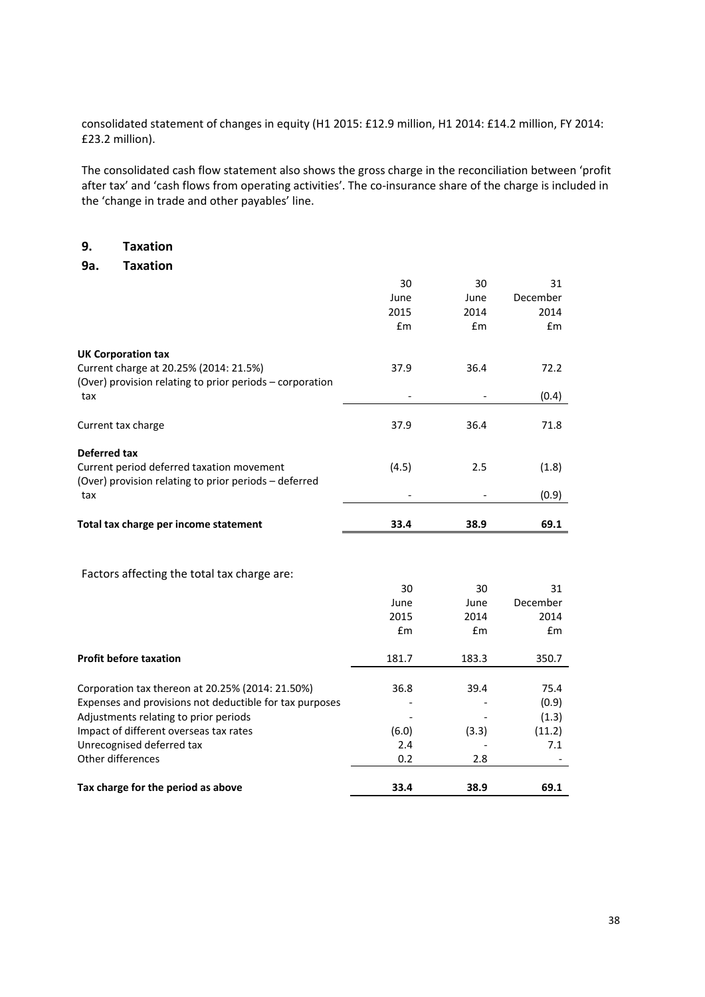consolidated statement of changes in equity (H1 2015: £12.9 million, H1 2014: £14.2 million, FY 2014: £23.2 million).

The consolidated cash flow statement also shows the gross charge in the reconciliation between 'profit after tax' and 'cash flows from operating activities'. The co-insurance share of the charge is included in the 'change in trade and other payables' line.

# **9. Taxation**

**9a. Taxation** 

|                                                          | 30    | 30    | 31       |
|----------------------------------------------------------|-------|-------|----------|
|                                                          | June  | June  | December |
|                                                          | 2015  | 2014  | 2014     |
|                                                          | £m    | £m    | £m       |
|                                                          |       |       |          |
| <b>UK Corporation tax</b>                                |       |       |          |
| Current charge at 20.25% (2014: 21.5%)                   | 37.9  | 36.4  | 72.2     |
| (Over) provision relating to prior periods - corporation |       |       |          |
| tax                                                      |       |       | (0.4)    |
|                                                          |       |       |          |
| Current tax charge                                       | 37.9  | 36.4  | 71.8     |
| <b>Deferred tax</b>                                      |       |       |          |
| Current period deferred taxation movement                | (4.5) | 2.5   | (1.8)    |
| (Over) provision relating to prior periods - deferred    |       |       |          |
| tax                                                      |       |       | (0.9)    |
|                                                          |       |       |          |
| Total tax charge per income statement                    | 33.4  | 38.9  | 69.1     |
|                                                          |       |       |          |
|                                                          |       |       |          |
| Factors affecting the total tax charge are:              |       |       |          |
|                                                          | 30    | 30    | 31       |
|                                                          | June  | June  | December |
|                                                          | 2015  | 2014  | 2014     |
|                                                          | £m    | £m    | £m       |
|                                                          |       |       |          |
| <b>Profit before taxation</b>                            | 181.7 | 183.3 | 350.7    |
|                                                          |       |       |          |
| Corporation tax thereon at 20.25% (2014: 21.50%)         | 36.8  | 39.4  | 75.4     |
| Expenses and provisions not deductible for tax purposes  |       |       | (0.9)    |
| Adjustments relating to prior periods                    |       |       | (1.3)    |
| Impact of different overseas tax rates                   | (6.0) | (3.3) | (11.2)   |
| Unrecognised deferred tax                                | 2.4   |       | 7.1      |
| Other differences                                        | 0.2   | 2.8   |          |
|                                                          |       |       |          |
| Tax charge for the period as above                       | 33.4  | 38.9  | 69.1     |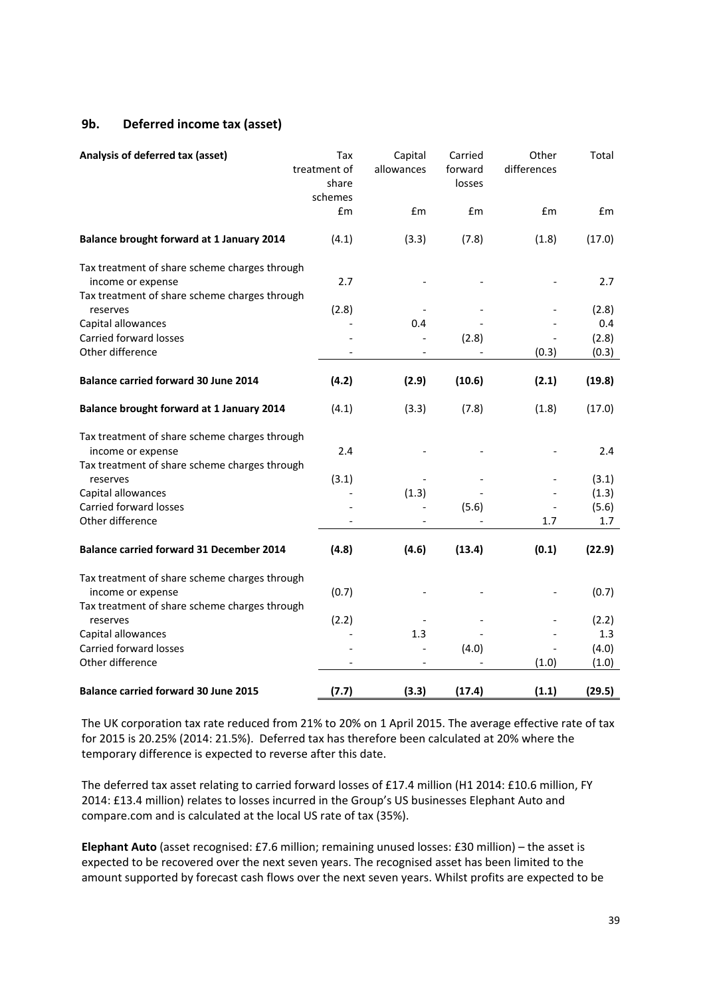# **9b. Deferred income tax (asset)**

| Analysis of deferred tax (asset)                                   | Tax<br>treatment of<br>share<br>schemes | Capital<br>allowances | Carried<br>forward<br>losses | Other<br>differences | Total  |
|--------------------------------------------------------------------|-----------------------------------------|-----------------------|------------------------------|----------------------|--------|
|                                                                    | £m                                      | £m                    | £m                           | £m                   | £m     |
| Balance brought forward at 1 January 2014                          | (4.1)                                   | (3.3)                 | (7.8)                        | (1.8)                | (17.0) |
| Tax treatment of share scheme charges through<br>income or expense | 2.7                                     |                       |                              |                      | 2.7    |
| Tax treatment of share scheme charges through<br>reserves          | (2.8)                                   |                       |                              |                      | (2.8)  |
| Capital allowances                                                 |                                         | 0.4                   |                              |                      | 0.4    |
| Carried forward losses                                             |                                         |                       | (2.8)                        |                      | (2.8)  |
| Other difference                                                   |                                         |                       |                              | (0.3)                | (0.3)  |
| <b>Balance carried forward 30 June 2014</b>                        | (4.2)                                   | (2.9)                 | (10.6)                       | (2.1)                | (19.8) |
| Balance brought forward at 1 January 2014                          | (4.1)                                   | (3.3)                 | (7.8)                        | (1.8)                | (17.0) |
|                                                                    |                                         |                       |                              |                      |        |
| Tax treatment of share scheme charges through<br>income or expense | 2.4                                     |                       |                              |                      | 2.4    |
| Tax treatment of share scheme charges through<br>reserves          | (3.1)                                   |                       |                              |                      | (3.1)  |
| Capital allowances                                                 |                                         | (1.3)                 |                              |                      | (1.3)  |
| <b>Carried forward losses</b>                                      |                                         |                       | (5.6)                        |                      | (5.6)  |
| Other difference                                                   |                                         |                       |                              | 1.7                  | 1.7    |
| <b>Balance carried forward 31 December 2014</b>                    | (4.8)                                   | (4.6)                 | (13.4)                       | (0.1)                | (22.9) |
|                                                                    |                                         |                       |                              |                      |        |
| Tax treatment of share scheme charges through                      |                                         |                       |                              |                      |        |
| income or expense                                                  | (0.7)                                   |                       |                              |                      | (0.7)  |
| Tax treatment of share scheme charges through<br>reserves          | (2.2)                                   |                       |                              |                      | (2.2)  |
| Capital allowances                                                 |                                         | 1.3                   |                              |                      | 1.3    |
| <b>Carried forward losses</b>                                      |                                         |                       | (4.0)                        |                      | (4.0)  |
| Other difference                                                   |                                         |                       |                              | (1.0)                | (1.0)  |
| <b>Balance carried forward 30 June 2015</b>                        | (7.7)                                   | (3.3)                 | (17.4)                       | (1.1)                | (29.5) |

The UK corporation tax rate reduced from 21% to 20% on 1 April 2015. The average effective rate of tax for 2015 is 20.25% (2014: 21.5%). Deferred tax has therefore been calculated at 20% where the temporary difference is expected to reverse after this date.

The deferred tax asset relating to carried forward losses of £17.4 million (H1 2014: £10.6 million, FY 2014: £13.4 million) relates to losses incurred in the Group's US businesses Elephant Auto and compare.com and is calculated at the local US rate of tax (35%).

**Elephant Auto** (asset recognised: £7.6 million; remaining unused losses: £30 million) – the asset is expected to be recovered over the next seven years. The recognised asset has been limited to the amount supported by forecast cash flows over the next seven years. Whilst profits are expected to be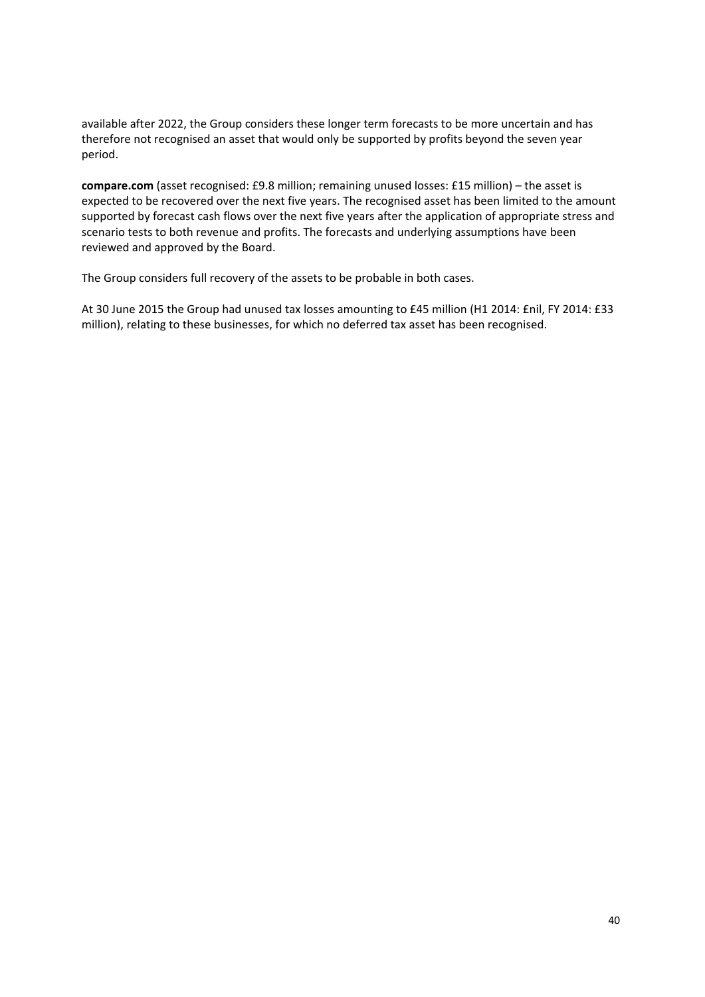available after 2022, the Group considers these longer term forecasts to be more uncertain and has therefore not recognised an asset that would only be supported by profits beyond the seven year period.

**compare.com** (asset recognised: £9.8 million; remaining unused losses: £15 million) – the asset is expected to be recovered over the next five years. The recognised asset has been limited to the amount supported by forecast cash flows over the next five years after the application of appropriate stress and scenario tests to both revenue and profits. The forecasts and underlying assumptions have been reviewed and approved by the Board.

The Group considers full recovery of the assets to be probable in both cases.

At 30 June 2015 the Group had unused tax losses amounting to £45 million (H1 2014: £nil, FY 2014: £33 million), relating to these businesses, for which no deferred tax asset has been recognised.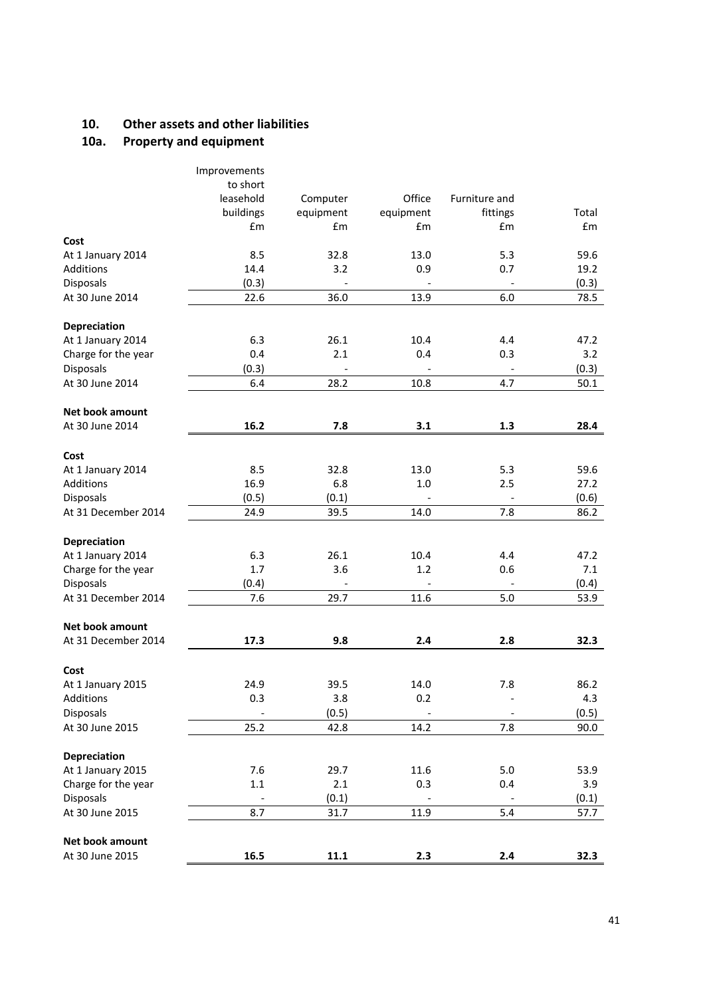# **10. Other assets and other liabilities**

# **10a. Property and equipment**

|                        | Improvements<br>to short |           |           |                          |       |
|------------------------|--------------------------|-----------|-----------|--------------------------|-------|
|                        | leasehold                | Computer  | Office    | Furniture and            |       |
|                        | buildings                | equipment | equipment | fittings                 | Total |
|                        | £m                       | £m        | £m        | £m                       | £m    |
| Cost                   |                          |           |           |                          |       |
| At 1 January 2014      | 8.5                      | 32.8      | 13.0      | 5.3                      | 59.6  |
| Additions              | 14.4                     | 3.2       | 0.9       | 0.7                      | 19.2  |
| Disposals              | (0.3)                    |           |           |                          | (0.3) |
| At 30 June 2014        | 22.6                     | 36.0      | 13.9      | $6.0\,$                  | 78.5  |
| Depreciation           |                          |           |           |                          |       |
| At 1 January 2014      | 6.3                      | 26.1      | 10.4      | 4.4                      | 47.2  |
| Charge for the year    | 0.4                      | 2.1       | 0.4       | 0.3                      | 3.2   |
| <b>Disposals</b>       | (0.3)                    |           |           |                          | (0.3) |
| At 30 June 2014        | 6.4                      | 28.2      | 10.8      | 4.7                      | 50.1  |
| <b>Net book amount</b> |                          |           |           |                          |       |
| At 30 June 2014        | 16.2                     | 7.8       | 3.1       | 1.3                      | 28.4  |
|                        |                          |           |           |                          |       |
| Cost                   |                          |           |           |                          |       |
| At 1 January 2014      | 8.5                      | 32.8      | 13.0      | 5.3                      | 59.6  |
| Additions              | 16.9                     | 6.8       | 1.0       | 2.5                      | 27.2  |
| Disposals              | (0.5)                    | (0.1)     |           | $\overline{\phantom{a}}$ | (0.6) |
| At 31 December 2014    | 24.9                     | 39.5      | 14.0      | 7.8                      | 86.2  |
| Depreciation           |                          |           |           |                          |       |
| At 1 January 2014      | 6.3                      | 26.1      | 10.4      | 4.4                      | 47.2  |
| Charge for the year    | 1.7                      | 3.6       | 1.2       | 0.6                      | 7.1   |
| Disposals              | (0.4)                    |           |           |                          | (0.4) |
| At 31 December 2014    | 7.6                      | 29.7      | 11.6      | 5.0                      | 53.9  |
|                        |                          |           |           |                          |       |
| Net book amount        |                          |           |           |                          |       |
| At 31 December 2014    | 17.3                     | 9.8       | 2.4       | 2.8                      | 32.3  |
| Cost                   |                          |           |           |                          |       |
| At 1 January 2015      | 24.9                     | 39.5      | 14.0      | 7.8                      | 86.2  |
| Additions              | 0.3                      | 3.8       | 0.2       |                          | 4.3   |
| Disposals              |                          | (0.5)     |           |                          | (0.5) |
| At 30 June 2015        | 25.2                     | 42.8      | 14.2      | 7.8                      | 90.0  |
|                        |                          |           |           |                          |       |
| Depreciation           |                          |           |           |                          |       |
| At 1 January 2015      | 7.6                      | 29.7      | 11.6      | 5.0                      | 53.9  |
| Charge for the year    | $1.1\,$                  | 2.1       | 0.3       | 0.4                      | 3.9   |
| Disposals              |                          | (0.1)     |           |                          | (0.1) |
| At 30 June 2015        | 8.7                      | 31.7      | 11.9      | 5.4                      | 57.7  |
| Net book amount        |                          |           |           |                          |       |
| At 30 June 2015        | 16.5                     | $11.1\,$  | 2.3       | $2.4\,$                  | 32.3  |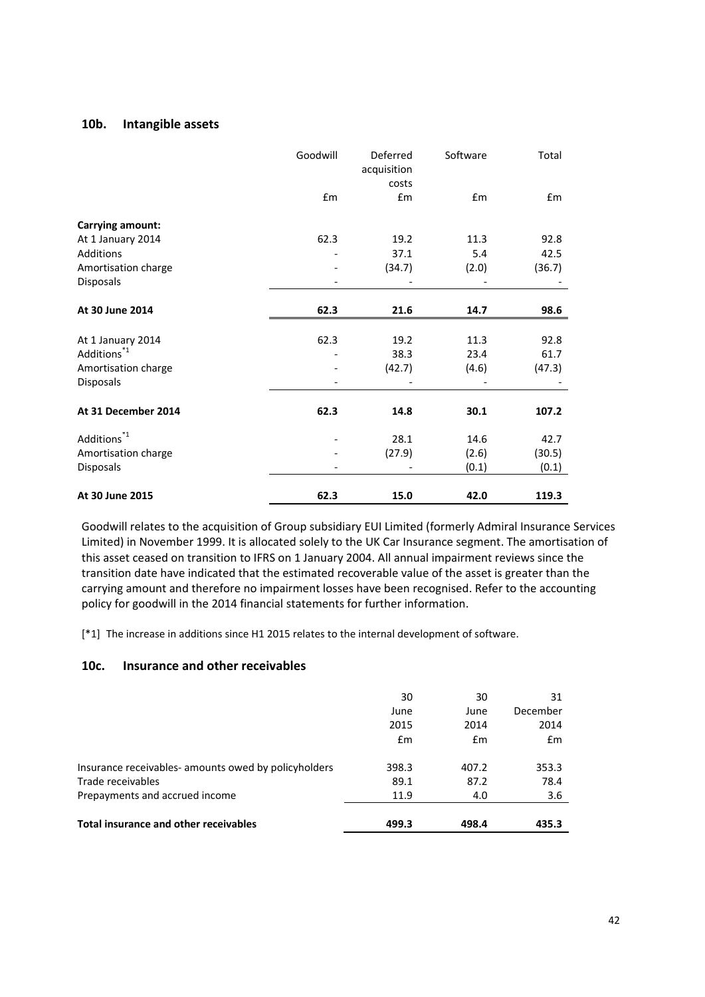# **10b. Intangible assets**

|                         | Goodwill | Deferred<br>acquisition<br>costs | Software | Total  |
|-------------------------|----------|----------------------------------|----------|--------|
|                         | £m       | £m                               | £m       | £m     |
| Carrying amount:        |          |                                  |          |        |
| At 1 January 2014       | 62.3     | 19.2                             | 11.3     | 92.8   |
| Additions               |          | 37.1                             | 5.4      | 42.5   |
| Amortisation charge     |          | (34.7)                           | (2.0)    | (36.7) |
| Disposals               |          |                                  |          |        |
| At 30 June 2014         | 62.3     | 21.6                             | 14.7     | 98.6   |
|                         |          |                                  |          |        |
| At 1 January 2014       | 62.3     | 19.2                             | 11.3     | 92.8   |
| Additions <sup>*1</sup> |          | 38.3                             | 23.4     | 61.7   |
| Amortisation charge     |          | (42.7)                           | (4.6)    | (47.3) |
| Disposals               |          |                                  |          |        |
| At 31 December 2014     | 62.3     | 14.8                             | 30.1     | 107.2  |
| Additions <sup>*1</sup> |          | 28.1                             | 14.6     | 42.7   |
| Amortisation charge     |          | (27.9)                           | (2.6)    | (30.5) |
| Disposals               |          |                                  | (0.1)    | (0.1)  |
| At 30 June 2015         | 62.3     | 15.0                             | 42.0     | 119.3  |

Goodwill relates to the acquisition of Group subsidiary EUI Limited (formerly Admiral Insurance Services Limited) in November 1999. It is allocated solely to the UK Car Insurance segment. The amortisation of this asset ceased on transition to IFRS on 1 January 2004. All annual impairment reviews since the transition date have indicated that the estimated recoverable value of the asset is greater than the carrying amount and therefore no impairment losses have been recognised. Refer to the accounting policy for goodwill in the 2014 financial statements for further information.

[\*1] The increase in additions since H1 2015 relates to the internal development of software.

#### **10c. Insurance and other receivables**

| <b>Total insurance and other receivables</b>         | 499.3 | 498.4 | 435.3    |
|------------------------------------------------------|-------|-------|----------|
| Prepayments and accrued income                       | 11.9  | 4.0   | 3.6      |
| Trade receivables                                    | 89.1  | 87.2  | 78.4     |
| Insurance receivables- amounts owed by policyholders | 398.3 | 407.2 | 353.3    |
|                                                      | Em    | £m    | Em       |
|                                                      | 2015  | 2014  | 2014     |
|                                                      | June  | June  | December |
|                                                      | 30    | 30    | 31       |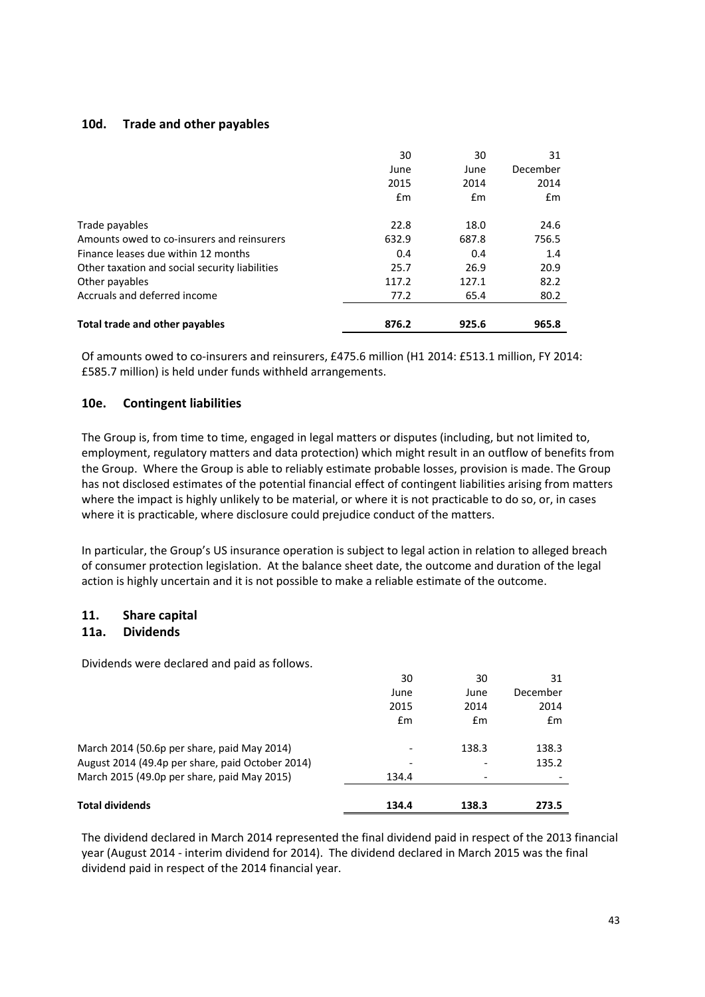# **10d. Trade and other payables**

|                                                | 30    | 30    | 31       |
|------------------------------------------------|-------|-------|----------|
|                                                | June  | June  | December |
|                                                | 2015  | 2014  | 2014     |
|                                                | Em    | Em    | Em       |
| Trade payables                                 | 22.8  | 18.0  | 24.6     |
| Amounts owed to co-insurers and reinsurers     | 632.9 | 687.8 | 756.5    |
| Finance leases due within 12 months            | 0.4   | 0.4   | 1.4      |
| Other taxation and social security liabilities | 25.7  | 26.9  | 20.9     |
| Other payables                                 | 117.2 | 127.1 | 82.2     |
| Accruals and deferred income                   | 77.2  | 65.4  | 80.2     |
| <b>Total trade and other payables</b>          | 876.2 | 925.6 | 965.8    |

Of amounts owed to co-insurers and reinsurers, £475.6 million (H1 2014: £513.1 million, FY 2014: £585.7 million) is held under funds withheld arrangements.

# **10e. Contingent liabilities**

The Group is, from time to time, engaged in legal matters or disputes (including, but not limited to, employment, regulatory matters and data protection) which might result in an outflow of benefits from the Group. Where the Group is able to reliably estimate probable losses, provision is made. The Group has not disclosed estimates of the potential financial effect of contingent liabilities arising from matters where the impact is highly unlikely to be material, or where it is not practicable to do so, or, in cases where it is practicable, where disclosure could prejudice conduct of the matters.

In particular, the Group's US insurance operation is subject to legal action in relation to alleged breach of consumer protection legislation. At the balance sheet date, the outcome and duration of the legal action is highly uncertain and it is not possible to make a reliable estimate of the outcome.

# **11. Share capital**

#### **11a. Dividends**

Dividends were declared and paid as follows.

| 134.4                    |       |          |
|--------------------------|-------|----------|
|                          |       | 135.2    |
| $\overline{\phantom{0}}$ | 138.3 | 138.3    |
| £m                       | Em    | Em       |
| 2015                     | 2014  | 2014     |
| June                     | June  | December |
| 30                       | 30    | 31       |
|                          |       |          |

The dividend declared in March 2014 represented the final dividend paid in respect of the 2013 financial year (August 2014 - interim dividend for 2014). The dividend declared in March 2015 was the final dividend paid in respect of the 2014 financial year.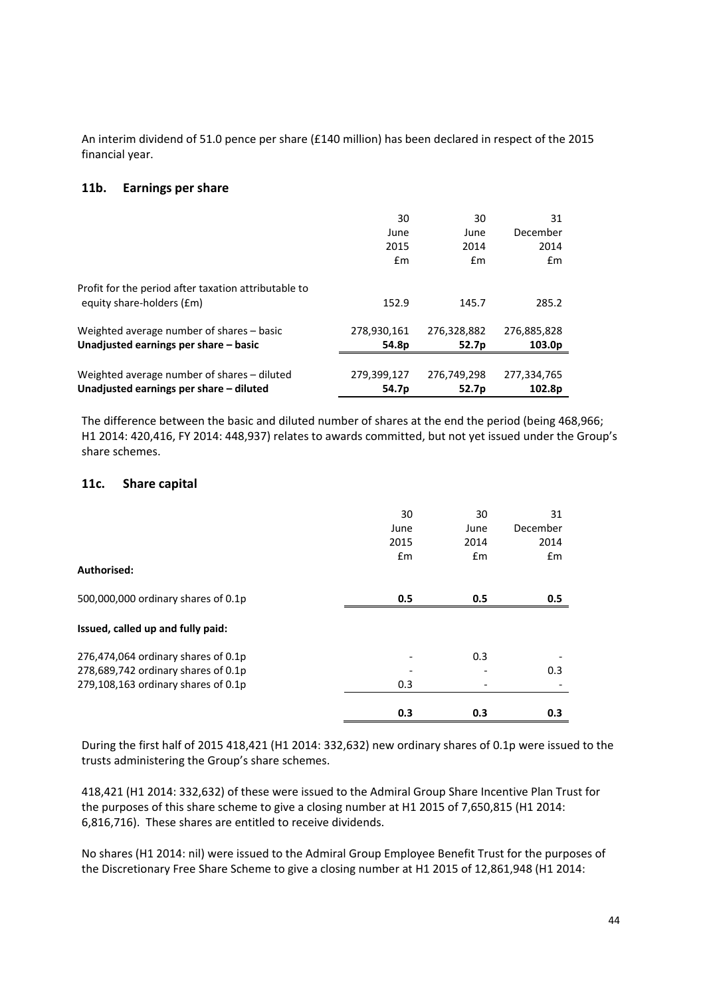An interim dividend of 51.0 pence per share (£140 million) has been declared in respect of the 2015 financial year.

#### **11b. Earnings per share**

| Unadjusted earnings per share - diluted                                           | 54.7p       | 52.7p       | 102.8p             |
|-----------------------------------------------------------------------------------|-------------|-------------|--------------------|
| Weighted average number of shares - diluted                                       | 279,399,127 | 276.749.298 | 277,334,765        |
|                                                                                   |             |             |                    |
| Unadjusted earnings per share - basic                                             | 54.8p       | 52.7p       | 103.0 <sub>p</sub> |
| Weighted average number of shares – basic                                         | 278.930.161 | 276.328.882 | 276,885,828        |
| Profit for the period after taxation attributable to<br>equity share-holders (£m) | 152.9       | 145.7       | 285.2              |
|                                                                                   | Em          | Em          | $\mathsf{fm}$      |
|                                                                                   | 2015        | 2014        | 2014               |
|                                                                                   | June        | June        | December           |
|                                                                                   | 30          | 30          | 31                 |
|                                                                                   |             |             |                    |

The difference between the basic and diluted number of shares at the end the period (being 468,966; H1 2014: 420,416, FY 2014: 448,937) relates to awards committed, but not yet issued under the Group's share schemes.

#### **11c. Share capital**

| Authorised:                         | 30<br>June<br>2015<br>$\mathbf{f}$ m | 30<br>June<br>2014<br>Em | 31<br>December<br>2014<br>Em |
|-------------------------------------|--------------------------------------|--------------------------|------------------------------|
| 500,000,000 ordinary shares of 0.1p | 0.5                                  | 0.5                      | 0.5                          |
| Issued, called up and fully paid:   |                                      |                          |                              |
| 276,474,064 ordinary shares of 0.1p |                                      | 0.3                      |                              |
| 278,689,742 ordinary shares of 0.1p |                                      |                          | 0.3                          |
| 279,108,163 ordinary shares of 0.1p | 0.3                                  |                          |                              |
|                                     | 0.3                                  | 0.3                      | 0.3                          |

During the first half of 2015 418,421 (H1 2014: 332,632) new ordinary shares of 0.1p were issued to the trusts administering the Group's share schemes.

418,421 (H1 2014: 332,632) of these were issued to the Admiral Group Share Incentive Plan Trust for the purposes of this share scheme to give a closing number at H1 2015 of 7,650,815 (H1 2014: 6,816,716). These shares are entitled to receive dividends.

No shares (H1 2014: nil) were issued to the Admiral Group Employee Benefit Trust for the purposes of the Discretionary Free Share Scheme to give a closing number at H1 2015 of 12,861,948 (H1 2014: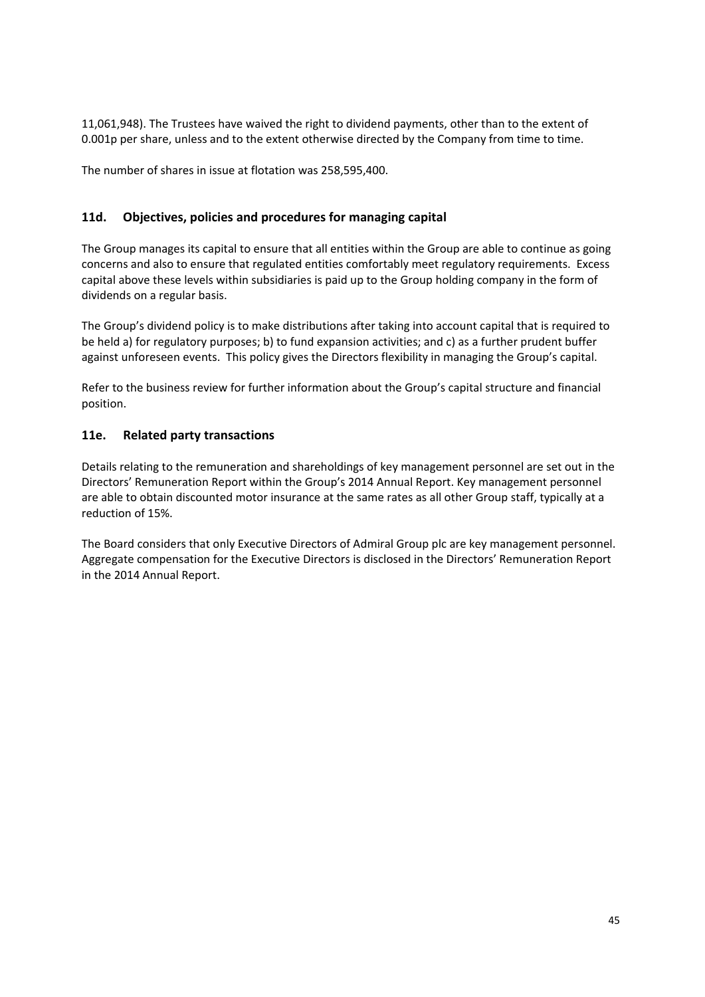11,061,948). The Trustees have waived the right to dividend payments, other than to the extent of 0.001p per share, unless and to the extent otherwise directed by the Company from time to time.

The number of shares in issue at flotation was 258,595,400.

# **11d. Objectives, policies and procedures for managing capital**

The Group manages its capital to ensure that all entities within the Group are able to continue as going concerns and also to ensure that regulated entities comfortably meet regulatory requirements. Excess capital above these levels within subsidiaries is paid up to the Group holding company in the form of dividends on a regular basis.

The Group's dividend policy is to make distributions after taking into account capital that is required to be held a) for regulatory purposes; b) to fund expansion activities; and c) as a further prudent buffer against unforeseen events. This policy gives the Directors flexibility in managing the Group's capital.

Refer to the business review for further information about the Group's capital structure and financial position.

# **11e. Related party transactions**

Details relating to the remuneration and shareholdings of key management personnel are set out in the Directors' Remuneration Report within the Group's 2014 Annual Report. Key management personnel are able to obtain discounted motor insurance at the same rates as all other Group staff, typically at a reduction of 15%.

The Board considers that only Executive Directors of Admiral Group plc are key management personnel. Aggregate compensation for the Executive Directors is disclosed in the Directors' Remuneration Report in the 2014 Annual Report.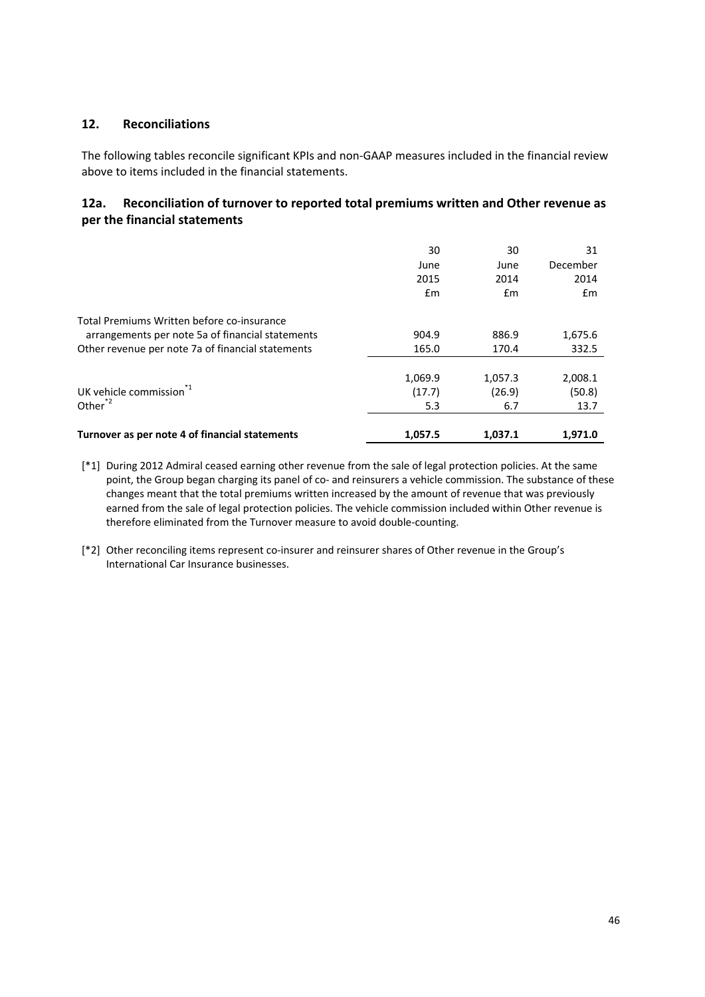# **12. Reconciliations**

The following tables reconcile significant KPIs and non-GAAP measures included in the financial review above to items included in the financial statements.

# **12a. Reconciliation of turnover to reported total premiums written and Other revenue as per the financial statements**

|                                                   | 30<br>June<br>2015<br>Em | 30<br>June<br>2014<br>Em | 31<br>December<br>2014<br>Em |
|---------------------------------------------------|--------------------------|--------------------------|------------------------------|
| Total Premiums Written before co-insurance        |                          |                          |                              |
| arrangements per note 5a of financial statements  | 904.9                    | 886.9                    | 1,675.6                      |
| Other revenue per note 7a of financial statements | 165.0                    | 170.4                    | 332.5                        |
|                                                   | 1,069.9                  | 1,057.3                  | 2,008.1                      |
| UK vehicle commission $1$                         | (17.7)                   | (26.9)                   | (50.8)                       |
| Other $^{*2}$                                     | 5.3                      | 6.7                      | 13.7                         |
| Turnover as per note 4 of financial statements    | 1,057.5                  | 1.037.1                  | 1,971.0                      |

- [\*1] During 2012 Admiral ceased earning other revenue from the sale of legal protection policies. At the same point, the Group began charging its panel of co- and reinsurers a vehicle commission. The substance of these changes meant that the total premiums written increased by the amount of revenue that was previously earned from the sale of legal protection policies. The vehicle commission included within Other revenue is therefore eliminated from the Turnover measure to avoid double-counting.
- [\*2] Other reconciling items represent co-insurer and reinsurer shares of Other revenue in the Group's International Car Insurance businesses.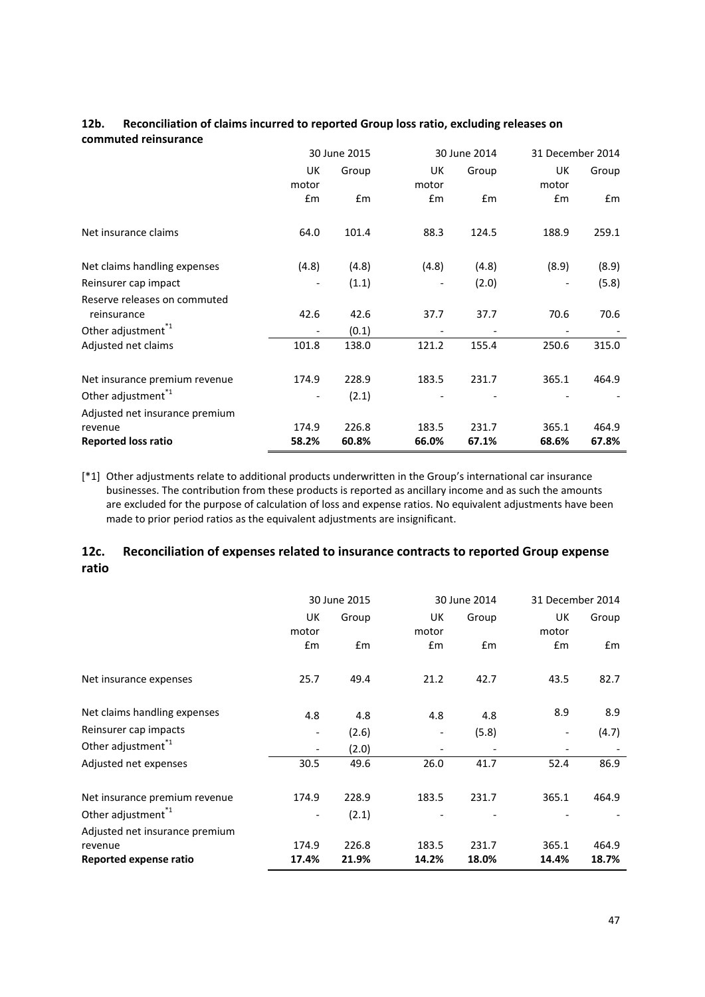|                                |       | 30 June 2015 |       | 30 June 2014 | 31 December 2014 |       |
|--------------------------------|-------|--------------|-------|--------------|------------------|-------|
|                                | UK    | Group        | UK    | Group        | UK               | Group |
|                                | motor |              | motor |              | motor            |       |
|                                | £m    | Em           | £m    | Em           | £m               | Em    |
| Net insurance claims           | 64.0  | 101.4        | 88.3  | 124.5        | 188.9            | 259.1 |
| Net claims handling expenses   | (4.8) | (4.8)        | (4.8) | (4.8)        | (8.9)            | (8.9) |
| Reinsurer cap impact           |       | (1.1)        |       | (2.0)        |                  | (5.8) |
| Reserve releases on commuted   |       |              |       |              |                  |       |
| reinsurance                    | 42.6  | 42.6         | 37.7  | 37.7         | 70.6             | 70.6  |
| Other adjustment <sup>*1</sup> |       | (0.1)        |       |              |                  |       |
| Adjusted net claims            | 101.8 | 138.0        | 121.2 | 155.4        | 250.6            | 315.0 |
| Net insurance premium revenue  | 174.9 | 228.9        | 183.5 | 231.7        | 365.1            | 464.9 |
| Other adjustment <sup>1</sup>  |       | (2.1)        |       |              |                  |       |
| Adjusted net insurance premium |       |              |       |              |                  |       |
| revenue                        | 174.9 | 226.8        | 183.5 | 231.7        | 365.1            | 464.9 |
| <b>Reported loss ratio</b>     | 58.2% | 60.8%        | 66.0% | 67.1%        | 68.6%            | 67.8% |

#### **12b. Reconciliation of claims incurred to reported Group loss ratio, excluding releases on commuted reinsurance**

[\*1] Other adjustments relate to additional products underwritten in the Group's international car insurance businesses. The contribution from these products is reported as ancillary income and as such the amounts are excluded for the purpose of calculation of loss and expense ratios. No equivalent adjustments have been made to prior period ratios as the equivalent adjustments are insignificant.

# **12c. Reconciliation of expenses related to insurance contracts to reported Group expense ratio**

|                                |                          | 30 June 2015 | 30 June 2014   |       | 31 December 2014 |       |
|--------------------------------|--------------------------|--------------|----------------|-------|------------------|-------|
|                                | UK<br>motor              | Group        | UK<br>motor    | Group |                  | Group |
|                                | £m                       | £m           | £m             | £m    | £m               | Em    |
| Net insurance expenses         | 25.7                     | 49.4         | 21.2           | 42.7  | 43.5             | 82.7  |
| Net claims handling expenses   | 4.8                      | 4.8          | 4.8            | 4.8   | 8.9              | 8.9   |
| Reinsurer cap impacts          | $\overline{\phantom{a}}$ | (2.6)        |                | (5.8) |                  | (4.7) |
| Other adjustment <sup>1</sup>  | $\overline{\phantom{a}}$ | (2.0)        | $\overline{a}$ |       |                  |       |
| Adjusted net expenses          | 30.5                     | 49.6         | 26.0           | 41.7  | 52.4             | 86.9  |
| Net insurance premium revenue  | 174.9                    | 228.9        | 183.5          | 231.7 | 365.1            | 464.9 |
| Other adjustment <sup>1</sup>  |                          | (2.1)        |                |       |                  |       |
| Adjusted net insurance premium |                          |              |                |       |                  |       |
| revenue                        | 174.9                    | 226.8        | 183.5          | 231.7 | 365.1            | 464.9 |
| Reported expense ratio         | 17.4%                    | 21.9%        | 14.2%          | 18.0% | 14.4%            | 18.7% |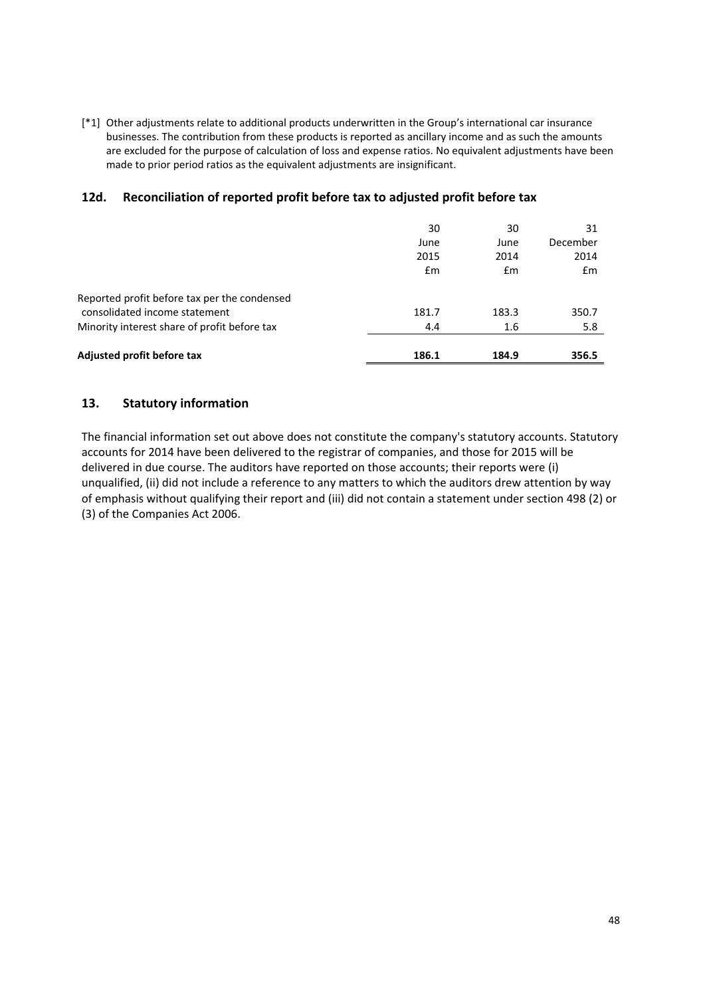[\*1] Other adjustments relate to additional products underwritten in the Group's international car insurance businesses. The contribution from these products is reported as ancillary income and as such the amounts are excluded for the purpose of calculation of loss and expense ratios. No equivalent adjustments have been made to prior period ratios as the equivalent adjustments are insignificant.

# **12d. Reconciliation of reported profit before tax to adjusted profit before tax**

|                                              | 30    | 30    | 31       |
|----------------------------------------------|-------|-------|----------|
|                                              | June  | June  | December |
|                                              | 2015  | 2014  | 2014     |
|                                              | Em    | £m    | Em       |
| Reported profit before tax per the condensed |       |       |          |
| consolidated income statement                | 181.7 | 183.3 | 350.7    |
| Minority interest share of profit before tax | 4.4   | 1.6   | 5.8      |
| Adjusted profit before tax                   | 186.1 | 184.9 | 356.5    |

# **13. Statutory information**

The financial information set out above does not constitute the company's statutory accounts. Statutory accounts for 2014 have been delivered to the registrar of companies, and those for 2015 will be delivered in due course. The auditors have reported on those accounts; their reports were (i) unqualified, (ii) did not include a reference to any matters to which the auditors drew attention by way of emphasis without qualifying their report and (iii) did not contain a statement under section 498 (2) or (3) of the Companies Act 2006.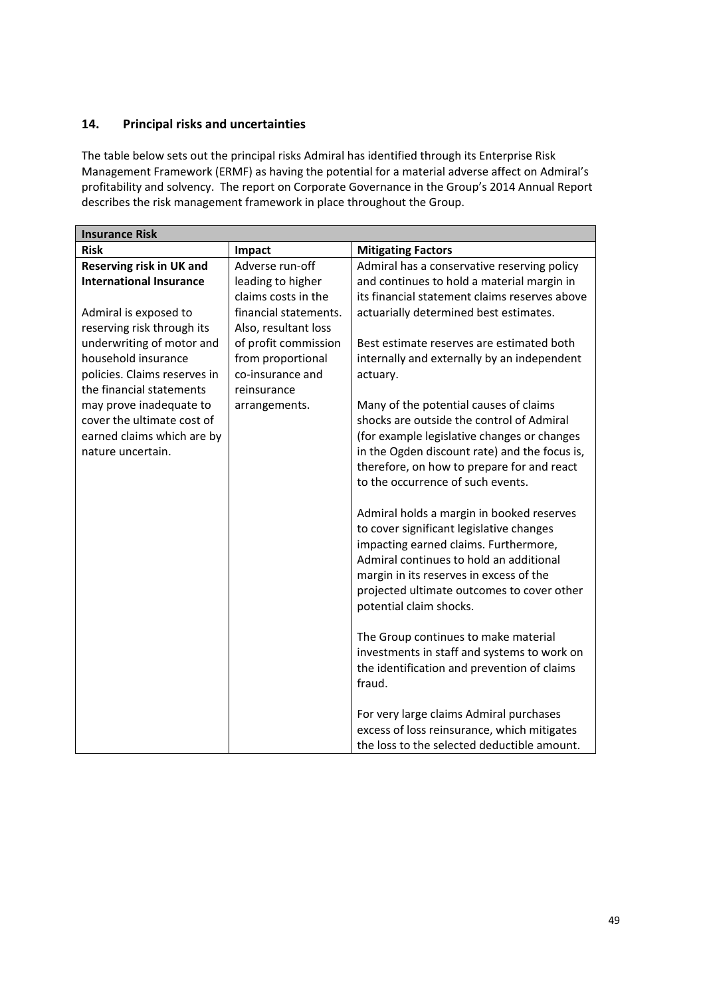# **14. Principal risks and uncertainties**

The table below sets out the principal risks Admiral has identified through its Enterprise Risk Management Framework (ERMF) as having the potential for a material adverse affect on Admiral's profitability and solvency. The report on Corporate Governance in the Group's 2014 Annual Report describes the risk management framework in place throughout the Group.

| <b>Insurance Risk</b>           |                       |                                               |
|---------------------------------|-----------------------|-----------------------------------------------|
| <b>Risk</b>                     | Impact                | <b>Mitigating Factors</b>                     |
| <b>Reserving risk in UK and</b> | Adverse run-off       | Admiral has a conservative reserving policy   |
| <b>International Insurance</b>  | leading to higher     | and continues to hold a material margin in    |
|                                 | claims costs in the   | its financial statement claims reserves above |
| Admiral is exposed to           | financial statements. | actuarially determined best estimates.        |
| reserving risk through its      | Also, resultant loss  |                                               |
| underwriting of motor and       | of profit commission  | Best estimate reserves are estimated both     |
| household insurance             | from proportional     | internally and externally by an independent   |
| policies. Claims reserves in    | co-insurance and      | actuary.                                      |
| the financial statements        | reinsurance           |                                               |
| may prove inadequate to         | arrangements.         | Many of the potential causes of claims        |
| cover the ultimate cost of      |                       | shocks are outside the control of Admiral     |
| earned claims which are by      |                       | (for example legislative changes or changes   |
| nature uncertain.               |                       | in the Ogden discount rate) and the focus is, |
|                                 |                       | therefore, on how to prepare for and react    |
|                                 |                       | to the occurrence of such events.             |
|                                 |                       |                                               |
|                                 |                       | Admiral holds a margin in booked reserves     |
|                                 |                       | to cover significant legislative changes      |
|                                 |                       | impacting earned claims. Furthermore,         |
|                                 |                       | Admiral continues to hold an additional       |
|                                 |                       | margin in its reserves in excess of the       |
|                                 |                       | projected ultimate outcomes to cover other    |
|                                 |                       | potential claim shocks.                       |
|                                 |                       |                                               |
|                                 |                       | The Group continues to make material          |
|                                 |                       | investments in staff and systems to work on   |
|                                 |                       | the identification and prevention of claims   |
|                                 |                       | fraud.                                        |
|                                 |                       | For very large claims Admiral purchases       |
|                                 |                       | excess of loss reinsurance, which mitigates   |
|                                 |                       | the loss to the selected deductible amount.   |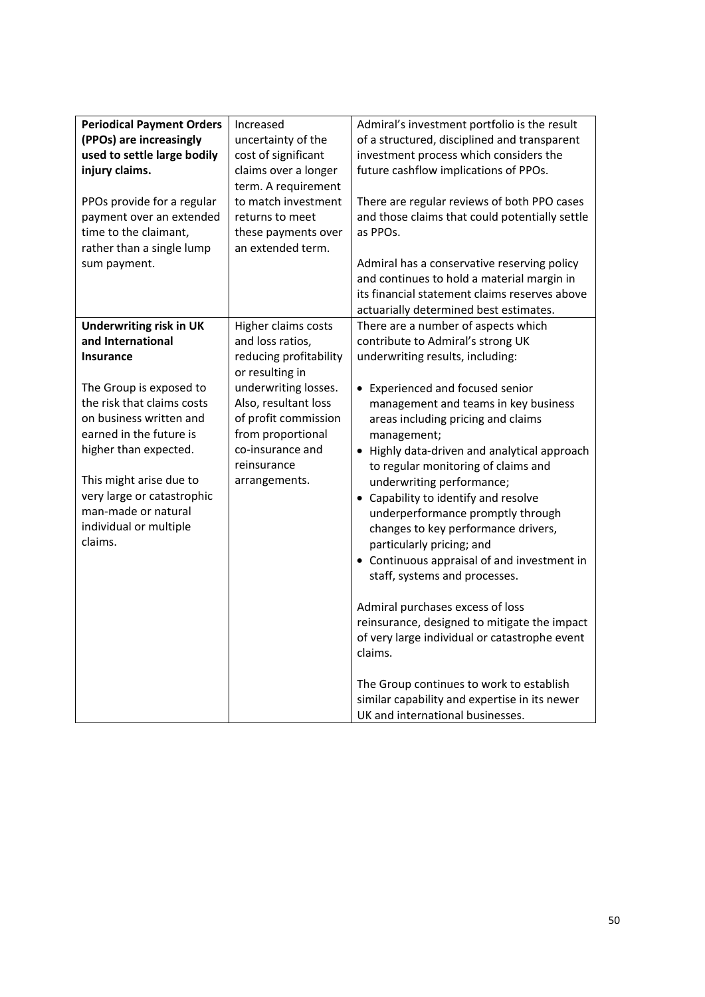| <b>Periodical Payment Orders</b><br>(PPOs) are increasingly<br>used to settle large bodily<br>injury claims.<br>PPOs provide for a regular<br>payment over an extended<br>time to the claimant,<br>rather than a single lump<br>sum payment.                                                                                         | Increased<br>uncertainty of the<br>cost of significant<br>claims over a longer<br>term. A requirement<br>to match investment<br>returns to meet<br>these payments over<br>an extended term.                                           | Admiral's investment portfolio is the result<br>of a structured, disciplined and transparent<br>investment process which considers the<br>future cashflow implications of PPOs.<br>There are regular reviews of both PPO cases<br>and those claims that could potentially settle<br>as PPOs.<br>Admiral has a conservative reserving policy<br>and continues to hold a material margin in<br>its financial statement claims reserves above<br>actuarially determined best estimates.                                                                                                                                                                                                                                                                                                                                                                                                       |
|--------------------------------------------------------------------------------------------------------------------------------------------------------------------------------------------------------------------------------------------------------------------------------------------------------------------------------------|---------------------------------------------------------------------------------------------------------------------------------------------------------------------------------------------------------------------------------------|--------------------------------------------------------------------------------------------------------------------------------------------------------------------------------------------------------------------------------------------------------------------------------------------------------------------------------------------------------------------------------------------------------------------------------------------------------------------------------------------------------------------------------------------------------------------------------------------------------------------------------------------------------------------------------------------------------------------------------------------------------------------------------------------------------------------------------------------------------------------------------------------|
| <b>Underwriting risk in UK</b><br>and International<br><b>Insurance</b><br>The Group is exposed to<br>the risk that claims costs<br>on business written and<br>earned in the future is<br>higher than expected.<br>This might arise due to<br>very large or catastrophic<br>man-made or natural<br>individual or multiple<br>claims. | Higher claims costs<br>and loss ratios,<br>reducing profitability<br>or resulting in<br>underwriting losses.<br>Also, resultant loss<br>of profit commission<br>from proportional<br>co-insurance and<br>reinsurance<br>arrangements. | There are a number of aspects which<br>contribute to Admiral's strong UK<br>underwriting results, including:<br>• Experienced and focused senior<br>management and teams in key business<br>areas including pricing and claims<br>management;<br>Highly data-driven and analytical approach<br>$\bullet$<br>to regular monitoring of claims and<br>underwriting performance;<br>Capability to identify and resolve<br>underperformance promptly through<br>changes to key performance drivers,<br>particularly pricing; and<br>Continuous appraisal of and investment in<br>staff, systems and processes.<br>Admiral purchases excess of loss<br>reinsurance, designed to mitigate the impact<br>of very large individual or catastrophe event<br>claims.<br>The Group continues to work to establish<br>similar capability and expertise in its newer<br>UK and international businesses. |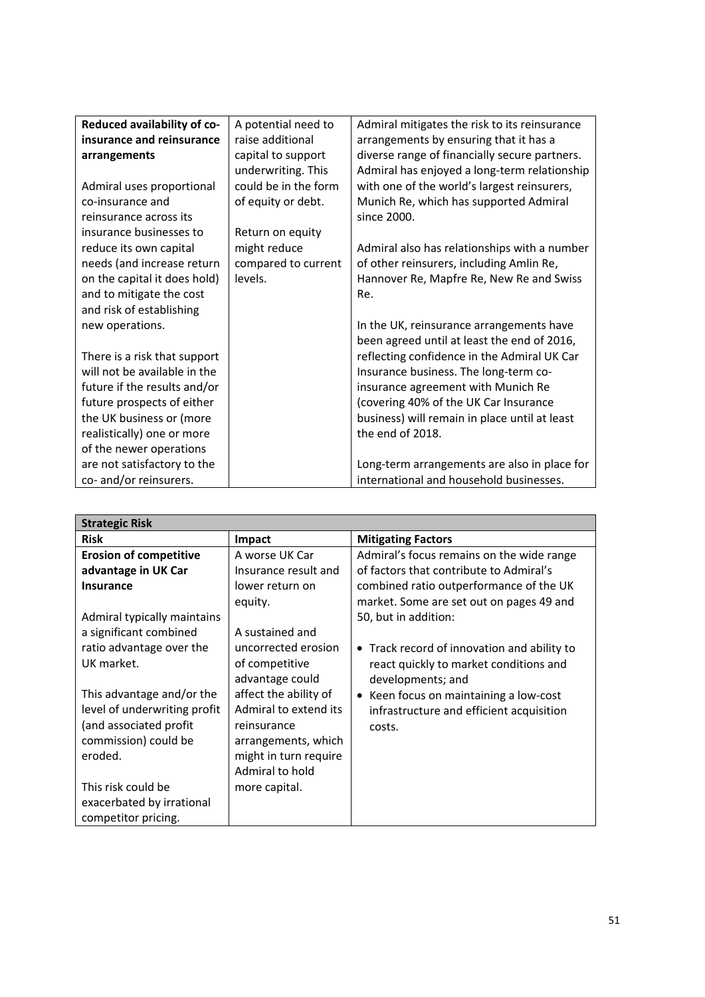| Reduced availability of co-  | A potential need to  | Admiral mitigates the risk to its reinsurance |
|------------------------------|----------------------|-----------------------------------------------|
| insurance and reinsurance    | raise additional     | arrangements by ensuring that it has a        |
| arrangements                 | capital to support   | diverse range of financially secure partners. |
|                              | underwriting. This   | Admiral has enjoyed a long-term relationship  |
| Admiral uses proportional    | could be in the form | with one of the world's largest reinsurers,   |
| co-insurance and             | of equity or debt.   | Munich Re, which has supported Admiral        |
| reinsurance across its       |                      | since 2000.                                   |
| insurance businesses to      | Return on equity     |                                               |
| reduce its own capital       | might reduce         | Admiral also has relationships with a number  |
| needs (and increase return   | compared to current  | of other reinsurers, including Amlin Re,      |
| on the capital it does hold) | levels.              | Hannover Re, Mapfre Re, New Re and Swiss      |
| and to mitigate the cost     |                      | Re.                                           |
| and risk of establishing     |                      |                                               |
| new operations.              |                      | In the UK, reinsurance arrangements have      |
|                              |                      | been agreed until at least the end of 2016,   |
| There is a risk that support |                      | reflecting confidence in the Admiral UK Car   |
| will not be available in the |                      | Insurance business. The long-term co-         |
| future if the results and/or |                      | insurance agreement with Munich Re            |
| future prospects of either   |                      | (covering 40% of the UK Car Insurance         |
| the UK business or (more     |                      | business) will remain in place until at least |
| realistically) one or more   |                      | the end of 2018.                              |
| of the newer operations      |                      |                                               |
| are not satisfactory to the  |                      | Long-term arrangements are also in place for  |
| co- and/or reinsurers.       |                      | international and household businesses.       |

| <b>Strategic Risk</b>         |                       |                                                        |
|-------------------------------|-----------------------|--------------------------------------------------------|
| <b>Risk</b>                   | <b>Impact</b>         | <b>Mitigating Factors</b>                              |
| <b>Erosion of competitive</b> | A worse UK Car        | Admiral's focus remains on the wide range              |
| advantage in UK Car           | Insurance result and  | of factors that contribute to Admiral's                |
| <b>Insurance</b>              | lower return on       | combined ratio outperformance of the UK                |
|                               | equity.               | market. Some are set out on pages 49 and               |
| Admiral typically maintains   |                       | 50, but in addition:                                   |
| a significant combined        | A sustained and       |                                                        |
| ratio advantage over the      | uncorrected erosion   | Track record of innovation and ability to<br>$\bullet$ |
| UK market.                    | of competitive        | react quickly to market conditions and                 |
|                               | advantage could       | developments; and                                      |
| This advantage and/or the     | affect the ability of | • Keen focus on maintaining a low-cost                 |
| level of underwriting profit  | Admiral to extend its | infrastructure and efficient acquisition               |
| (and associated profit        | reinsurance           | costs.                                                 |
| commission) could be          | arrangements, which   |                                                        |
| eroded.                       | might in turn require |                                                        |
|                               | Admiral to hold       |                                                        |
| This risk could be            | more capital.         |                                                        |
| exacerbated by irrational     |                       |                                                        |
| competitor pricing.           |                       |                                                        |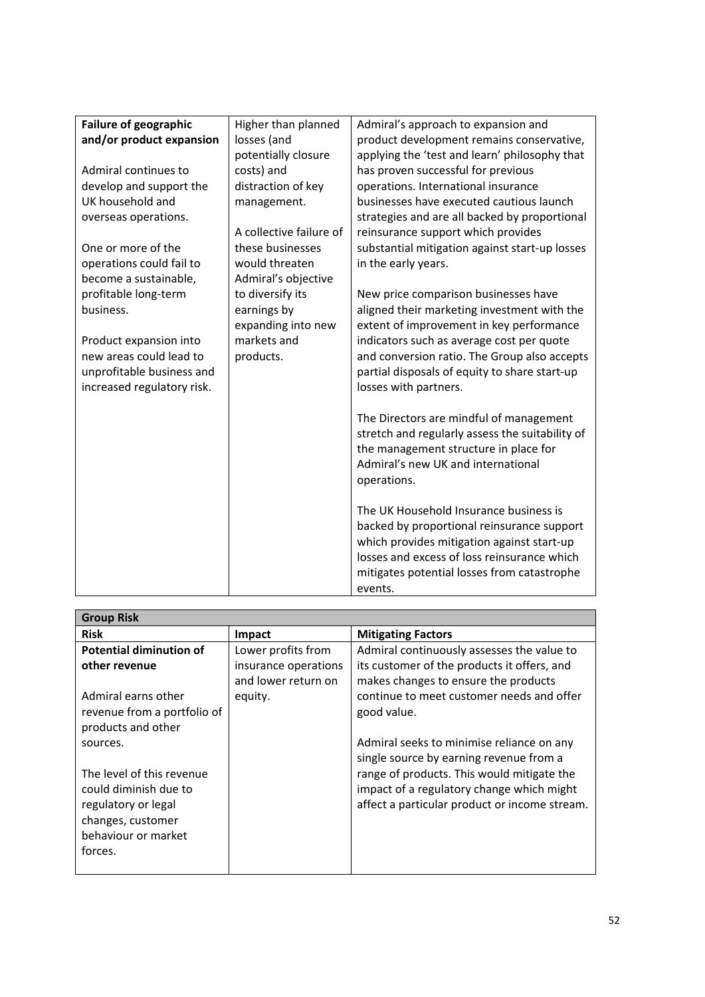| <b>Failure of geographic</b> | Higher than planned     | Admiral's approach to expansion and             |
|------------------------------|-------------------------|-------------------------------------------------|
| and/or product expansion     | losses (and             | product development remains conservative,       |
|                              | potentially closure     | applying the 'test and learn' philosophy that   |
| Admiral continues to         | costs) and              | has proven successful for previous              |
| develop and support the      | distraction of key      | operations. International insurance             |
| UK household and             | management.             | businesses have executed cautious launch        |
| overseas operations.         |                         | strategies and are all backed by proportional   |
|                              | A collective failure of | reinsurance support which provides              |
| One or more of the           | these businesses        | substantial mitigation against start-up losses  |
| operations could fail to     | would threaten          | in the early years.                             |
| become a sustainable,        | Admiral's objective     |                                                 |
| profitable long-term         | to diversify its        | New price comparison businesses have            |
| business.                    | earnings by             | aligned their marketing investment with the     |
|                              | expanding into new      | extent of improvement in key performance        |
| Product expansion into       | markets and             | indicators such as average cost per quote       |
| new areas could lead to      | products.               | and conversion ratio. The Group also accepts    |
| unprofitable business and    |                         | partial disposals of equity to share start-up   |
| increased regulatory risk.   |                         | losses with partners.                           |
|                              |                         |                                                 |
|                              |                         | The Directors are mindful of management         |
|                              |                         | stretch and regularly assess the suitability of |
|                              |                         | the management structure in place for           |
|                              |                         | Admiral's new UK and international              |
|                              |                         | operations.                                     |
|                              |                         |                                                 |
|                              |                         | The UK Household Insurance business is          |
|                              |                         | backed by proportional reinsurance support      |
|                              |                         | which provides mitigation against start-up      |
|                              |                         | losses and excess of loss reinsurance which     |
|                              |                         | mitigates potential losses from catastrophe     |
|                              |                         | events.                                         |

| <b>Group Risk</b>              |                      |                                               |
|--------------------------------|----------------------|-----------------------------------------------|
| <b>Risk</b>                    | <b>Impact</b>        | <b>Mitigating Factors</b>                     |
| <b>Potential diminution of</b> | Lower profits from   | Admiral continuously assesses the value to    |
| other revenue                  | insurance operations | its customer of the products it offers, and   |
|                                | and lower return on  | makes changes to ensure the products          |
| Admiral earns other            | equity.              | continue to meet customer needs and offer     |
| revenue from a portfolio of    |                      | good value.                                   |
| products and other             |                      |                                               |
| sources.                       |                      | Admiral seeks to minimise reliance on any     |
|                                |                      | single source by earning revenue from a       |
| The level of this revenue      |                      | range of products. This would mitigate the    |
| could diminish due to          |                      | impact of a regulatory change which might     |
| regulatory or legal            |                      | affect a particular product or income stream. |
| changes, customer              |                      |                                               |
| behaviour or market            |                      |                                               |
| forces.                        |                      |                                               |
|                                |                      |                                               |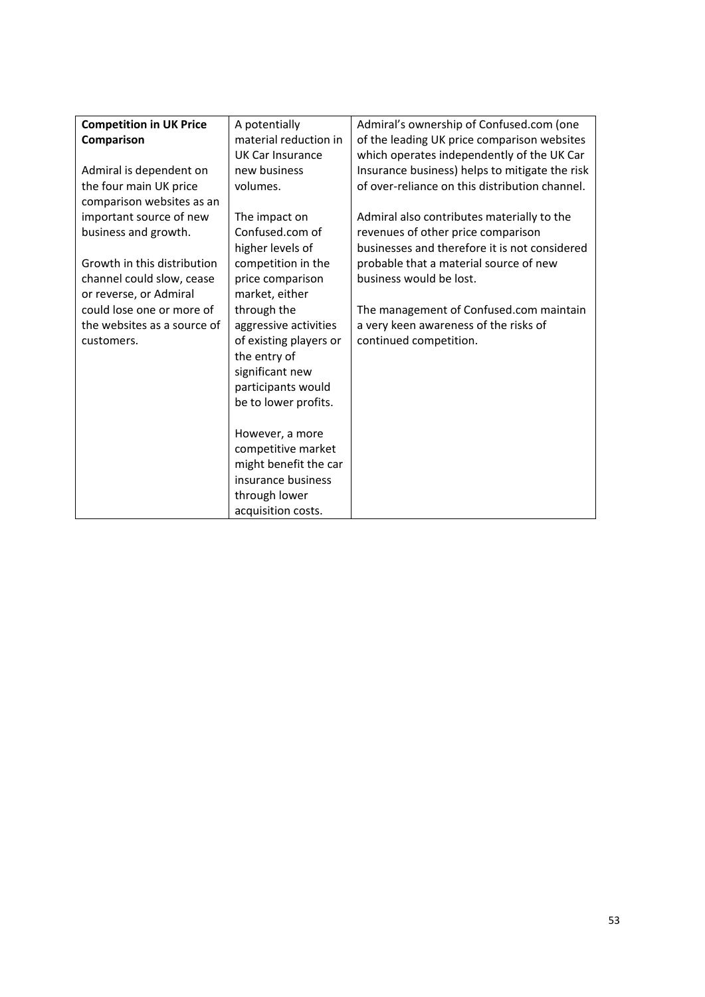| <b>Competition in UK Price</b> | A potentially          | Admiral's ownership of Confused.com (one       |
|--------------------------------|------------------------|------------------------------------------------|
| Comparison                     | material reduction in  | of the leading UK price comparison websites    |
|                                | UK Car Insurance       | which operates independently of the UK Car     |
| Admiral is dependent on        | new business           | Insurance business) helps to mitigate the risk |
| the four main UK price         | volumes.               | of over-reliance on this distribution channel. |
| comparison websites as an      |                        |                                                |
| important source of new        | The impact on          | Admiral also contributes materially to the     |
| business and growth.           | Confused.com of        | revenues of other price comparison             |
|                                | higher levels of       | businesses and therefore it is not considered  |
| Growth in this distribution    | competition in the     | probable that a material source of new         |
| channel could slow, cease      | price comparison       | business would be lost.                        |
| or reverse, or Admiral         | market, either         |                                                |
| could lose one or more of      | through the            | The management of Confused.com maintain        |
| the websites as a source of    | aggressive activities  | a very keen awareness of the risks of          |
| customers.                     | of existing players or | continued competition.                         |
|                                | the entry of           |                                                |
|                                | significant new        |                                                |
|                                | participants would     |                                                |
|                                | be to lower profits.   |                                                |
|                                |                        |                                                |
|                                | However, a more        |                                                |
|                                | competitive market     |                                                |
|                                | might benefit the car  |                                                |
|                                | insurance business     |                                                |
|                                | through lower          |                                                |
|                                | acquisition costs.     |                                                |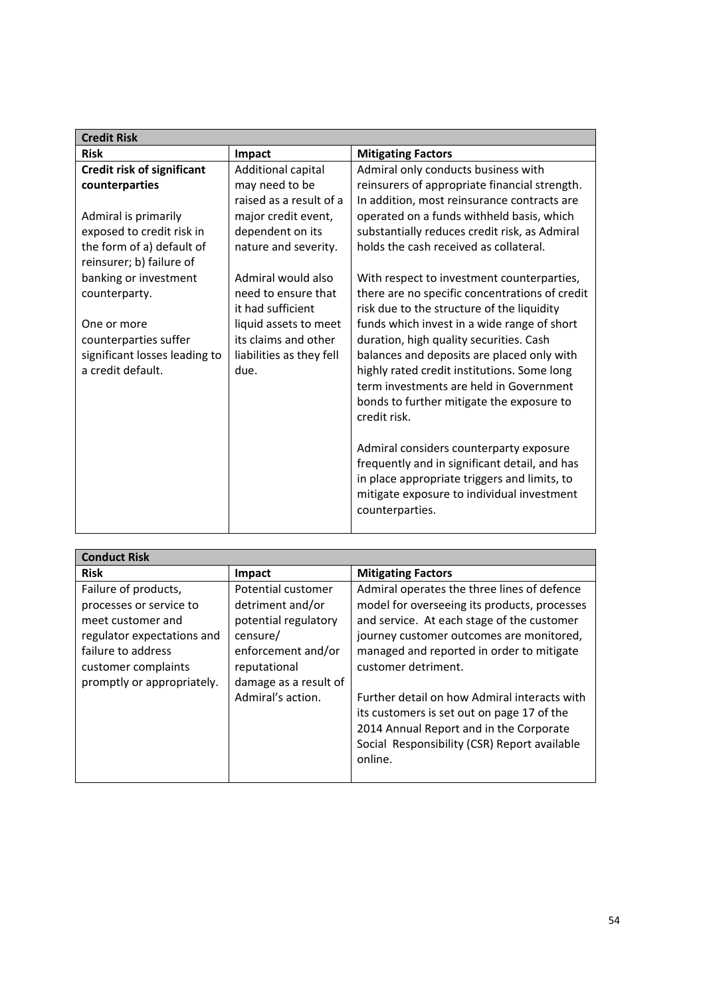| <b>Credit Risk</b>                                    |                          |                                                |
|-------------------------------------------------------|--------------------------|------------------------------------------------|
| <b>Risk</b>                                           | Impact                   | <b>Mitigating Factors</b>                      |
| <b>Credit risk of significant</b>                     | Additional capital       | Admiral only conducts business with            |
| counterparties                                        | may need to be           | reinsurers of appropriate financial strength.  |
|                                                       | raised as a result of a  | In addition, most reinsurance contracts are    |
| Admiral is primarily                                  | major credit event,      | operated on a funds withheld basis, which      |
| exposed to credit risk in                             | dependent on its         | substantially reduces credit risk, as Admiral  |
| the form of a) default of<br>reinsurer; b) failure of | nature and severity.     | holds the cash received as collateral.         |
| banking or investment                                 | Admiral would also       | With respect to investment counterparties,     |
| counterparty.                                         | need to ensure that      | there are no specific concentrations of credit |
|                                                       | it had sufficient        | risk due to the structure of the liquidity     |
| One or more                                           | liquid assets to meet    | funds which invest in a wide range of short    |
| counterparties suffer                                 | its claims and other     | duration, high quality securities. Cash        |
| significant losses leading to                         | liabilities as they fell | balances and deposits are placed only with     |
| a credit default.                                     | due.                     | highly rated credit institutions. Some long    |
|                                                       |                          | term investments are held in Government        |
|                                                       |                          | bonds to further mitigate the exposure to      |
|                                                       |                          | credit risk.                                   |
|                                                       |                          |                                                |
|                                                       |                          | Admiral considers counterparty exposure        |
|                                                       |                          | frequently and in significant detail, and has  |
|                                                       |                          | in place appropriate triggers and limits, to   |
|                                                       |                          | mitigate exposure to individual investment     |
|                                                       |                          | counterparties.                                |
|                                                       |                          |                                                |

| <b>Conduct Risk</b>                                                                                                                                                           |                                                                                                                                                                |                                                                                                                                                                                                                                                                                                                                                                                                                                                               |
|-------------------------------------------------------------------------------------------------------------------------------------------------------------------------------|----------------------------------------------------------------------------------------------------------------------------------------------------------------|---------------------------------------------------------------------------------------------------------------------------------------------------------------------------------------------------------------------------------------------------------------------------------------------------------------------------------------------------------------------------------------------------------------------------------------------------------------|
| <b>Risk</b>                                                                                                                                                                   | <b>Impact</b>                                                                                                                                                  | <b>Mitigating Factors</b>                                                                                                                                                                                                                                                                                                                                                                                                                                     |
| Failure of products,<br>processes or service to<br>meet customer and<br>regulator expectations and<br>failure to address<br>customer complaints<br>promptly or appropriately. | Potential customer<br>detriment and/or<br>potential regulatory<br>censure/<br>enforcement and/or<br>reputational<br>damage as a result of<br>Admiral's action. | Admiral operates the three lines of defence<br>model for overseeing its products, processes<br>and service. At each stage of the customer<br>journey customer outcomes are monitored,<br>managed and reported in order to mitigate<br>customer detriment.<br>Further detail on how Admiral interacts with<br>its customers is set out on page 17 of the<br>2014 Annual Report and in the Corporate<br>Social Responsibility (CSR) Report available<br>online. |
|                                                                                                                                                                               |                                                                                                                                                                |                                                                                                                                                                                                                                                                                                                                                                                                                                                               |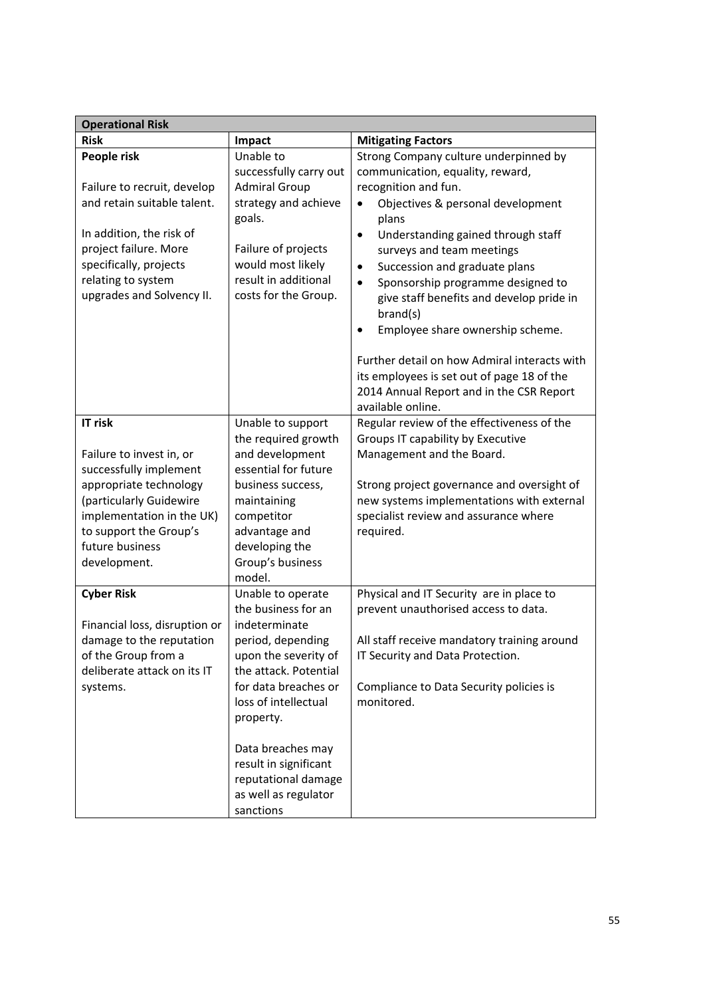| <b>Operational Risk</b>                              |                                |                                                                                                                                                             |
|------------------------------------------------------|--------------------------------|-------------------------------------------------------------------------------------------------------------------------------------------------------------|
| <b>Risk</b>                                          | Impact                         | <b>Mitigating Factors</b>                                                                                                                                   |
| People risk                                          | Unable to                      | Strong Company culture underpinned by                                                                                                                       |
|                                                      | successfully carry out         | communication, equality, reward,                                                                                                                            |
| Failure to recruit, develop                          | <b>Admiral Group</b>           | recognition and fun.                                                                                                                                        |
| and retain suitable talent.                          | strategy and achieve<br>goals. | Objectives & personal development<br>plans                                                                                                                  |
| In addition, the risk of                             |                                | Understanding gained through staff<br>$\bullet$                                                                                                             |
| project failure. More                                | Failure of projects            | surveys and team meetings                                                                                                                                   |
| specifically, projects                               | would most likely              | Succession and graduate plans<br>$\bullet$                                                                                                                  |
| relating to system                                   | result in additional           | Sponsorship programme designed to<br>$\bullet$                                                                                                              |
| upgrades and Solvency II.                            | costs for the Group.           | give staff benefits and develop pride in<br>brand(s)                                                                                                        |
|                                                      |                                | Employee share ownership scheme.<br>$\bullet$                                                                                                               |
|                                                      |                                | Further detail on how Admiral interacts with<br>its employees is set out of page 18 of the<br>2014 Annual Report and in the CSR Report<br>available online. |
| IT risk                                              | Unable to support              | Regular review of the effectiveness of the                                                                                                                  |
|                                                      | the required growth            | Groups IT capability by Executive                                                                                                                           |
| Failure to invest in, or                             | and development                | Management and the Board.                                                                                                                                   |
| successfully implement                               | essential for future           |                                                                                                                                                             |
| appropriate technology                               | business success,              | Strong project governance and oversight of                                                                                                                  |
| (particularly Guidewire<br>implementation in the UK) | maintaining                    | new systems implementations with external<br>specialist review and assurance where                                                                          |
| to support the Group's                               | competitor<br>advantage and    | required.                                                                                                                                                   |
| future business                                      | developing the                 |                                                                                                                                                             |
| development.                                         | Group's business               |                                                                                                                                                             |
|                                                      | model.                         |                                                                                                                                                             |
| <b>Cyber Risk</b>                                    | Unable to operate              | Physical and IT Security are in place to                                                                                                                    |
|                                                      | the business for an            | prevent unauthorised access to data.                                                                                                                        |
| Financial loss, disruption or                        | indeterminate                  |                                                                                                                                                             |
| damage to the reputation                             | period, depending              | All staff receive mandatory training around                                                                                                                 |
| of the Group from a                                  | upon the severity of           | IT Security and Data Protection.                                                                                                                            |
| deliberate attack on its IT                          | the attack. Potential          |                                                                                                                                                             |
| systems.                                             | for data breaches or           | Compliance to Data Security policies is                                                                                                                     |
|                                                      | loss of intellectual           | monitored.                                                                                                                                                  |
|                                                      | property.                      |                                                                                                                                                             |
|                                                      | Data breaches may              |                                                                                                                                                             |
|                                                      | result in significant          |                                                                                                                                                             |
|                                                      | reputational damage            |                                                                                                                                                             |
|                                                      | as well as regulator           |                                                                                                                                                             |
|                                                      | sanctions                      |                                                                                                                                                             |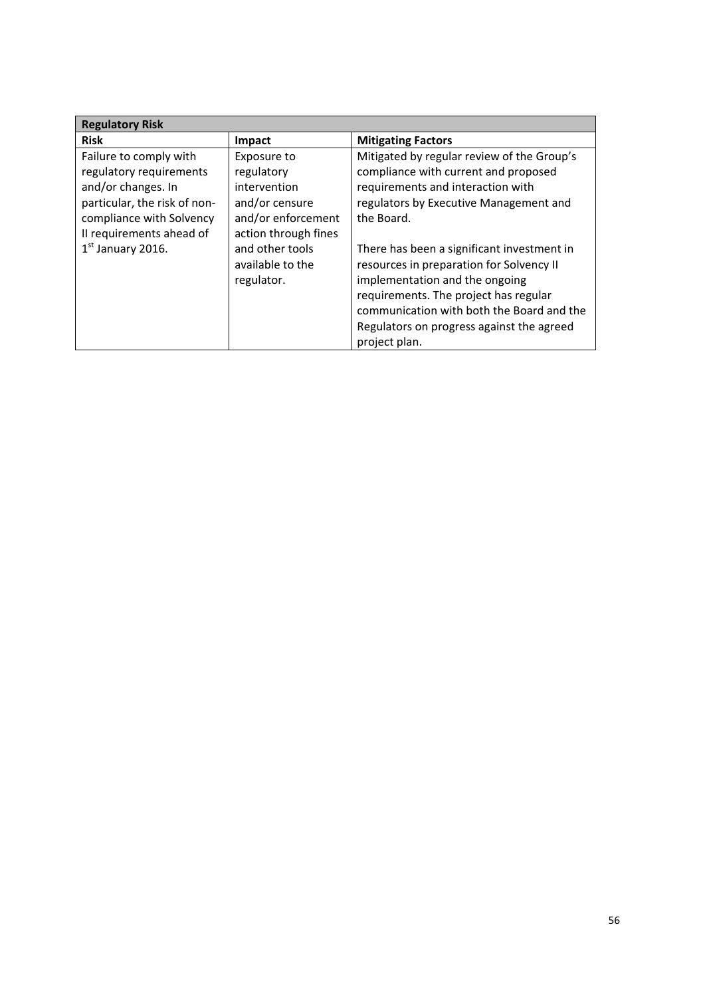| <b>Regulatory Risk</b>                                                                                                              |                                                                                   |                                                                                                                                                                                                                                                                              |
|-------------------------------------------------------------------------------------------------------------------------------------|-----------------------------------------------------------------------------------|------------------------------------------------------------------------------------------------------------------------------------------------------------------------------------------------------------------------------------------------------------------------------|
| <b>Risk</b>                                                                                                                         | <b>Impact</b>                                                                     | <b>Mitigating Factors</b>                                                                                                                                                                                                                                                    |
| Failure to comply with<br>regulatory requirements<br>and/or changes. In<br>particular, the risk of non-<br>compliance with Solvency | Exposure to<br>regulatory<br>intervention<br>and/or censure<br>and/or enforcement | Mitigated by regular review of the Group's<br>compliance with current and proposed<br>requirements and interaction with<br>regulators by Executive Management and<br>the Board.                                                                                              |
| Il requirements ahead of<br>$1st$ January 2016.                                                                                     | action through fines<br>and other tools<br>available to the<br>regulator.         | There has been a significant investment in<br>resources in preparation for Solvency II<br>implementation and the ongoing<br>requirements. The project has regular<br>communication with both the Board and the<br>Regulators on progress against the agreed<br>project plan. |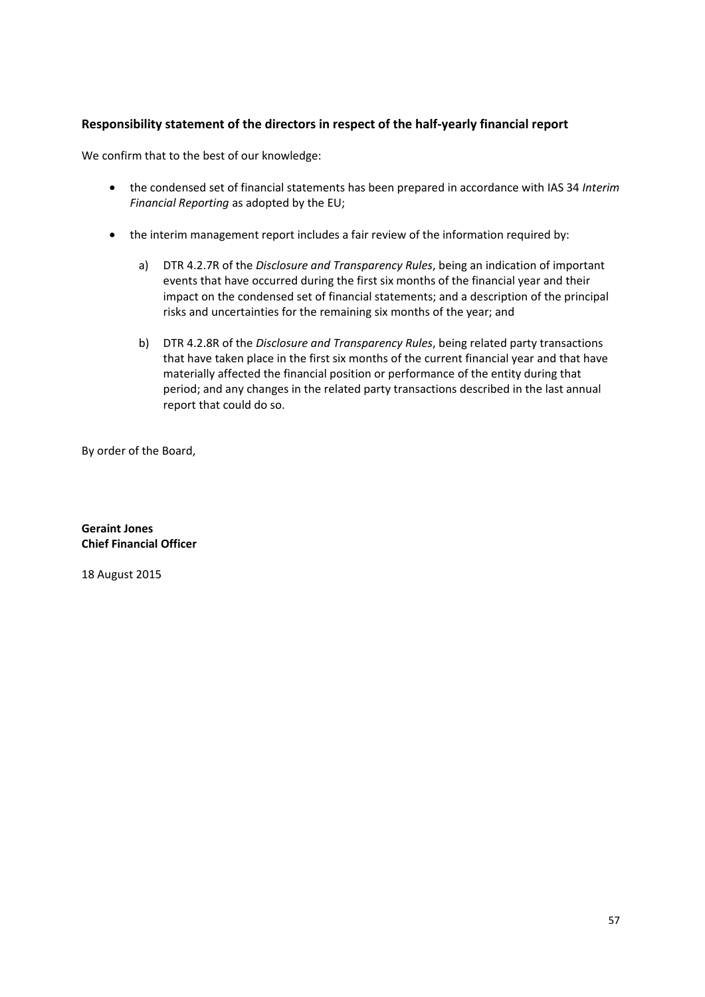# **Responsibility statement of the directors in respect of the half-yearly financial report**

We confirm that to the best of our knowledge:

- the condensed set of financial statements has been prepared in accordance with IAS 34 *Interim Financial Reporting* as adopted by the EU;
- the interim management report includes a fair review of the information required by:
	- a) DTR 4.2.7R of the *Disclosure and Transparency Rules*, being an indication of important events that have occurred during the first six months of the financial year and their impact on the condensed set of financial statements; and a description of the principal risks and uncertainties for the remaining six months of the year; and
	- b) DTR 4.2.8R of the *Disclosure and Transparency Rules*, being related party transactions that have taken place in the first six months of the current financial year and that have materially affected the financial position or performance of the entity during that period; and any changes in the related party transactions described in the last annual report that could do so.

By order of the Board,

**Geraint Jones Chief Financial Officer** 

18 August 2015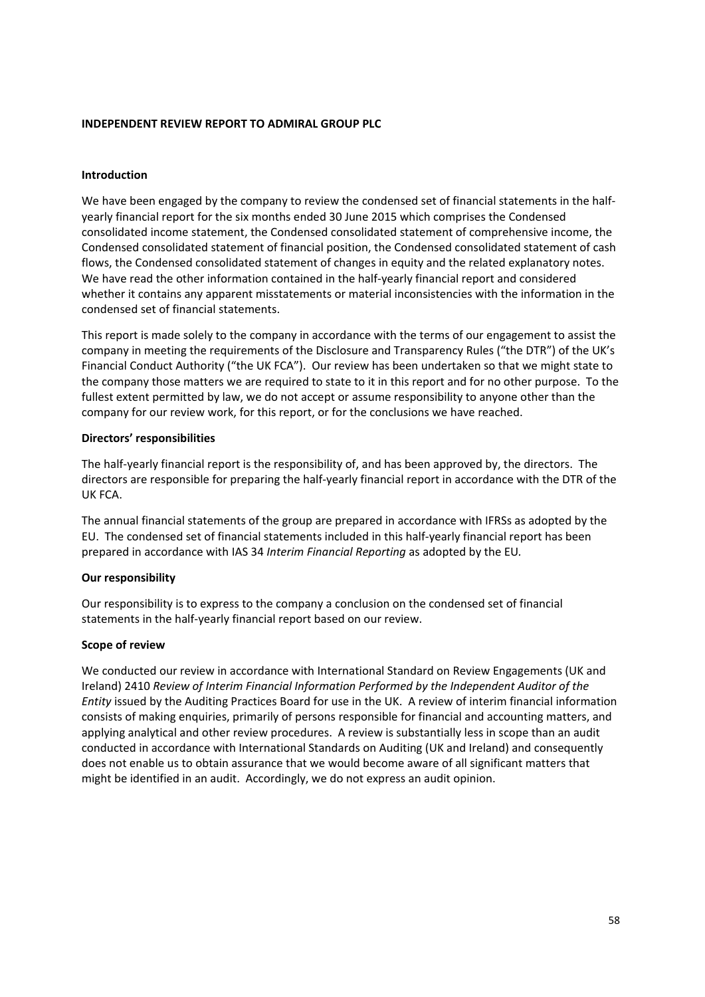#### **INDEPENDENT REVIEW REPORT TO ADMIRAL GROUP PLC**

#### **Introduction**

We have been engaged by the company to review the condensed set of financial statements in the halfyearly financial report for the six months ended 30 June 2015 which comprises the Condensed consolidated income statement, the Condensed consolidated statement of comprehensive income, the Condensed consolidated statement of financial position, the Condensed consolidated statement of cash flows, the Condensed consolidated statement of changes in equity and the related explanatory notes. We have read the other information contained in the half-yearly financial report and considered whether it contains any apparent misstatements or material inconsistencies with the information in the condensed set of financial statements.

This report is made solely to the company in accordance with the terms of our engagement to assist the company in meeting the requirements of the Disclosure and Transparency Rules ("the DTR") of the UK's Financial Conduct Authority ("the UK FCA"). Our review has been undertaken so that we might state to the company those matters we are required to state to it in this report and for no other purpose. To the fullest extent permitted by law, we do not accept or assume responsibility to anyone other than the company for our review work, for this report, or for the conclusions we have reached.

#### **Directors' responsibilities**

The half-yearly financial report is the responsibility of, and has been approved by, the directors. The directors are responsible for preparing the half-yearly financial report in accordance with the DTR of the UK FCA.

The annual financial statements of the group are prepared in accordance with IFRSs as adopted by the EU. The condensed set of financial statements included in this half-yearly financial report has been prepared in accordance with IAS 34 *Interim Financial Reporting* as adopted by the EU*.* 

#### **Our responsibility**

Our responsibility is to express to the company a conclusion on the condensed set of financial statements in the half-yearly financial report based on our review.

#### **Scope of review**

We conducted our review in accordance with International Standard on Review Engagements (UK and Ireland) 2410 *Review of Interim Financial Information Performed by the Independent Auditor of the Entity* issued by the Auditing Practices Board for use in the UK. A review of interim financial information consists of making enquiries, primarily of persons responsible for financial and accounting matters, and applying analytical and other review procedures. A review is substantially less in scope than an audit conducted in accordance with International Standards on Auditing (UK and Ireland) and consequently does not enable us to obtain assurance that we would become aware of all significant matters that might be identified in an audit. Accordingly, we do not express an audit opinion.